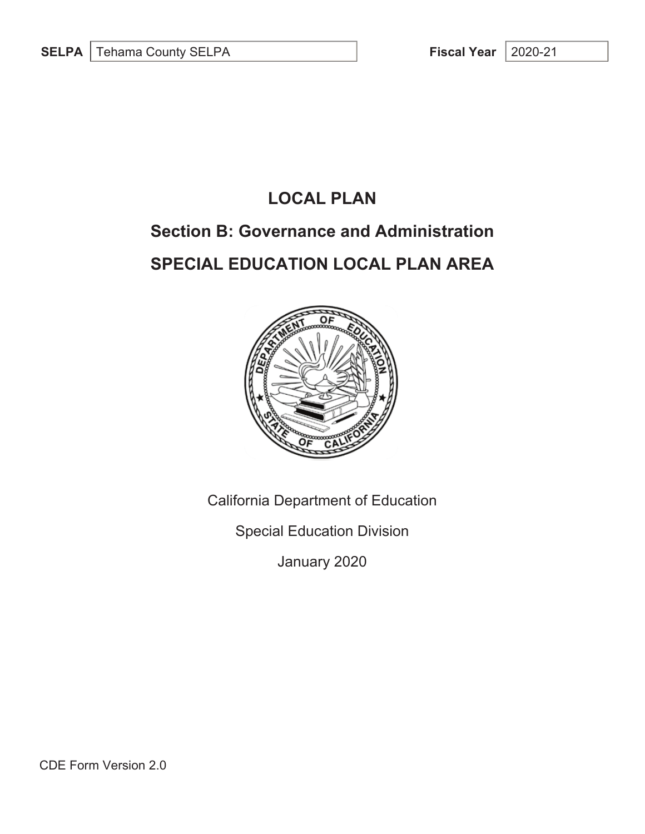## **LOCAL PLAN**

# **Section B: Governance and Administration**

# **SPECIAL EDUCATION LOCAL PLAN AREA**



California Department of Education

Special Education Division

January 2020

CDE Form Version 2.0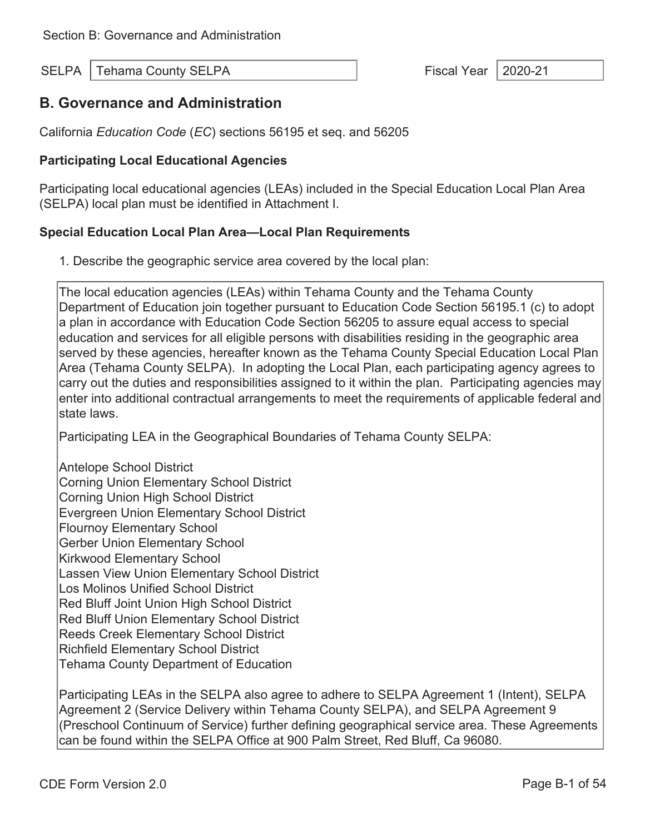### **B. Governance and Administration**

California *Education Code* (*EC*) sections 56195 et seq. and 56205

### **Participating Local Educational Agencies**

Participating local educational agencies (LEAs) included in the Special Education Local Plan Area (SELPA) local plan must be identified in Attachment I.

#### **Special Education Local Plan Area—Local Plan Requirements**

1. Describe the geographic service area covered by the local plan:

The local education agencies (LEAs) within Tehama County and the Tehama County Department of Education join together pursuant to Education Code Section 56195.1 (c) to adopt a plan in accordance with Education Code Section 56205 to assure equal access to special education and services for all eligible persons with disabilities residing in the geographic area served by these agencies, hereafter known as the Tehama County Special Education Local Plan Area (Tehama County SELPA). In adopting the Local Plan, each participating agency agrees to carry out the duties and responsibilities assigned to it within the plan. Participating agencies may enter into additional contractual arrangements to meet the requirements of applicable federal and state laws.

Participating LEA in the Geographical Boundaries of Tehama County SELPA:

Antelope School District Corning Union Elementary School District Corning Union High School District Evergreen Union Elementary School District Flournoy Elementary School Gerber Union Elementary School Kirkwood Elementary School Lassen View Union Elementary School District Los Molinos Unified School District Red Bluff Joint Union High School District Red Bluff Union Elementary School District Reeds Creek Elementary School District Richfield Elementary School District Tehama County Department of Education

Participating LEAs in the SELPA also agree to adhere to SELPA Agreement 1 (Intent), SELPA Agreement 2 (Service Delivery within Tehama County SELPA), and SELPA Agreement 9 (Preschool Continuum of Service) further defining geographical service area. These Agreements can be found within the SELPA Office at 900 Palm Street, Red Bluff, Ca 96080.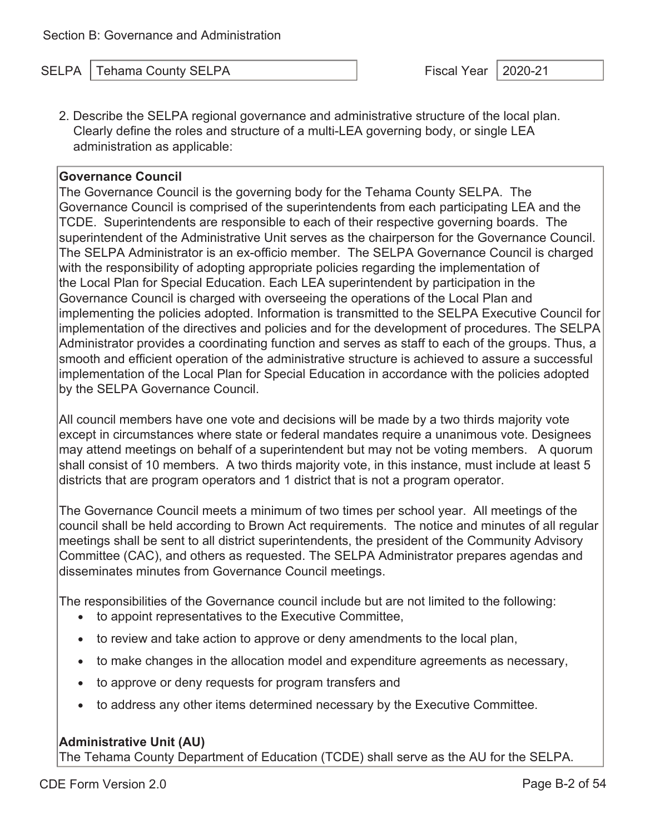2. Describe the SELPA regional governance and administrative structure of the local plan. Clearly define the roles and structure of a multi-LEA governing body, or single LEA administration as applicable:

#### **Governance Council**

The Governance Council is the governing body for the Tehama County SELPA. The Governance Council is comprised of the superintendents from each participating LEA and the TCDE. Superintendents are responsible to each of their respective governing boards. The superintendent of the Administrative Unit serves as the chairperson for the Governance Council. The SELPA Administrator is an ex-officio member. The SELPA Governance Council is charged with the responsibility of adopting appropriate policies regarding the implementation of the Local Plan for Special Education. Each LEA superintendent by participation in the Governance Council is charged with overseeing the operations of the Local Plan and implementing the policies adopted. Information is transmitted to the SELPA Executive Council for implementation of the directives and policies and for the development of procedures. The SELPA Administrator provides a coordinating function and serves as staff to each of the groups. Thus, a smooth and efficient operation of the administrative structure is achieved to assure a successful implementation of the Local Plan for Special Education in accordance with the policies adopted by the SELPA Governance Council.

All council members have one vote and decisions will be made by a two thirds majority vote except in circumstances where state or federal mandates require a unanimous vote. Designees may attend meetings on behalf of a superintendent but may not be voting members. A quorum shall consist of 10 members. A two thirds majority vote, in this instance, must include at least 5 districts that are program operators and 1 district that is not a program operator.

The Governance Council meets a minimum of two times per school year. All meetings of the council shall be held according to Brown Act requirements. The notice and minutes of all regular meetings shall be sent to all district superintendents, the president of the Community Advisory Committee (CAC), and others as requested. The SELPA Administrator prepares agendas and disseminates minutes from Governance Council meetings.

The responsibilities of the Governance council include but are not limited to the following:

- to appoint representatives to the Executive Committee,
- to review and take action to approve or deny amendments to the local plan,
- to make changes in the allocation model and expenditure agreements as necessary,
- to approve or deny requests for program transfers and
- to address any other items determined necessary by the Executive Committee.

#### **Administrative Unit (AU)**

The Tehama County Department of Education (TCDE) shall serve as the AU for the SELPA.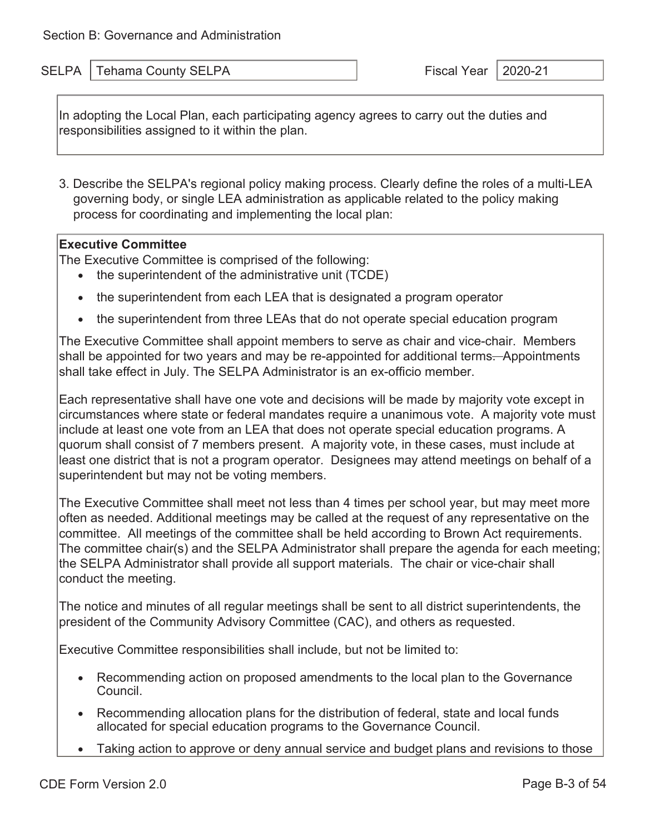٦

SELPA Tehama County SELPA Fiscal Year 2020-21

In adopting the Local Plan, each participating agency agrees to carry out the duties and responsibilities assigned to it within the plan.

3. Describe the SELPA's regional policy making process. Clearly define the roles of a multi-LEA governing body, or single LEA administration as applicable related to the policy making process for coordinating and implementing the local plan:

#### **Executive Committee**

The Executive Committee is comprised of the following:

- the superintendent of the administrative unit (TCDE)
- the superintendent from each LEA that is designated a program operator
- the superintendent from three LEAs that do not operate special education program

The Executive Committee shall appoint members to serve as chair and vice-chair. Members shall be appointed for two years and may be re-appointed for additional terms—Appointments shall take effect in July. The SELPA Administrator is an ex-officio member.

Each representative shall have one vote and decisions will be made by majority vote except in circumstances where state or federal mandates require a unanimous vote. A majority vote must include at least one vote from an LEA that does not operate special education programs. A quorum shall consist of 7 members present. A majority vote, in these cases, must include at least one district that is not a program operator. Designees may attend meetings on behalf of a superintendent but may not be voting members.

The Executive Committee shall meet not less than 4 times per school year, but may meet more often as needed. Additional meetings may be called at the request of any representative on the committee. All meetings of the committee shall be held according to Brown Act requirements. The committee chair(s) and the SELPA Administrator shall prepare the agenda for each meeting; the SELPA Administrator shall provide all support materials. The chair or vice-chair shall conduct the meeting.

The notice and minutes of all regular meetings shall be sent to all district superintendents, the president of the Community Advisory Committee (CAC), and others as requested.

Executive Committee responsibilities shall include, but not be limited to:

- Recommending action on proposed amendments to the local plan to the Governance Council.
- Recommending allocation plans for the distribution of federal, state and local funds allocated for special education programs to the Governance Council.
- Taking action to approve or deny annual service and budget plans and revisions to those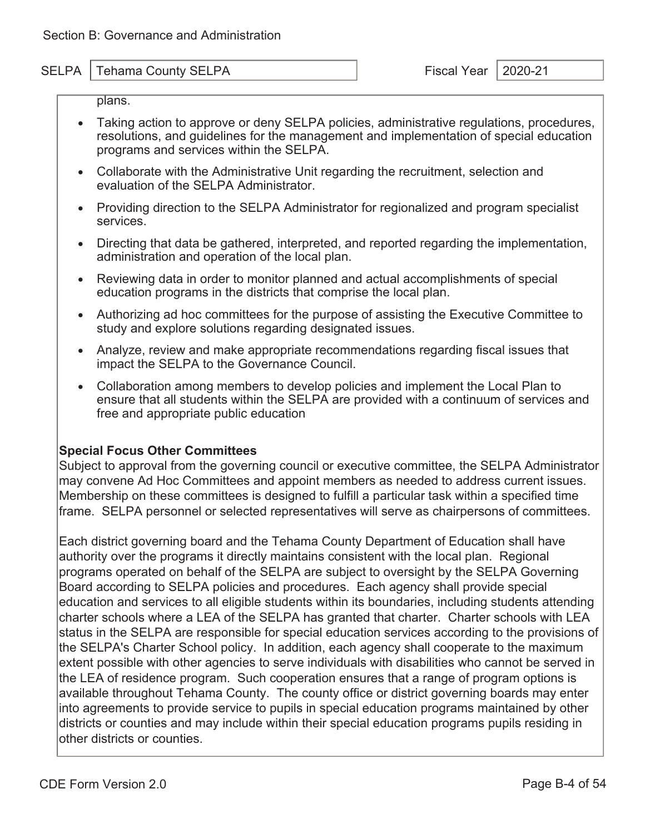plans.

- Taking action to approve or deny SELPA policies, administrative regulations, procedures, resolutions, and guidelines for the management and implementation of special education programs and services within the SELPA.
- Collaborate with the Administrative Unit regarding the recruitment, selection and evaluation of the SELPA Administrator.
- Providing direction to the SELPA Administrator for regionalized and program specialist services.
- Directing that data be gathered, interpreted, and reported regarding the implementation, administration and operation of the local plan.
- Reviewing data in order to monitor planned and actual accomplishments of special education programs in the districts that comprise the local plan.
- Authorizing ad hoc committees for the purpose of assisting the Executive Committee to study and explore solutions regarding designated issues.
- Analyze, review and make appropriate recommendations regarding fiscal issues that impact the SELPA to the Governance Council.
- Collaboration among members to develop policies and implement the Local Plan to ensure that all students within the SELPA are provided with a continuum of services and free and appropriate public education

#### **Special Focus Other Committees**

Subject to approval from the governing council or executive committee, the SELPA Administrator may convene Ad Hoc Committees and appoint members as needed to address current issues. Membership on these committees is designed to fulfill a particular task within a specified time frame. SELPA personnel or selected representatives will serve as chairpersons of committees.

Each district governing board and the Tehama County Department of Education shall have authority over the programs it directly maintains consistent with the local plan. Regional programs operated on behalf of the SELPA are subject to oversight by the SELPA Governing Board according to SELPA policies and procedures. Each agency shall provide special education and services to all eligible students within its boundaries, including students attending charter schools where a LEA of the SELPA has granted that charter. Charter schools with LEA status in the SELPA are responsible for special education services according to the provisions of the SELPA's Charter School policy. In addition, each agency shall cooperate to the maximum extent possible with other agencies to serve individuals with disabilities who cannot be served in the LEA of residence program. Such cooperation ensures that a range of program options is available throughout Tehama County. The county office or district governing boards may enter into agreements to provide service to pupils in special education programs maintained by other districts or counties and may include within their special education programs pupils residing in other districts or counties.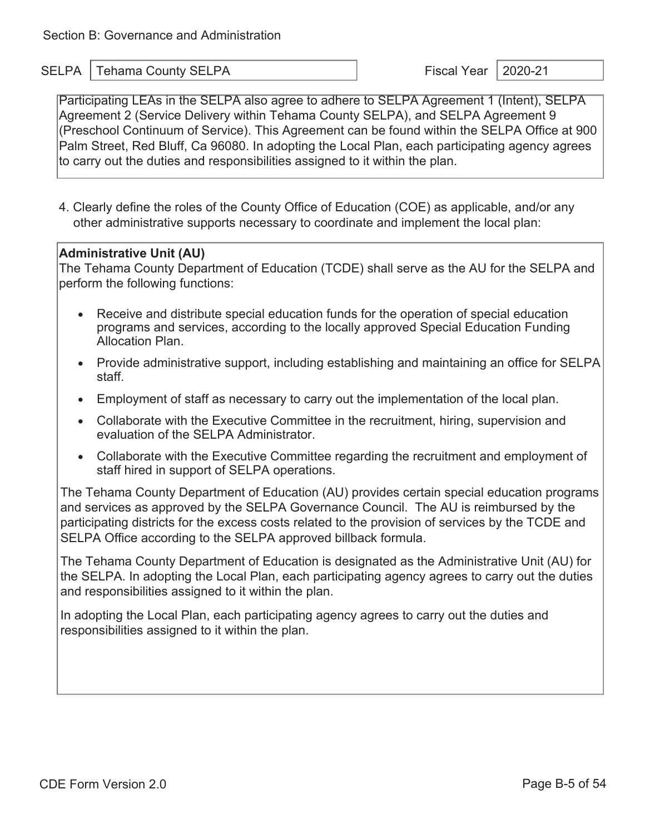Participating LEAs in the SELPA also agree to adhere to SELPA Agreement 1 (Intent), SELPA Agreement 2 (Service Delivery within Tehama County SELPA), and SELPA Agreement 9 (Preschool Continuum of Service). This Agreement can be found within the SELPA Office at 900 Palm Street, Red Bluff, Ca 96080. In adopting the Local Plan, each participating agency agrees to carry out the duties and responsibilities assigned to it within the plan.

4. Clearly define the roles of the County Office of Education (COE) as applicable, and/or any other administrative supports necessary to coordinate and implement the local plan:

#### **Administrative Unit (AU)**

The Tehama County Department of Education (TCDE) shall serve as the AU for the SELPA and perform the following functions:

- Receive and distribute special education funds for the operation of special education programs and services, according to the locally approved Special Education Funding Allocation Plan.
- Provide administrative support, including establishing and maintaining an office for SELPA staff.
- Employment of staff as necessary to carry out the implementation of the local plan.
- Collaborate with the Executive Committee in the recruitment, hiring, supervision and evaluation of the SELPA Administrator.
- Collaborate with the Executive Committee regarding the recruitment and employment of staff hired in support of SELPA operations.

The Tehama County Department of Education (AU) provides certain special education programs and services as approved by the SELPA Governance Council. The AU is reimbursed by the participating districts for the excess costs related to the provision of services by the TCDE and SELPA Office according to the SELPA approved billback formula.

The Tehama County Department of Education is designated as the Administrative Unit (AU) for the SELPA. In adopting the Local Plan, each participating agency agrees to carry out the duties and responsibilities assigned to it within the plan.

In adopting the Local Plan, each participating agency agrees to carry out the duties and responsibilities assigned to it within the plan.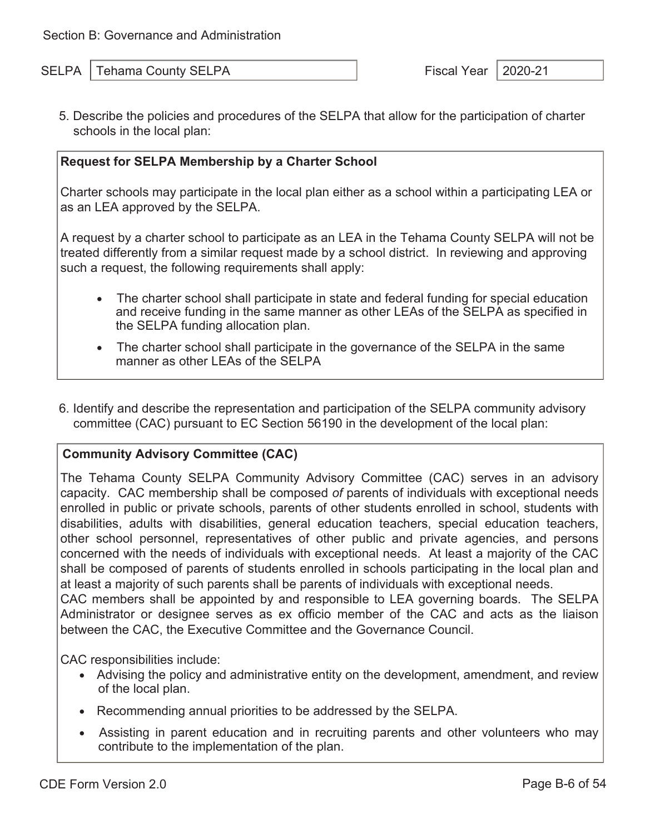5. Describe the policies and procedures of the SELPA that allow for the participation of charter schools in the local plan:

#### **Request for SELPA Membership by a Charter School**

Charter schools may participate in the local plan either as a school within a participating LEA or as an LEA approved by the SELPA.

A request by a charter school to participate as an LEA in the Tehama County SELPA will not be treated differently from a similar request made by a school district. In reviewing and approving such a request, the following requirements shall apply:

- The charter school shall participate in state and federal funding for special education and receive funding in the same manner as other LEAs of the SELPA as specified in the SELPA funding allocation plan.
- The charter school shall participate in the governance of the SELPA in the same manner as other LEAs of the SELPA
- 6. Identify and describe the representation and participation of the SELPA community advisory committee (CAC) pursuant to EC Section 56190 in the development of the local plan:

#### **Community Advisory Committee (CAC)**

The Tehama County SELPA Community Advisory Committee (CAC) serves in an advisory capacity. CAC membership shall be composed *of* parents of individuals with exceptional needs enrolled in public or private schools, parents of other students enrolled in school, students with disabilities, adults with disabilities, general education teachers, special education teachers, other school personnel, representatives of other public and private agencies, and persons concerned with the needs of individuals with exceptional needs. At least a majority of the CAC shall be composed of parents of students enrolled in schools participating in the local plan and at least a majority of such parents shall be parents of individuals with exceptional needs.

CAC members shall be appointed by and responsible to LEA governing boards. The SELPA Administrator or designee serves as ex officio member of the CAC and acts as the liaison between the CAC, the Executive Committee and the Governance Council.

CAC responsibilities include:

- Advising the policy and administrative entity on the development, amendment, and review of the local plan.
- Recommending annual priorities to be addressed by the SELPA.
- Assisting in parent education and in recruiting parents and other volunteers who may contribute to the implementation of the plan.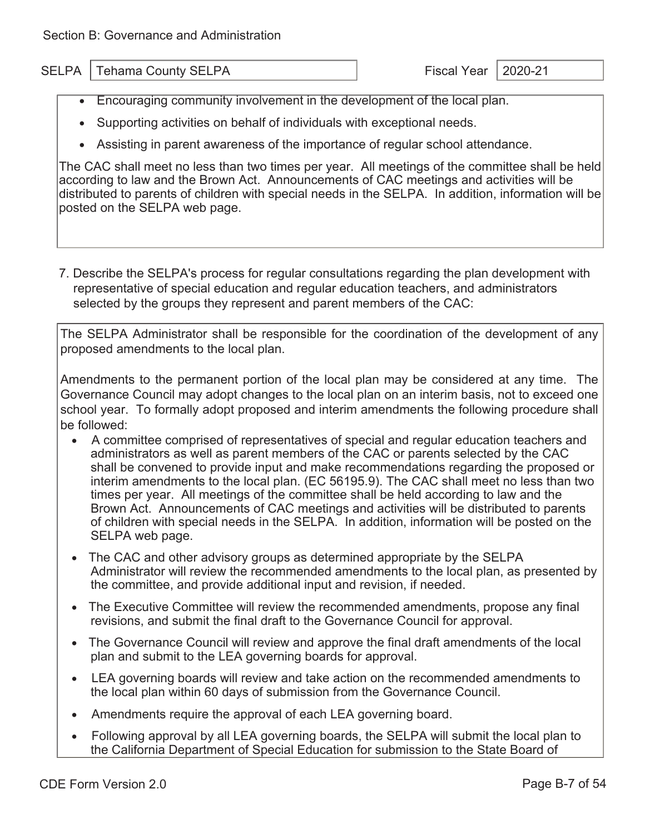- Encouraging community involvement in the development of the local plan.
- Supporting activities on behalf of individuals with exceptional needs.
- Assisting in parent awareness of the importance of regular school attendance.

The CAC shall meet no less than two times per year. All meetings of the committee shall be held according to law and the Brown Act. Announcements of CAC meetings and activities will be distributed to parents of children with special needs in the SELPA. In addition, information will be posted on the SELPA web page.

7. Describe the SELPA's process for regular consultations regarding the plan development with representative of special education and regular education teachers, and administrators selected by the groups they represent and parent members of the CAC:

The SELPA Administrator shall be responsible for the coordination of the development of any proposed amendments to the local plan.

Amendments to the permanent portion of the local plan may be considered at any time. The Governance Council may adopt changes to the local plan on an interim basis, not to exceed one school year. To formally adopt proposed and interim amendments the following procedure shall be followed:

- A committee comprised of representatives of special and regular education teachers and administrators as well as parent members of the CAC or parents selected by the CAC shall be convened to provide input and make recommendations regarding the proposed or interim amendments to the local plan. (EC 56195.9). The CAC shall meet no less than two times per year. All meetings of the committee shall be held according to law and the Brown Act. Announcements of CAC meetings and activities will be distributed to parents of children with special needs in the SELPA. In addition, information will be posted on the SELPA web page.
- The CAC and other advisory groups as determined appropriate by the SELPA Administrator will review the recommended amendments to the local plan, as presented by the committee, and provide additional input and revision, if needed.
- The Executive Committee will review the recommended amendments, propose any final revisions, and submit the final draft to the Governance Council for approval.
- The Governance Council will review and approve the final draft amendments of the local plan and submit to the LEA governing boards for approval.
- LEA governing boards will review and take action on the recommended amendments to the local plan within 60 days of submission from the Governance Council.
- Amendments require the approval of each LEA governing board.
- Following approval by all LEA governing boards, the SELPA will submit the local plan to the California Department of Special Education for submission to the State Board of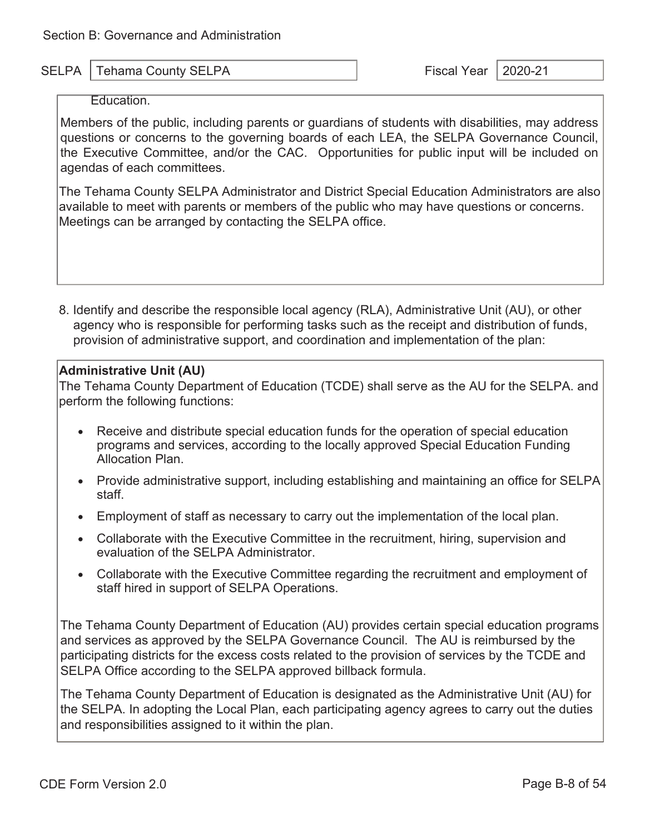#### Education.

Members of the public, including parents or guardians of students with disabilities, may address questions or concerns to the governing boards of each LEA, the SELPA Governance Council, the Executive Committee, and/or the CAC. Opportunities for public input will be included on agendas of each committees.

The Tehama County SELPA Administrator and District Special Education Administrators are also available to meet with parents or members of the public who may have questions or concerns. Meetings can be arranged by contacting the SELPA office.

8. Identify and describe the responsible local agency (RLA), Administrative Unit (AU), or other agency who is responsible for performing tasks such as the receipt and distribution of funds, provision of administrative support, and coordination and implementation of the plan:

#### **Administrative Unit (AU)**

The Tehama County Department of Education (TCDE) shall serve as the AU for the SELPA. and perform the following functions:

- Receive and distribute special education funds for the operation of special education programs and services, according to the locally approved Special Education Funding Allocation Plan.
- Provide administrative support, including establishing and maintaining an office for SELPA staff.
- Employment of staff as necessary to carry out the implementation of the local plan.
- Collaborate with the Executive Committee in the recruitment, hiring, supervision and evaluation of the SELPA Administrator.
- Collaborate with the Executive Committee regarding the recruitment and employment of staff hired in support of SELPA Operations.

The Tehama County Department of Education (AU) provides certain special education programs and services as approved by the SELPA Governance Council. The AU is reimbursed by the participating districts for the excess costs related to the provision of services by the TCDE and SELPA Office according to the SELPA approved billback formula.

The Tehama County Department of Education is designated as the Administrative Unit (AU) for the SELPA. In adopting the Local Plan, each participating agency agrees to carry out the duties and responsibilities assigned to it within the plan.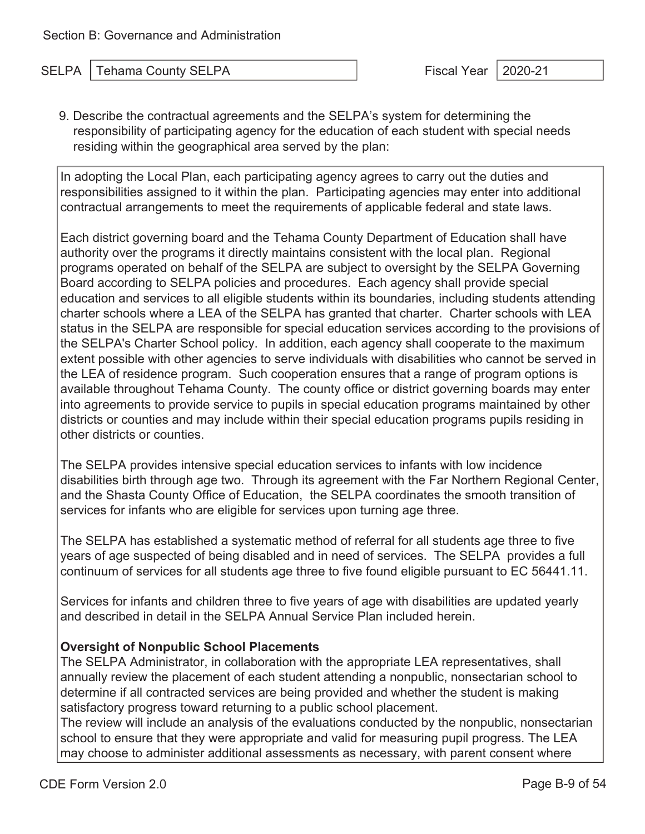9. Describe the contractual agreements and the SELPA's system for determining the responsibility of participating agency for the education of each student with special needs residing within the geographical area served by the plan:

In adopting the Local Plan, each participating agency agrees to carry out the duties and responsibilities assigned to it within the plan. Participating agencies may enter into additional contractual arrangements to meet the requirements of applicable federal and state laws.

Each district governing board and the Tehama County Department of Education shall have authority over the programs it directly maintains consistent with the local plan. Regional programs operated on behalf of the SELPA are subject to oversight by the SELPA Governing Board according to SELPA policies and procedures. Each agency shall provide special education and services to all eligible students within its boundaries, including students attending charter schools where a LEA of the SELPA has granted that charter. Charter schools with LEA status in the SELPA are responsible for special education services according to the provisions of the SELPA's Charter School policy. In addition, each agency shall cooperate to the maximum extent possible with other agencies to serve individuals with disabilities who cannot be served in the LEA of residence program. Such cooperation ensures that a range of program options is available throughout Tehama County. The county office or district governing boards may enter into agreements to provide service to pupils in special education programs maintained by other districts or counties and may include within their special education programs pupils residing in other districts or counties.

The SELPA provides intensive special education services to infants with low incidence disabilities birth through age two. Through its agreement with the Far Northern Regional Center, and the Shasta County Office of Education, the SELPA coordinates the smooth transition of services for infants who are eligible for services upon turning age three.

The SELPA has established a systematic method of referral for all students age three to five years of age suspected of being disabled and in need of services. The SELPA provides a full continuum of services for all students age three to five found eligible pursuant to EC 56441.11.

Services for infants and children three to five years of age with disabilities are updated yearly and described in detail in the SELPA Annual Service Plan included herein.

#### **Oversight of Nonpublic School Placements**

The SELPA Administrator, in collaboration with the appropriate LEA representatives, shall annually review the placement of each student attending a nonpublic, nonsectarian school to determine if all contracted services are being provided and whether the student is making satisfactory progress toward returning to a public school placement.

The review will include an analysis of the evaluations conducted by the nonpublic, nonsectarian school to ensure that they were appropriate and valid for measuring pupil progress. The LEA may choose to administer additional assessments as necessary, with parent consent where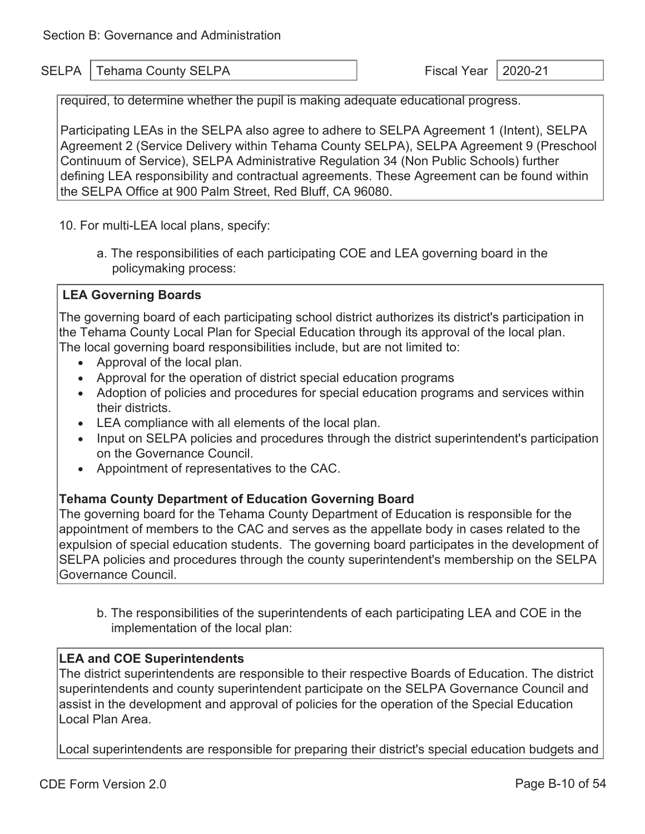required, to determine whether the pupil is making adequate educational progress.

Participating LEAs in the SELPA also agree to adhere to SELPA Agreement 1 (Intent), SELPA Agreement 2 (Service Delivery within Tehama County SELPA), SELPA Agreement 9 (Preschool Continuum of Service), SELPA Administrative Regulation 34 (Non Public Schools) further defining LEA responsibility and contractual agreements. These Agreement can be found within the SELPA Office at 900 Palm Street, Red Bluff, CA 96080.

10. For multi-LEA local plans, specify:

 a. The responsibilities of each participating COE and LEA governing board in the policymaking process:

#### **LEA Governing Boards**

The governing board of each participating school district authorizes its district's participation in the Tehama County Local Plan for Special Education through its approval of the local plan. The local governing board responsibilities include, but are not limited to:

- Approval of the local plan.
- Approval for the operation of district special education programs
- Adoption of policies and procedures for special education programs and services within their districts.
- LEA compliance with all elements of the local plan.
- Input on SELPA policies and procedures through the district superintendent's participation on the Governance Council.
- Appointment of representatives to the CAC.

#### **Tehama County Department of Education Governing Board**

The governing board for the Tehama County Department of Education is responsible for the appointment of members to the CAC and serves as the appellate body in cases related to the expulsion of special education students. The governing board participates in the development of SELPA policies and procedures through the county superintendent's membership on the SELPA Governance Council.

b. The responsibilities of the superintendents of each participating LEA and COE in the implementation of the local plan:

#### **LEA and COE Superintendents**

The district superintendents are responsible to their respective Boards of Education. The district superintendents and county superintendent participate on the SELPA Governance Council and assist in the development and approval of policies for the operation of the Special Education Local Plan Area.

Local superintendents are responsible for preparing their district's special education budgets and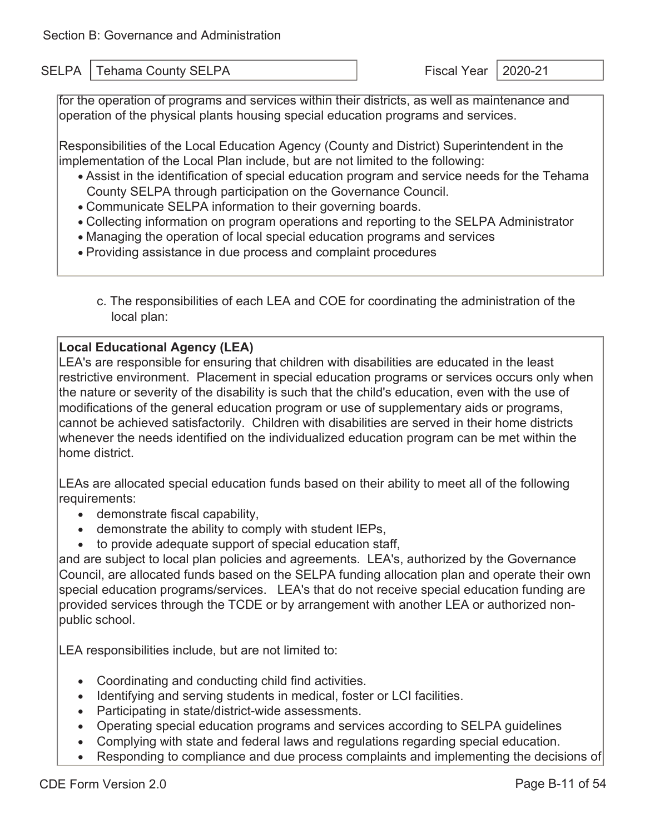for the operation of programs and services within their districts, as well as maintenance and operation of the physical plants housing special education programs and services.

Responsibilities of the Local Education Agency (County and District) Superintendent in the implementation of the Local Plan include, but are not limited to the following:

- Assist in the identification of special education program and service needs for the Tehama County SELPA through participation on the Governance Council.
- Communicate SELPA information to their governing boards.
- Collecting information on program operations and reporting to the SELPA Administrator
- Managing the operation of local special education programs and services
- Providing assistance in due process and complaint procedures
	- c. The responsibilities of each LEA and COE for coordinating the administration of the local plan:

#### **Local Educational Agency (LEA)**

LEA's are responsible for ensuring that children with disabilities are educated in the least restrictive environment. Placement in special education programs or services occurs only when the nature or severity of the disability is such that the child's education, even with the use of modifications of the general education program or use of supplementary aids or programs, cannot be achieved satisfactorily. Children with disabilities are served in their home districts whenever the needs identified on the individualized education program can be met within the home district.

LEAs are allocated special education funds based on their ability to meet all of the following requirements:

- demonstrate fiscal capability,
- demonstrate the ability to comply with student IEPs,
- to provide adequate support of special education staff,

and are subject to local plan policies and agreements. LEA's, authorized by the Governance Council, are allocated funds based on the SELPA funding allocation plan and operate their own special education programs/services. LEA's that do not receive special education funding are provided services through the TCDE or by arrangement with another LEA or authorized nonpublic school.

LEA responsibilities include, but are not limited to:

- Coordinating and conducting child find activities.
- Identifying and serving students in medical, foster or LCI facilities.
- Participating in state/district-wide assessments.
- Operating special education programs and services according to SELPA guidelines
- Complying with state and federal laws and regulations regarding special education.
- Responding to compliance and due process complaints and implementing the decisions of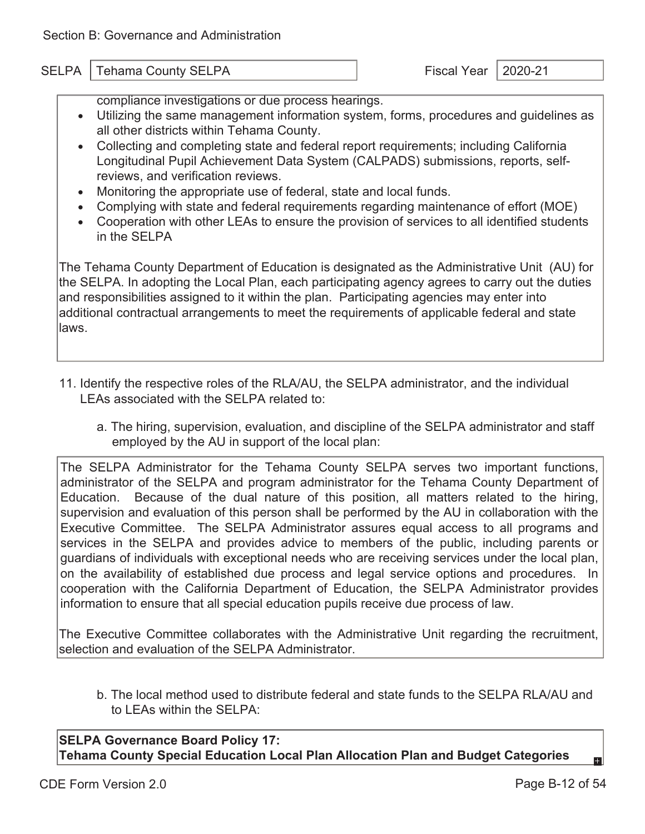compliance investigations or due process hearings.

- Utilizing the same management information system, forms, procedures and guidelines as all other districts within Tehama County.
- Collecting and completing state and federal report requirements; including California Longitudinal Pupil Achievement Data System (CALPADS) submissions, reports, selfreviews, and verification reviews.
- Monitoring the appropriate use of federal, state and local funds.
- Complying with state and federal requirements regarding maintenance of effort (MOE)
- Cooperation with other LEAs to ensure the provision of services to all identified students in the SELPA

The Tehama County Department of Education is designated as the Administrative Unit (AU) for the SELPA. In adopting the Local Plan, each participating agency agrees to carry out the duties and responsibilities assigned to it within the plan. Participating agencies may enter into additional contractual arrangements to meet the requirements of applicable federal and state laws.

- 11. Identify the respective roles of the RLA/AU, the SELPA administrator, and the individual LEAs associated with the SELPA related to:
	- a. The hiring, supervision, evaluation, and discipline of the SELPA administrator and staff employed by the AU in support of the local plan:

The SELPA Administrator for the Tehama County SELPA serves two important functions, administrator of the SELPA and program administrator for the Tehama County Department of Education. Because of the dual nature of this position, all matters related to the hiring, supervision and evaluation of this person shall be performed by the AU in collaboration with the Executive Committee. The SELPA Administrator assures equal access to all programs and services in the SELPA and provides advice to members of the public, including parents or guardians of individuals with exceptional needs who are receiving services under the local plan, on the availability of established due process and legal service options and procedures. In cooperation with the California Department of Education, the SELPA Administrator provides information to ensure that all special education pupils receive due process of law.

The Executive Committee collaborates with the Administrative Unit regarding the recruitment, selection and evaluation of the SELPA Administrator.

b. The local method used to distribute federal and state funds to the SELPA RLA/AU and to LEAs within the SELPA:

**SELPA Governance Board Policy 17: Tehama County Special Education Local Plan Allocation Plan and Budget Categories** 

61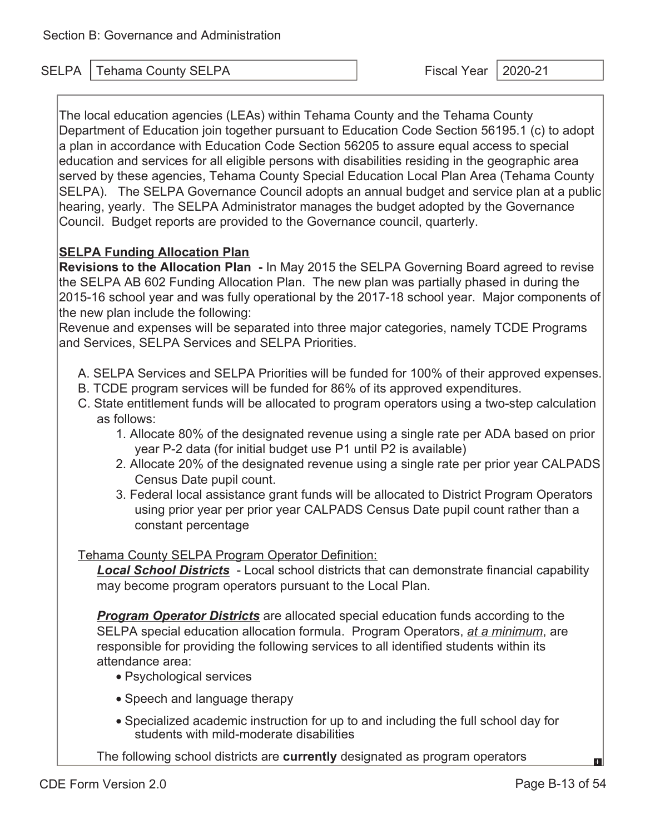SELPA Tehama County SELPA Fiscal Year 2020-21

The local education agencies (LEAs) within Tehama County and the Tehama County Department of Education join together pursuant to Education Code Section 56195.1 (c) to adopt a plan in accordance with Education Code Section 56205 to assure equal access to special education and services for all eligible persons with disabilities residing in the geographic area served by these agencies, Tehama County Special Education Local Plan Area (Tehama County SELPA). The SELPA Governance Council adopts an annual budget and service plan at a public hearing, yearly. The SELPA Administrator manages the budget adopted by the Governance Council. Budget reports are provided to the Governance council, quarterly.

### **SELPA Funding Allocation Plan**

**Revisions to the Allocation Plan -** In May 2015 the SELPA Governing Board agreed to revise the SELPA AB 602 Funding Allocation Plan. The new plan was partially phased in during the 2015-16 school year and was fully operational by the 2017-18 school year. Major components of the new plan include the following:

Revenue and expenses will be separated into three major categories, namely TCDE Programs and Services, SELPA Services and SELPA Priorities.

- A. SELPA Services and SELPA Priorities will be funded for 100% of their approved expenses.
- B. TCDE program services will be funded for 86% of its approved expenditures.
- C. State entitlement funds will be allocated to program operators using a two-step calculation as follows:
	- 1. Allocate 80% of the designated revenue using a single rate per ADA based on prior year P-2 data (for initial budget use P1 until P2 is available)
	- 2. Allocate 20% of the designated revenue using a single rate per prior year CALPADS Census Date pupil count.
	- 3. Federal local assistance grant funds will be allocated to District Program Operators using prior year per prior year CALPADS Census Date pupil count rather than a constant percentage

#### Tehama County SELPA Program Operator Definition:

*Local School Districts* - Local school districts that can demonstrate financial capability may become program operators pursuant to the Local Plan.

*Program Operator Districts* are allocated special education funds according to the SELPA special education allocation formula. Program Operators, *at a minimum*, are responsible for providing the following services to all identified students within its attendance area:

- Psychological services
- Speech and language therapy
- Specialized academic instruction for up to and including the full school day for students with mild-moderate disabilities

The following school districts are **currently** designated as program operators

вI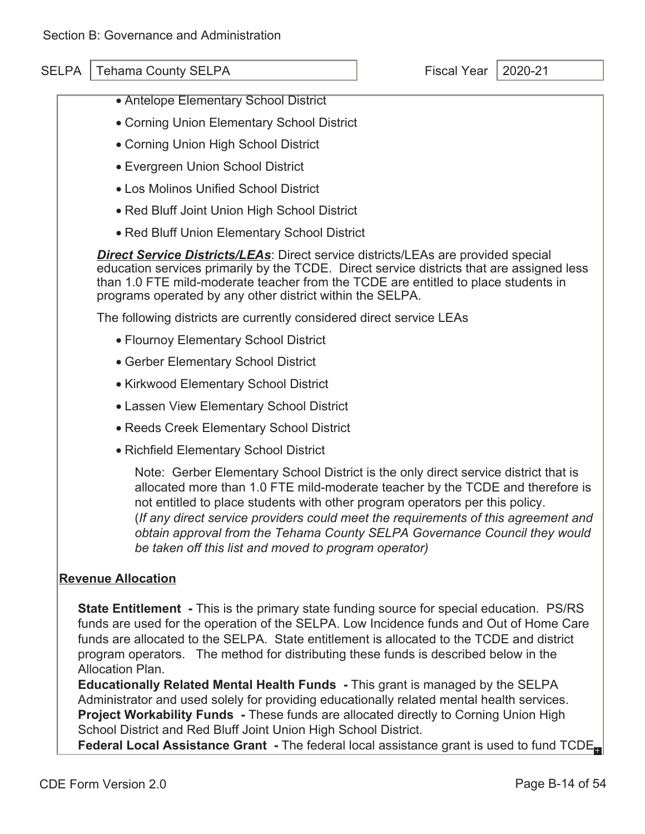- Antelope Elementary School District
- Corning Union Elementary School District
- Corning Union High School District
- Evergreen Union School District
- Los Molinos Unified School District
- Red Bluff Joint Union High School District
- Red Bluff Union Elementary School District

*Direct Service Districts/LEAs*: Direct service districts/LEAs are provided special education services primarily by the TCDE. Direct service districts that are assigned less than 1.0 FTE mild-moderate teacher from the TCDE are entitled to place students in programs operated by any other district within the SELPA.

The following districts are currently considered direct service LEAs

- Flournoy Elementary School District
- Gerber Elementary School District
- Kirkwood Elementary School District
- Lassen View Elementary School District
- Reeds Creek Elementary School District
- Richfield Elementary School District

Note: Gerber Elementary School District is the only direct service district that is allocated more than 1.0 FTE mild-moderate teacher by the TCDE and therefore is not entitled to place students with other program operators per this policy. (*If any direct service providers could meet the requirements of this agreement and obtain approval from the Tehama County SELPA Governance Council they would be taken off this list and moved to program operator)* 

#### **Revenue Allocation**

**State Entitlement -** This is the primary state funding source for special education. PS/RS funds are used for the operation of the SELPA. Low Incidence funds and Out of Home Care funds are allocated to the SELPA. State entitlement is allocated to the TCDE and district program operators. The method for distributing these funds is described below in the Allocation Plan.

**Educationally Related Mental Health Funds -** This grant is managed by the SELPA Administrator and used solely for providing educationally related mental health services. **Project Workability Funds -** These funds are allocated directly to Corning Union High School District and Red Bluff Joint Union High School District.

**Federal Local Assistance Grant -** The federal local assistance grant is used to fund TCDE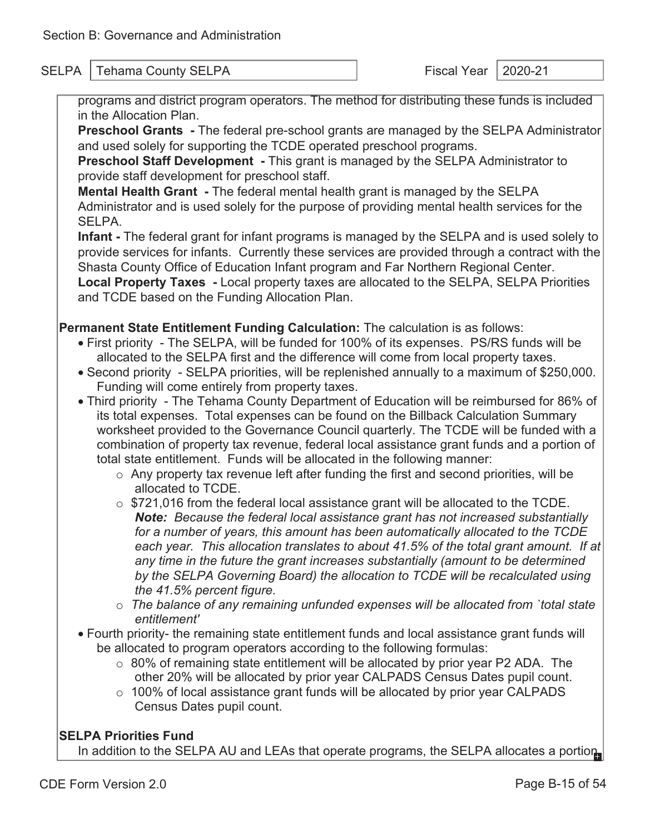programs and district program operators. The method for distributing these funds is included in the Allocation Plan.

**Preschool Grants -** The federal pre-school grants are managed by the SELPA Administrator and used solely for supporting the TCDE operated preschool programs.

**Preschool Staff Development -** This grant is managed by the SELPA Administrator to provide staff development for preschool staff.

**Mental Health Grant -** The federal mental health grant is managed by the SELPA Administrator and is used solely for the purpose of providing mental health services for the SELPA.

**Infant -** The federal grant for infant programs is managed by the SELPA and is used solely to provide services for infants. Currently these services are provided through a contract with the Shasta County Office of Education Infant program and Far Northern Regional Center. **Local Property Taxes -** Local property taxes are allocated to the SELPA, SELPA Priorities and TCDE based on the Funding Allocation Plan.

**Permanent State Entitlement Funding Calculation:** The calculation is as follows:

- First priority The SELPA, will be funded for 100% of its expenses. PS/RS funds will be allocated to the SELPA first and the difference will come from local property taxes.
- Second priority SELPA priorities, will be replenished annually to a maximum of \$250,000. Funding will come entirely from property taxes.
- Third priority The Tehama County Department of Education will be reimbursed for 86% of its total expenses. Total expenses can be found on the Billback Calculation Summary worksheet provided to the Governance Council quarterly. The TCDE will be funded with a combination of property tax revenue, federal local assistance grant funds and a portion of total state entitlement. Funds will be allocated in the following manner:
	- $\circ$  Any property tax revenue left after funding the first and second priorities, will be allocated to TCDE.
	- o \$721,016 from the federal local assistance grant will be allocated to the TCDE. *Note: Because the federal local assistance grant has not increased substantially for a number of years, this amount has been automatically allocated to the TCDE each year. This allocation translates to about 41.5% of the total grant amount. If at any time in the future the grant increases substantially (amount to be determined by the SELPA Governing Board) the allocation to TCDE will be recalculated using the 41.5% percent figure.*
	- o *The balance of any remaining unfunded expenses will be allocated from `total state entitlement'*
- Fourth priority- the remaining state entitlement funds and local assistance grant funds will be allocated to program operators according to the following formulas:
	- $\circ$  80% of remaining state entitlement will be allocated by prior year P2 ADA. The other 20% will be allocated by prior year CALPADS Census Dates pupil count.
	- $\circ$  100% of local assistance grant funds will be allocated by prior year CALPADS Census Dates pupil count.

### **SELPA Priorities Fund**

In addition to the SELPA AU and LEAs that operate programs, the SELPA allocates a portion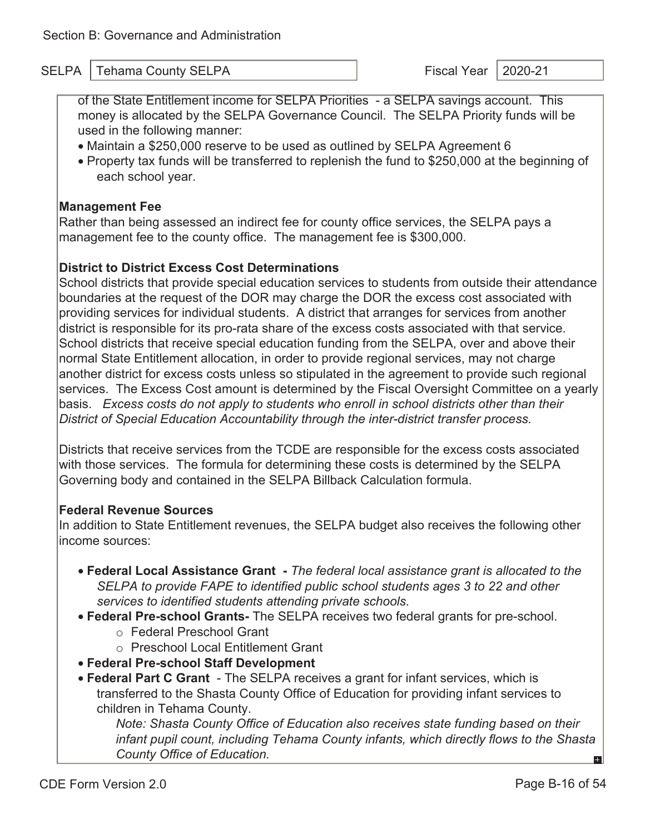of the State Entitlement income for SELPA Priorities - a SELPA savings account. This money is allocated by the SELPA Governance Council. The SELPA Priority funds will be used in the following manner:

- Maintain a \$250,000 reserve to be used as outlined by SELPA Agreement 6
- Property tax funds will be transferred to replenish the fund to \$250,000 at the beginning of each school year.

#### **Management Fee**

Rather than being assessed an indirect fee for county office services, the SELPA pays a management fee to the county office. The management fee is \$300,000.

#### **District to District Excess Cost Determinations**

School districts that provide special education services to students from outside their attendance boundaries at the request of the DOR may charge the DOR the excess cost associated with providing services for individual students. A district that arranges for services from another district is responsible for its pro-rata share of the excess costs associated with that service. School districts that receive special education funding from the SELPA, over and above their normal State Entitlement allocation, in order to provide regional services, may not charge another district for excess costs unless so stipulated in the agreement to provide such regional services. The Excess Cost amount is determined by the Fiscal Oversight Committee on a yearly basis. *Excess costs do not apply to students who enroll in school districts other than their District of Special Education Accountability through the inter-district transfer process.* 

Districts that receive services from the TCDE are responsible for the excess costs associated with those services. The formula for determining these costs is determined by the SELPA Governing body and contained in the SELPA Billback Calculation formula.

#### **Federal Revenue Sources**

In addition to State Entitlement revenues, the SELPA budget also receives the following other income sources:

- **Federal Local Assistance Grant** *The federal local assistance grant is allocated to the SELPA to provide FAPE to identified public school students ages 3 to 22 and other services to identified students attending private schools.*
- **Federal Pre-school Grants-** The SELPA receives two federal grants for pre-school.
	- o Federal Preschool Grant
	- o Preschool Local Entitlement Grant
- **Federal Pre-school Staff Development**
- **Federal Part C Grant**  The SELPA receives a grant for infant services, which is transferred to the Shasta County Office of Education for providing infant services to children in Tehama County.

*Note: Shasta County Office of Education also receives state funding based on their infant pupil count, including Tehama County infants, which directly flows to the Shasta County Office of Education.* 61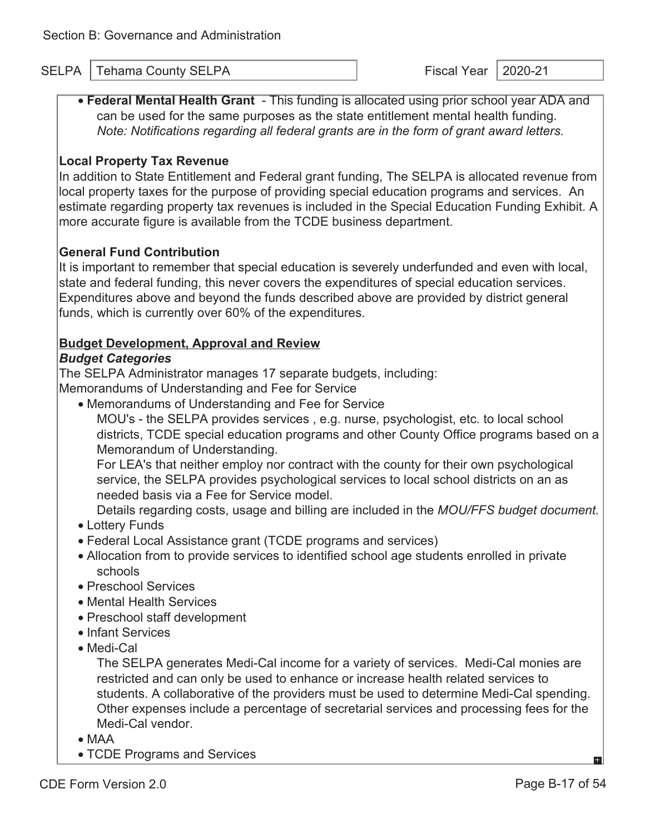• **Federal Mental Health Grant** - This funding is allocated using prior school year ADA and can be used for the same purposes as the state entitlement mental health funding. *Note: Notifications regarding all federal grants are in the form of grant award letters.* 

#### **Local Property Tax Revenue**

In addition to State Entitlement and Federal grant funding, The SELPA is allocated revenue from local property taxes for the purpose of providing special education programs and services. An estimate regarding property tax revenues is included in the Special Education Funding Exhibit. A more accurate figure is available from the TCDE business department.

#### **General Fund Contribution**

It is important to remember that special education is severely underfunded and even with local, state and federal funding, this never covers the expenditures of special education services. Expenditures above and beyond the funds described above are provided by district general funds, which is currently over 60% of the expenditures.

#### **Budget Development, Approval and Review**

#### *Budget Categories*

The SELPA Administrator manages 17 separate budgets, including:

Memorandums of Understanding and Fee for Service

• Memorandums of Understanding and Fee for Service MOU's - the SELPA provides services , e.g. nurse, psychologist, etc. to local school districts, TCDE special education programs and other County Office programs based on a Memorandum of Understanding.

For LEA's that neither employ nor contract with the county for their own psychological service, the SELPA provides psychological services to local school districts on an as needed basis via a Fee for Service model.

Details regarding costs, usage and billing are included in the *MOU/FFS budget document.* 

- Lottery Funds
- Federal Local Assistance grant (TCDE programs and services)
- Allocation from to provide services to identified school age students enrolled in private schools
- Preschool Services
- Mental Health Services
- Preschool staff development
- Infant Services
- Medi-Cal

The SELPA generates Medi-Cal income for a variety of services. Medi-Cal monies are restricted and can only be used to enhance or increase health related services to students. A collaborative of the providers must be used to determine Medi-Cal spending. Other expenses include a percentage of secretarial services and processing fees for the Medi-Cal vendor.

- MAA
- TCDE Programs and Services

EЗİ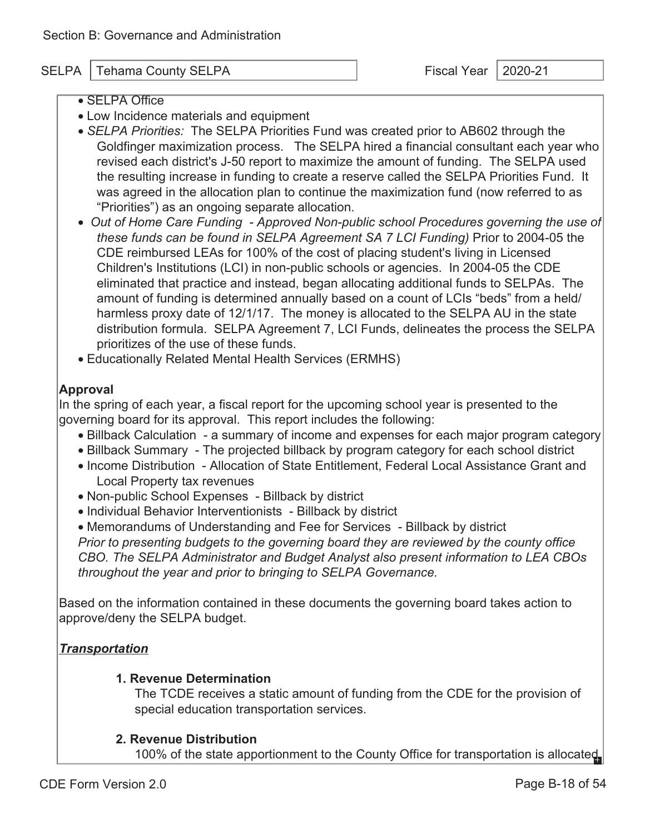- SELPA Office
- Low Incidence materials and equipment
- *SELPA Priorities:* The SELPA Priorities Fund was created prior to AB602 through the Goldfinger maximization process. The SELPA hired a financial consultant each year who revised each district's J-50 report to maximize the amount of funding. The SELPA used the resulting increase in funding to create a reserve called the SELPA Priorities Fund. It was agreed in the allocation plan to continue the maximization fund (now referred to as "Priorities") as an ongoing separate allocation.
- *Out of Home Care Funding Approved Non-public school Procedures governing the use of these funds can be found in SELPA Agreement SA 7 LCI Funding)* Prior to 2004-05 the CDE reimbursed LEAs for 100% of the cost of placing student's living in Licensed Children's Institutions (LCI) in non-public schools or agencies. In 2004-05 the CDE eliminated that practice and instead, began allocating additional funds to SELPAs. The amount of funding is determined annually based on a count of LCIs "beds" from a held/ harmless proxy date of 12/1/17. The money is allocated to the SELPA AU in the state distribution formula. SELPA Agreement 7, LCI Funds, delineates the process the SELPA prioritizes of the use of these funds.
- Educationally Related Mental Health Services (ERMHS)

#### **Approval**

In the spring of each year, a fiscal report for the upcoming school year is presented to the governing board for its approval. This report includes the following:

- Billback Calculation a summary of income and expenses for each major program category
- Billback Summary The projected billback by program category for each school district
- Income Distribution Allocation of State Entitlement, Federal Local Assistance Grant and Local Property tax revenues
- Non-public School Expenses Billback by district
- Individual Behavior Interventionists Billback by district

• Memorandums of Understanding and Fee for Services - Billback by district *Prior to presenting budgets to the governing board they are reviewed by the county office CBO. The SELPA Administrator and Budget Analyst also present information to LEA CBOs throughout the year and prior to bringing to SELPA Governance.* 

Based on the information contained in these documents the governing board takes action to approve/deny the SELPA budget.

#### *Transportation*

#### **1. Revenue Determination**

The TCDE receives a static amount of funding from the CDE for the provision of special education transportation services.

#### **2. Revenue Distribution**

100% of the state apportionment to the County Office for transportation is allocated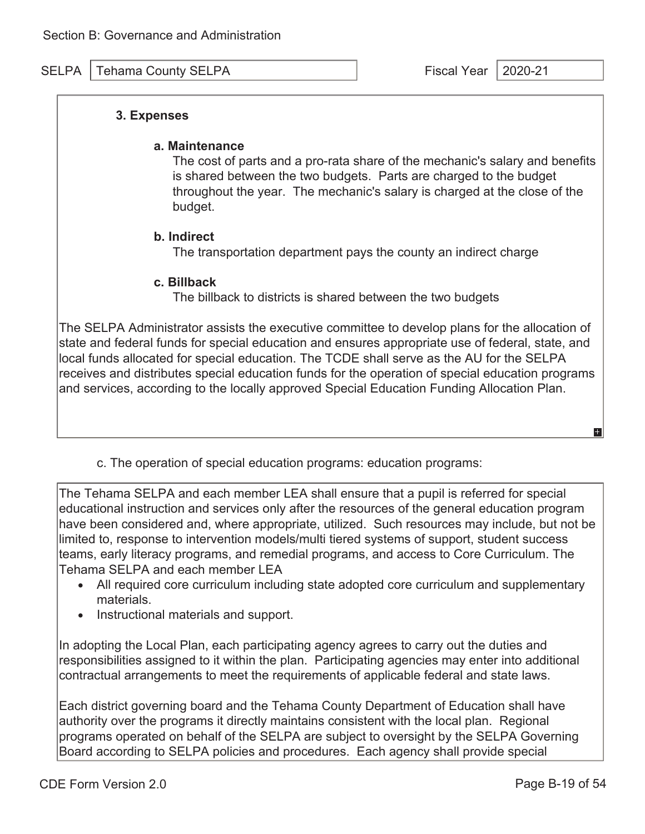#### **3. Expenses**

٦

#### **a. Maintenance**

The cost of parts and a pro-rata share of the mechanic's salary and benefits is shared between the two budgets. Parts are charged to the budget throughout the year. The mechanic's salary is charged at the close of the budget.

#### **b. Indirect**

The transportation department pays the county an indirect charge

#### **c. Billback**

The billback to districts is shared between the two budgets

The SELPA Administrator assists the executive committee to develop plans for the allocation of state and federal funds for special education and ensures appropriate use of federal, state, and local funds allocated for special education. The TCDE shall serve as the AU for the SELPA receives and distributes special education funds for the operation of special education programs and services, according to the locally approved Special Education Funding Allocation Plan.

c. The operation of special education programs: education programs:

The Tehama SELPA and each member LEA shall ensure that a pupil is referred for special educational instruction and services only after the resources of the general education program have been considered and, where appropriate, utilized. Such resources may include, but not be limited to, response to intervention models/multi tiered systems of support, student success teams, early literacy programs, and remedial programs, and access to Core Curriculum. The Tehama SELPA and each member LEA

- All required core curriculum including state adopted core curriculum and supplementary materials.
- Instructional materials and support.

In adopting the Local Plan, each participating agency agrees to carry out the duties and responsibilities assigned to it within the plan. Participating agencies may enter into additional contractual arrangements to meet the requirements of applicable federal and state laws.

Each district governing board and the Tehama County Department of Education shall have authority over the programs it directly maintains consistent with the local plan. Regional programs operated on behalf of the SELPA are subject to oversight by the SELPA Governing Board according to SELPA policies and procedures. Each agency shall provide special

E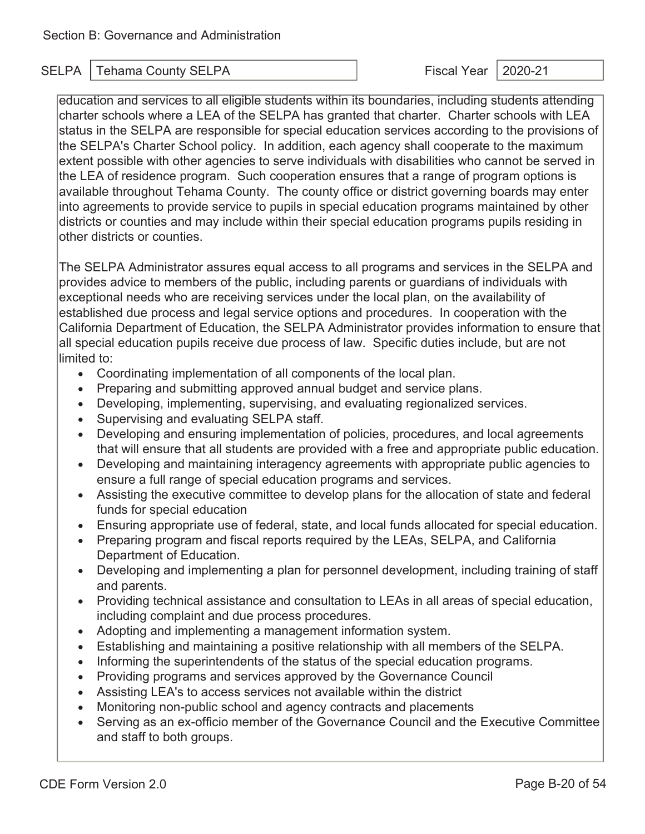education and services to all eligible students within its boundaries, including students attending charter schools where a LEA of the SELPA has granted that charter. Charter schools with LEA status in the SELPA are responsible for special education services according to the provisions of the SELPA's Charter School policy. In addition, each agency shall cooperate to the maximum extent possible with other agencies to serve individuals with disabilities who cannot be served in the LEA of residence program. Such cooperation ensures that a range of program options is available throughout Tehama County. The county office or district governing boards may enter into agreements to provide service to pupils in special education programs maintained by other districts or counties and may include within their special education programs pupils residing in other districts or counties.

The SELPA Administrator assures equal access to all programs and services in the SELPA and provides advice to members of the public, including parents or guardians of individuals with exceptional needs who are receiving services under the local plan, on the availability of established due process and legal service options and procedures. In cooperation with the California Department of Education, the SELPA Administrator provides information to ensure that all special education pupils receive due process of law. Specific duties include, but are not limited to:

- Coordinating implementation of all components of the local plan.
- Preparing and submitting approved annual budget and service plans.
- Developing, implementing, supervising, and evaluating regionalized services.
- Supervising and evaluating SELPA staff.
- Developing and ensuring implementation of policies, procedures, and local agreements that will ensure that all students are provided with a free and appropriate public education.
- Developing and maintaining interagency agreements with appropriate public agencies to ensure a full range of special education programs and services.
- Assisting the executive committee to develop plans for the allocation of state and federal funds for special education
- Ensuring appropriate use of federal, state, and local funds allocated for special education.
- Preparing program and fiscal reports required by the LEAs, SELPA, and California Department of Education.
- Developing and implementing a plan for personnel development, including training of staff and parents.
- Providing technical assistance and consultation to LEAs in all areas of special education, including complaint and due process procedures.
- Adopting and implementing a management information system.
- Establishing and maintaining a positive relationship with all members of the SELPA.
- Informing the superintendents of the status of the special education programs.
- Providing programs and services approved by the Governance Council
- Assisting LEA's to access services not available within the district
- Monitoring non-public school and agency contracts and placements
- Serving as an ex-officio member of the Governance Council and the Executive Committee and staff to both groups.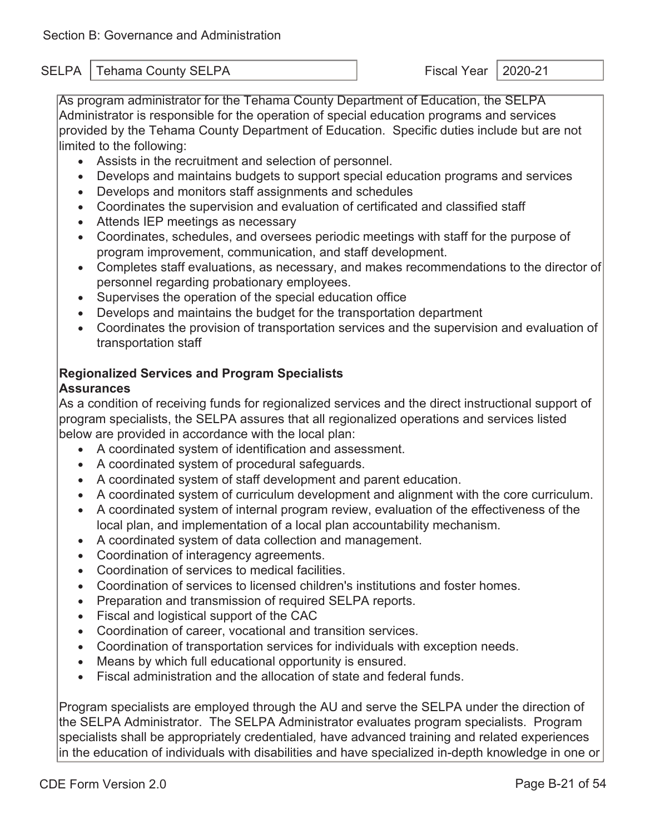As program administrator for the Tehama County Department of Education, the SELPA Administrator is responsible for the operation of special education programs and services provided by the Tehama County Department of Education. Specific duties include but are not limited to the following:

- Assists in the recruitment and selection of personnel.
- Develops and maintains budgets to support special education programs and services
- Develops and monitors staff assignments and schedules
- Coordinates the supervision and evaluation of certificated and classified staff
- Attends IEP meetings as necessary
- Coordinates, schedules, and oversees periodic meetings with staff for the purpose of program improvement, communication, and staff development.
- Completes staff evaluations, as necessary, and makes recommendations to the director of personnel regarding probationary employees.
- Supervises the operation of the special education office
- Develops and maintains the budget for the transportation department
- Coordinates the provision of transportation services and the supervision and evaluation of transportation staff

### **Regionalized Services and Program Specialists**

#### **Assurances**

As a condition of receiving funds for regionalized services and the direct instructional support of program specialists, the SELPA assures that all regionalized operations and services listed below are provided in accordance with the local plan:

- A coordinated system of identification and assessment.
- A coordinated system of procedural safeguards.
- A coordinated system of staff development and parent education.
- A coordinated system of curriculum development and alignment with the core curriculum.
- A coordinated system of internal program review, evaluation of the effectiveness of the local plan, and implementation of a local plan accountability mechanism.
- A coordinated system of data collection and management.
- Coordination of interagency agreements.
- Coordination of services to medical facilities.
- Coordination of services to licensed children's institutions and foster homes.
- Preparation and transmission of required SELPA reports.
- Fiscal and logistical support of the CAC
- Coordination of career, vocational and transition services.
- Coordination of transportation services for individuals with exception needs.
- Means by which full educational opportunity is ensured.
- Fiscal administration and the allocation of state and federal funds.

Program specialists are employed through the AU and serve the SELPA under the direction of the SELPA Administrator. The SELPA Administrator evaluates program specialists. Program specialists shall be appropriately credentialed*,* have advanced training and related experiences in the education of individuals with disabilities and have specialized in-depth knowledge in one or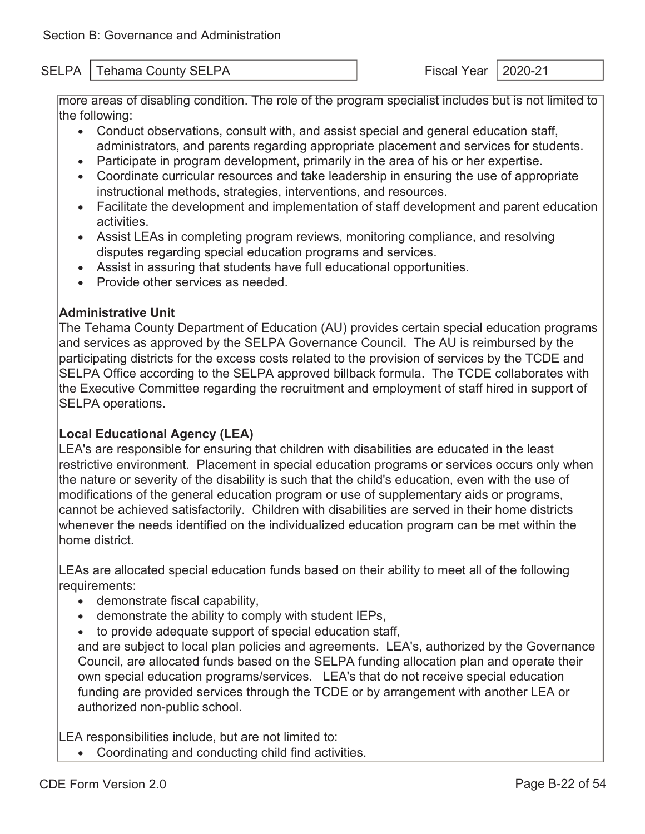more areas of disabling condition. The role of the program specialist includes but is not limited to the following:

- Conduct observations, consult with, and assist special and general education staff, administrators, and parents regarding appropriate placement and services for students.
- Participate in program development, primarily in the area of his or her expertise.
- Coordinate curricular resources and take leadership in ensuring the use of appropriate instructional methods, strategies, interventions, and resources.
- Facilitate the development and implementation of staff development and parent education activities.
- Assist LEAs in completing program reviews, monitoring compliance, and resolving disputes regarding special education programs and services.
- Assist in assuring that students have full educational opportunities.
- Provide other services as needed.

#### **Administrative Unit**

The Tehama County Department of Education (AU) provides certain special education programs and services as approved by the SELPA Governance Council. The AU is reimbursed by the participating districts for the excess costs related to the provision of services by the TCDE and SELPA Office according to the SELPA approved billback formula. The TCDE collaborates with the Executive Committee regarding the recruitment and employment of staff hired in support of SELPA operations.

#### **Local Educational Agency (LEA)**

LEA's are responsible for ensuring that children with disabilities are educated in the least restrictive environment. Placement in special education programs or services occurs only when the nature or severity of the disability is such that the child's education, even with the use of modifications of the general education program or use of supplementary aids or programs, cannot be achieved satisfactorily. Children with disabilities are served in their home districts whenever the needs identified on the individualized education program can be met within the home district.

LEAs are allocated special education funds based on their ability to meet all of the following requirements:

- demonstrate fiscal capability,
- demonstrate the ability to comply with student IEPs,
- to provide adequate support of special education staff,

and are subject to local plan policies and agreements. LEA's, authorized by the Governance Council, are allocated funds based on the SELPA funding allocation plan and operate their own special education programs/services. LEA's that do not receive special education funding are provided services through the TCDE or by arrangement with another LEA or authorized non-public school.

LEA responsibilities include, but are not limited to:

• Coordinating and conducting child find activities.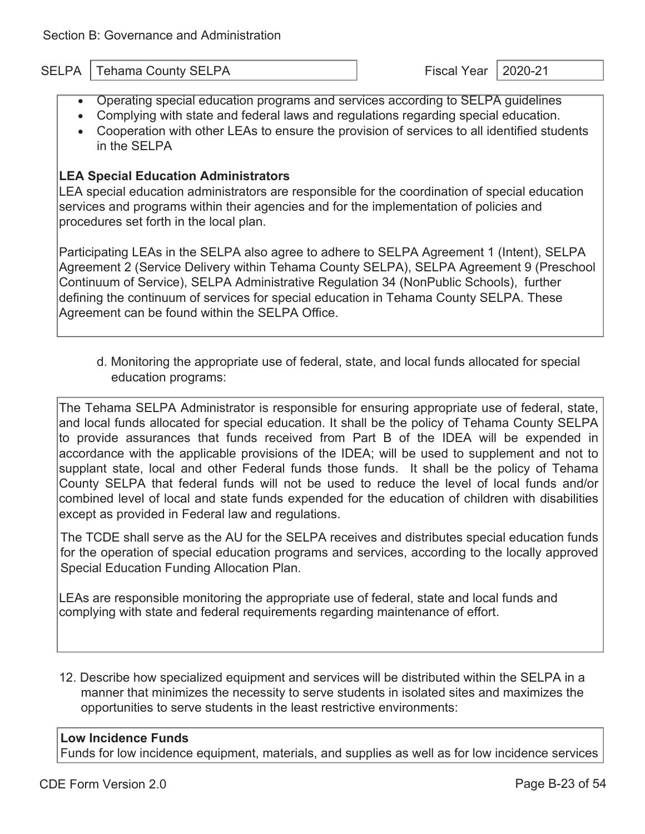- Operating special education programs and services according to SELPA guidelines
- Complying with state and federal laws and regulations regarding special education.
- Cooperation with other LEAs to ensure the provision of services to all identified students in the SELPA

#### **LEA Special Education Administrators**

LEA special education administrators are responsible for the coordination of special education services and programs within their agencies and for the implementation of policies and procedures set forth in the local plan.

Participating LEAs in the SELPA also agree to adhere to SELPA Agreement 1 (Intent), SELPA Agreement 2 (Service Delivery within Tehama County SELPA), SELPA Agreement 9 (Preschool Continuum of Service), SELPA Administrative Regulation 34 (NonPublic Schools), further defining the continuum of services for special education in Tehama County SELPA. These Agreement can be found within the SELPA Office.

d. Monitoring the appropriate use of federal, state, and local funds allocated for special education programs:

The Tehama SELPA Administrator is responsible for ensuring appropriate use of federal, state, and local funds allocated for special education. It shall be the policy of Tehama County SELPA to provide assurances that funds received from Part B of the IDEA will be expended in accordance with the applicable provisions of the IDEA; will be used to supplement and not to supplant state, local and other Federal funds those funds. It shall be the policy of Tehama County SELPA that federal funds will not be used to reduce the level of local funds and/or combined level of local and state funds expended for the education of children with disabilities except as provided in Federal law and regulations.

The TCDE shall serve as the AU for the SELPA receives and distributes special education funds for the operation of special education programs and services, according to the locally approved Special Education Funding Allocation Plan.

LEAs are responsible monitoring the appropriate use of federal, state and local funds and complying with state and federal requirements regarding maintenance of effort.

12. Describe how specialized equipment and services will be distributed within the SELPA in a manner that minimizes the necessity to serve students in isolated sites and maximizes the opportunities to serve students in the least restrictive environments:

#### **Low Incidence Funds**

Funds for low incidence equipment, materials, and supplies as well as for low incidence services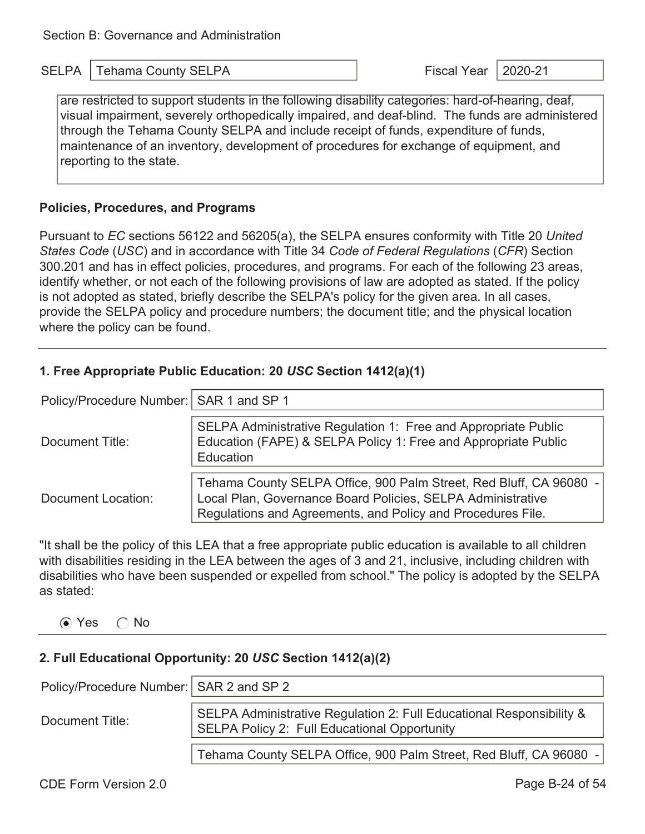are restricted to support students in the following disability categories: hard-of-hearing, deaf, visual impairment, severely orthopedically impaired, and deaf-blind. The funds are administered through the Tehama County SELPA and include receipt of funds, expenditure of funds, maintenance of an inventory, development of procedures for exchange of equipment, and reporting to the state.

#### **Policies, Procedures, and Programs**

Pursuant to *EC* sections 56122 and 56205(a), the SELPA ensures conformity with Title 20 *United States Code* (*USC*) and in accordance with Title 34 *Code of Federal Regulations* (*CFR*) Section 300.201 and has in effect policies, procedures, and programs. For each of the following 23 areas, identify whether, or not each of the following provisions of law are adopted as stated. If the policy is not adopted as stated, briefly describe the SELPA's policy for the given area. In all cases, provide the SELPA policy and procedure numbers; the document title; and the physical location where the policy can be found.

#### **1. Free Appropriate Public Education: 20** *USC* **Section 1412(a)(1)**

| Policy/Procedure Number:   SAR 1 and SP 1 |                                                                                                                                                                                                  |  |  |
|-------------------------------------------|--------------------------------------------------------------------------------------------------------------------------------------------------------------------------------------------------|--|--|
| Document Title:                           | SELPA Administrative Regulation 1: Free and Appropriate Public<br>Education (FAPE) & SELPA Policy 1: Free and Appropriate Public<br>Education                                                    |  |  |
| Document Location:                        | Tehama County SELPA Office, 900 Palm Street, Red Bluff, CA 96080 -<br>Local Plan, Governance Board Policies, SELPA Administrative<br>Regulations and Agreements, and Policy and Procedures File. |  |  |

"It shall be the policy of this LEA that a free appropriate public education is available to all children with disabilities residing in the LEA between the ages of 3 and 21, inclusive, including children with disabilities who have been suspended or expelled from school." The policy is adopted by the SELPA as stated:

 $\odot$  Yes  $\odot$  No

### **2. Full Educational Opportunity: 20** *USC* **Section 1412(a)(2)**

| Policy/Procedure Number:   SAR 2 and SP 2 |                                                                                                                      |
|-------------------------------------------|----------------------------------------------------------------------------------------------------------------------|
| Document Title:                           | SELPA Administrative Regulation 2: Full Educational Responsibility &<br>SELPA Policy 2: Full Educational Opportunity |
|                                           | Tehama County SELPA Office, 900 Palm Street, Red Bluff, CA 96080 -                                                   |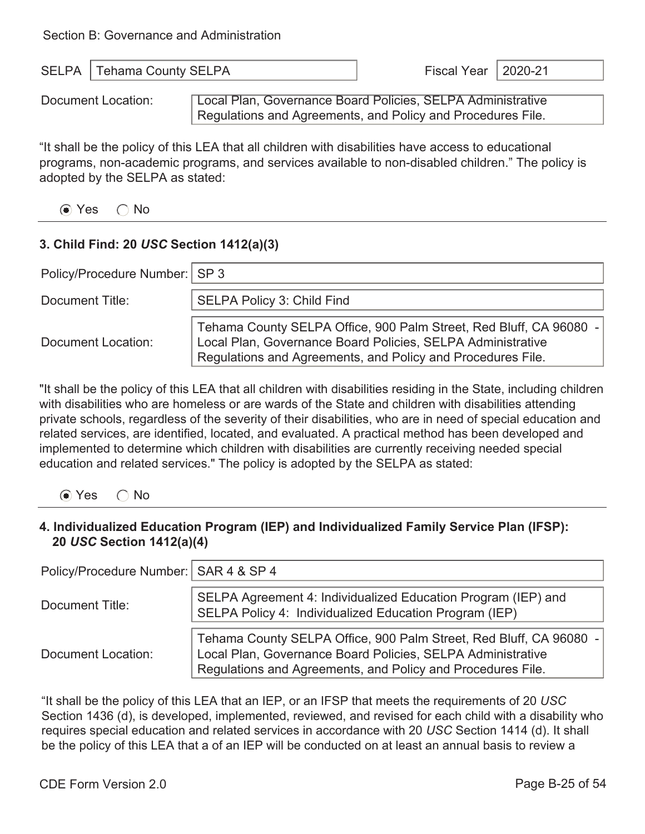| SELPA   Tehama County SELPA | Fiscal Year   2020-21 |  |
|-----------------------------|-----------------------|--|
|                             |                       |  |

Document Location: **Local Plan, Governance Board Policies, SELPA Administrative** Regulations and Agreements, and Policy and Procedures File.

"It shall be the policy of this LEA that all children with disabilities have access to educational programs, non-academic programs, and services available to non-disabled children." The policy is adopted by the SELPA as stated:

 $\odot$  Yes  $\odot$  No

#### **3. Child Find: 20** *USC* **Section 1412(a)(3)**

| Policy/Procedure Number:   SP 3 |                                                                                                                                                                                                  |
|---------------------------------|--------------------------------------------------------------------------------------------------------------------------------------------------------------------------------------------------|
| Document Title:                 | <b>SELPA Policy 3: Child Find</b>                                                                                                                                                                |
| Document Location:              | Tehama County SELPA Office, 900 Palm Street, Red Bluff, CA 96080 -<br>Local Plan, Governance Board Policies, SELPA Administrative<br>Regulations and Agreements, and Policy and Procedures File. |

"It shall be the policy of this LEA that all children with disabilities residing in the State, including children with disabilities who are homeless or are wards of the State and children with disabilities attending private schools, regardless of the severity of their disabilities, who are in need of special education and related services, are identified, located, and evaluated. A practical method has been developed and implemented to determine which children with disabilities are currently receiving needed special education and related services." The policy is adopted by the SELPA as stated:

⊙ Yes ∩ No

#### **4. Individualized Education Program (IEP) and Individualized Family Service Plan (IFSP): 20** *USC* **Section 1412(a)(4)**

| Policy/Procedure Number:   SAR 4 & SP 4 |                                                                                                                                                                                                  |
|-----------------------------------------|--------------------------------------------------------------------------------------------------------------------------------------------------------------------------------------------------|
| Document Title:                         | SELPA Agreement 4: Individualized Education Program (IEP) and<br>SELPA Policy 4: Individualized Education Program (IEP)                                                                          |
| Document Location:                      | Tehama County SELPA Office, 900 Palm Street, Red Bluff, CA 96080 -<br>Local Plan, Governance Board Policies, SELPA Administrative<br>Regulations and Agreements, and Policy and Procedures File. |

"It shall be the policy of this LEA that an IEP, or an IFSP that meets the requirements of 20 *USC* Section 1436 (d), is developed, implemented, reviewed, and revised for each child with a disability who requires special education and related services in accordance with 20 *USC* Section 1414 (d). It shall be the policy of this LEA that a of an IEP will be conducted on at least an annual basis to review a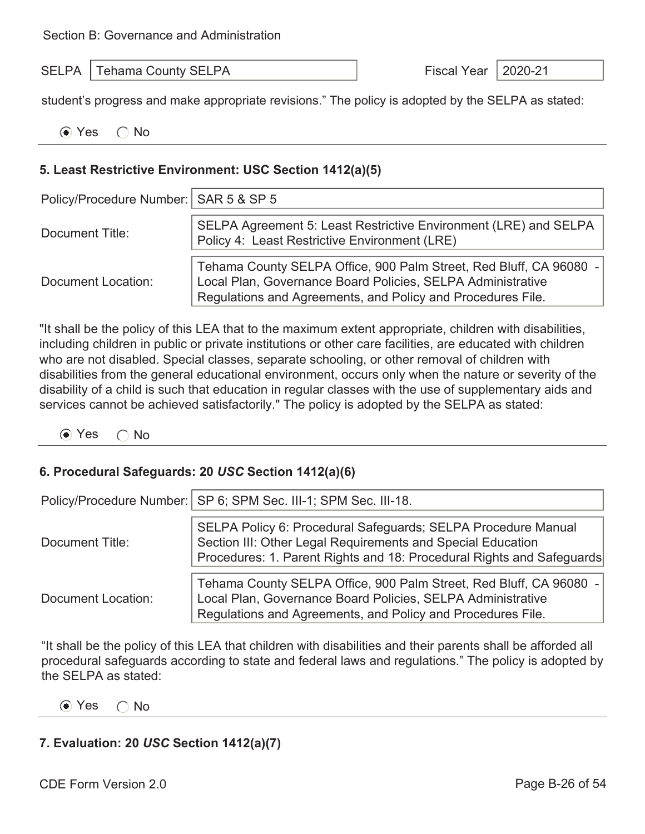student's progress and make appropriate revisions." The policy is adopted by the SELPA as stated:

| $\odot$ Yes $\odot$ No |  |  |  |  |  |  |  |
|------------------------|--|--|--|--|--|--|--|
|------------------------|--|--|--|--|--|--|--|

#### **5. Least Restrictive Environment: USC Section 1412(a)(5)**

| Policy/Procedure Number:   SAR 5 & SP 5 |                                                                                                                                                                                                  |  |  |
|-----------------------------------------|--------------------------------------------------------------------------------------------------------------------------------------------------------------------------------------------------|--|--|
| Document Title:                         | SELPA Agreement 5: Least Restrictive Environment (LRE) and SELPA<br>Policy 4: Least Restrictive Environment (LRE)                                                                                |  |  |
| Document Location:                      | Tehama County SELPA Office, 900 Palm Street, Red Bluff, CA 96080 -<br>Local Plan, Governance Board Policies, SELPA Administrative<br>Regulations and Agreements, and Policy and Procedures File. |  |  |

"It shall be the policy of this LEA that to the maximum extent appropriate, children with disabilities, including children in public or private institutions or other care facilities, are educated with children who are not disabled. Special classes, separate schooling, or other removal of children with disabilities from the general educational environment, occurs only when the nature or severity of the disability of a child is such that education in regular classes with the use of supplementary aids and services cannot be achieved satisfactorily." The policy is adopted by the SELPA as stated:

 $\odot$  Yes  $\odot$  No

#### **6. Procedural Safeguards: 20** *USC* **Section 1412(a)(6)**

|                    | Policy/Procedure Number:   SP 6; SPM Sec. III-1; SPM Sec. III-18.                                                                                                                                     |
|--------------------|-------------------------------------------------------------------------------------------------------------------------------------------------------------------------------------------------------|
| Document Title:    | SELPA Policy 6: Procedural Safeguards; SELPA Procedure Manual<br>Section III: Other Legal Requirements and Special Education<br>Procedures: 1. Parent Rights and 18: Procedural Rights and Safeguards |
| Document Location: | Tehama County SELPA Office, 900 Palm Street, Red Bluff, CA 96080 -<br>Local Plan, Governance Board Policies, SELPA Administrative<br>Regulations and Agreements, and Policy and Procedures File.      |

"It shall be the policy of this LEA that children with disabilities and their parents shall be afforded all procedural safeguards according to state and federal laws and regulations." The policy is adopted by the SELPA as stated:

 $\odot$  Yes  $\odot$  No

#### **7. Evaluation: 20** *USC* **Section 1412(a)(7)**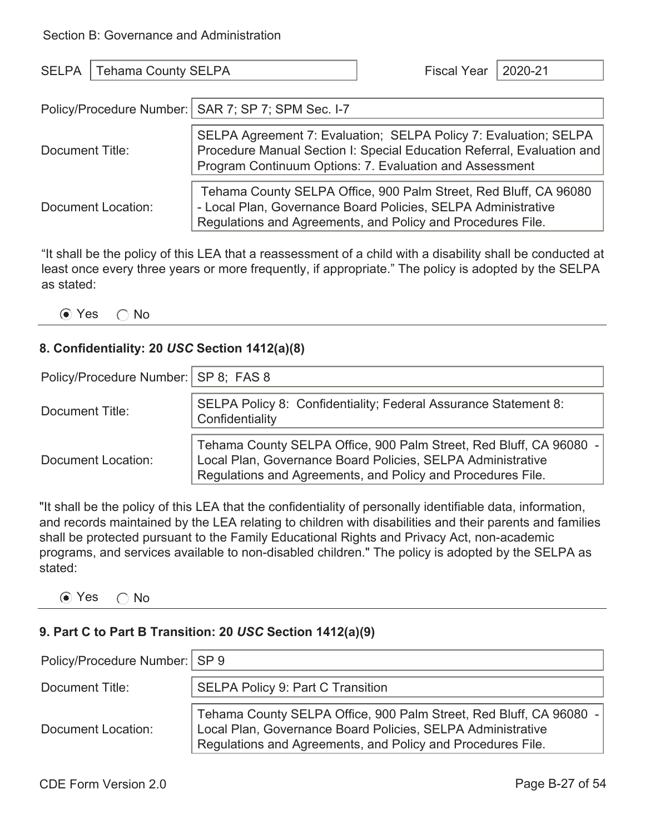| <b>SELPA</b>       | <b>Tehama County SELPA</b>                                                                                                                                                                            |  | 2020-21 |
|--------------------|-------------------------------------------------------------------------------------------------------------------------------------------------------------------------------------------------------|--|---------|
|                    | Policy/Procedure Number:   SAR 7; SP 7; SPM Sec. I-7                                                                                                                                                  |  |         |
| Document Title:    | SELPA Agreement 7: Evaluation; SELPA Policy 7: Evaluation; SELPA<br>Procedure Manual Section I: Special Education Referral, Evaluation and<br>Program Continuum Options: 7. Evaluation and Assessment |  |         |
| Document Location: | Tehama County SELPA Office, 900 Palm Street, Red Bluff, CA 96080<br>- Local Plan, Governance Board Policies, SELPA Administrative<br>Regulations and Agreements, and Policy and Procedures File.      |  |         |

"It shall be the policy of this LEA that a reassessment of a child with a disability shall be conducted at least once every three years or more frequently, if appropriate." The policy is adopted by the SELPA as stated:

⊙ Yes ∩ No

#### **8. Confidentiality: 20** *USC* **Section 1412(a)(8)**

| Policy/Procedure Number:   SP 8; FAS 8 |                                                                                                                                                                                                  |  |  |
|----------------------------------------|--------------------------------------------------------------------------------------------------------------------------------------------------------------------------------------------------|--|--|
| Document Title:                        | SELPA Policy 8: Confidentiality; Federal Assurance Statement 8:<br>Confidentiality                                                                                                               |  |  |
| Document Location:                     | Tehama County SELPA Office, 900 Palm Street, Red Bluff, CA 96080 -<br>Local Plan, Governance Board Policies, SELPA Administrative<br>Regulations and Agreements, and Policy and Procedures File. |  |  |

"It shall be the policy of this LEA that the confidentiality of personally identifiable data, information, and records maintained by the LEA relating to children with disabilities and their parents and families shall be protected pursuant to the Family Educational Rights and Privacy Act, non-academic programs, and services available to non-disabled children." The policy is adopted by the SELPA as stated:

#### ⊙ Yes ∩ No

### **9. Part C to Part B Transition: 20** *USC* **Section 1412(a)(9)**

| Policy/Procedure Number:   SP 9 |                                                                                                                                                                                                  |
|---------------------------------|--------------------------------------------------------------------------------------------------------------------------------------------------------------------------------------------------|
| Document Title:                 | <b>SELPA Policy 9: Part C Transition</b>                                                                                                                                                         |
| Document Location:              | Tehama County SELPA Office, 900 Palm Street, Red Bluff, CA 96080 -<br>Local Plan, Governance Board Policies, SELPA Administrative<br>Regulations and Agreements, and Policy and Procedures File. |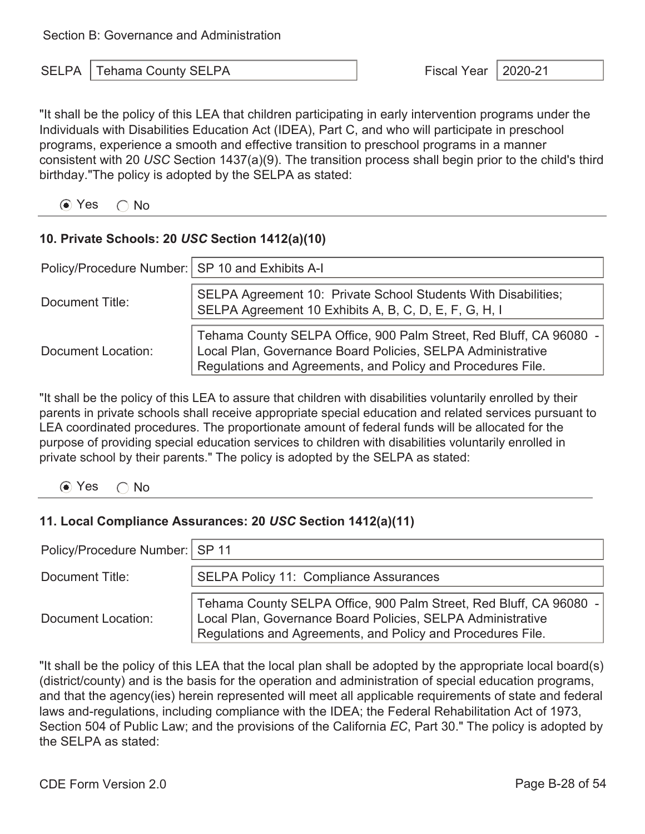"It shall be the policy of this LEA that children participating in early intervention programs under the Individuals with Disabilities Education Act (IDEA), Part C, and who will participate in preschool programs, experience a smooth and effective transition to preschool programs in a manner consistent with 20 *USC* Section 1437(a)(9). The transition process shall begin prior to the child's third birthday."The policy is adopted by the SELPA as stated:

 $\odot$  Yes  $\odot$  No

#### **10. Private Schools: 20** *USC* **Section 1412(a)(10)**

| Policy/Procedure Number:   SP 10 and Exhibits A-I |                                                                                                                                                                                                  |
|---------------------------------------------------|--------------------------------------------------------------------------------------------------------------------------------------------------------------------------------------------------|
| Document Title:                                   | SELPA Agreement 10: Private School Students With Disabilities;<br>SELPA Agreement 10 Exhibits A, B, C, D, E, F, G, H, I                                                                          |
| Document Location:                                | Tehama County SELPA Office, 900 Palm Street, Red Bluff, CA 96080 -<br>Local Plan, Governance Board Policies, SELPA Administrative<br>Regulations and Agreements, and Policy and Procedures File. |

"It shall be the policy of this LEA to assure that children with disabilities voluntarily enrolled by their parents in private schools shall receive appropriate special education and related services pursuant to LEA coordinated procedures. The proportionate amount of federal funds will be allocated for the purpose of providing special education services to children with disabilities voluntarily enrolled in private school by their parents." The policy is adopted by the SELPA as stated:

 $\odot$  Yes  $\odot$  No

### **11. Local Compliance Assurances: 20** *USC* **Section 1412(a)(11)**

| Policy/Procedure Number:   SP 11 |                                                                                                                                                                                                  |  |  |  |
|----------------------------------|--------------------------------------------------------------------------------------------------------------------------------------------------------------------------------------------------|--|--|--|
| Document Title:                  | <b>SELPA Policy 11: Compliance Assurances</b>                                                                                                                                                    |  |  |  |
| Document Location:               | Tehama County SELPA Office, 900 Palm Street, Red Bluff, CA 96080 -<br>Local Plan, Governance Board Policies, SELPA Administrative<br>Regulations and Agreements, and Policy and Procedures File. |  |  |  |

"It shall be the policy of this LEA that the local plan shall be adopted by the appropriate local board(s) (district/county) and is the basis for the operation and administration of special education programs, and that the agency(ies) herein represented will meet all applicable requirements of state and federal laws and-regulations, including compliance with the IDEA; the Federal Rehabilitation Act of 1973, Section 504 of Public Law; and the provisions of the California *EC*, Part 30." The policy is adopted by the SELPA as stated: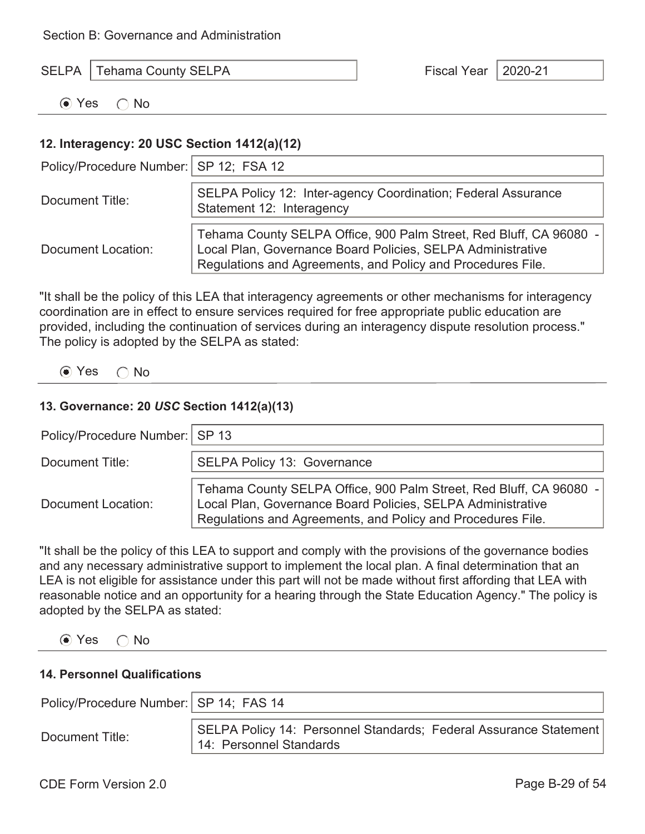| <b>SELPA</b>   Tehama County SELPA | Fiscal Year   2020-21 |  |
|------------------------------------|-----------------------|--|
|                                    |                       |  |

 $\odot$  Yes  $\odot$  No

#### **12. Interagency: 20 USC Section 1412(a)(12)**

| Policy/Procedure Number:   SP 12; FSA 12 |                                                                                                                                                                                                  |  |  |
|------------------------------------------|--------------------------------------------------------------------------------------------------------------------------------------------------------------------------------------------------|--|--|
| Document Title:                          | SELPA Policy 12: Inter-agency Coordination; Federal Assurance<br>Statement 12: Interagency                                                                                                       |  |  |
| Document Location:                       | Tehama County SELPA Office, 900 Palm Street, Red Bluff, CA 96080 -<br>Local Plan, Governance Board Policies, SELPA Administrative<br>Regulations and Agreements, and Policy and Procedures File. |  |  |

"It shall be the policy of this LEA that interagency agreements or other mechanisms for interagency coordination are in effect to ensure services required for free appropriate public education are provided, including the continuation of services during an interagency dispute resolution process." The policy is adopted by the SELPA as stated:

 $\odot$  Yes  $\odot$  No

#### **13. Governance: 20** *USC* **Section 1412(a)(13)**

| Policy/Procedure Number:   SP 13 |                                                                                                                                                                                                  |  |  |
|----------------------------------|--------------------------------------------------------------------------------------------------------------------------------------------------------------------------------------------------|--|--|
| Document Title:                  | <b>SELPA Policy 13: Governance</b>                                                                                                                                                               |  |  |
| Document Location:               | Tehama County SELPA Office, 900 Palm Street, Red Bluff, CA 96080 -<br>Local Plan, Governance Board Policies, SELPA Administrative<br>Regulations and Agreements, and Policy and Procedures File. |  |  |

"It shall be the policy of this LEA to support and comply with the provisions of the governance bodies and any necessary administrative support to implement the local plan. A final determination that an LEA is not eligible for assistance under this part will not be made without first affording that LEA with reasonable notice and an opportunity for a hearing through the State Education Agency." The policy is adopted by the SELPA as stated:

 $\odot$  Yes  $\odot$  No

#### **14. Personnel Qualifications**

| Policy/Procedure Number:   SP 14; FAS 14 |                                                                                              |
|------------------------------------------|----------------------------------------------------------------------------------------------|
| Document Title:                          | SELPA Policy 14: Personnel Standards; Federal Assurance Statement<br>14: Personnel Standards |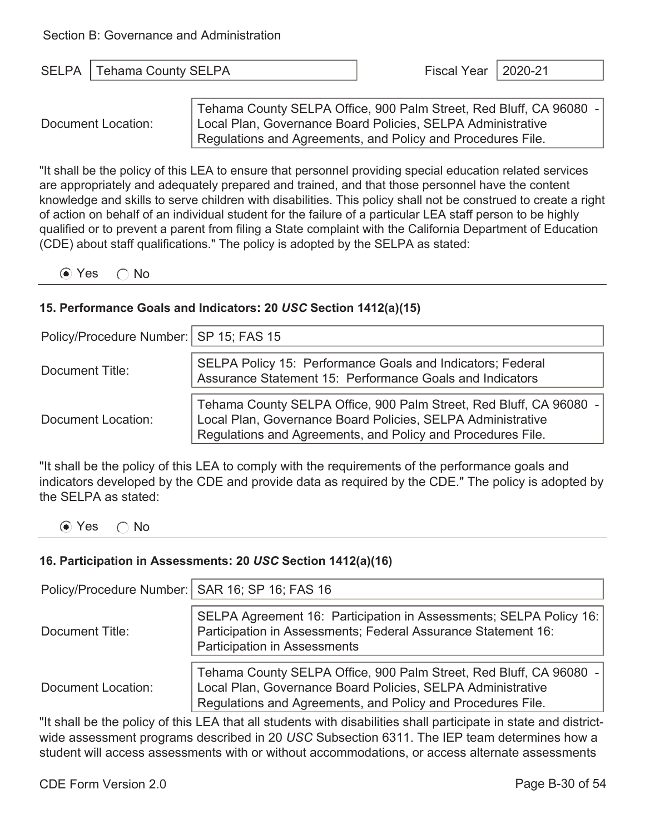| <b>SELP</b><br>. | SFI PA<br>Lenama County S | . <u>.</u><br>$-1$<br>-- | $\sim$ $\sim$ $\sim$<br>,,, |
|------------------|---------------------------|--------------------------|-----------------------------|
|------------------|---------------------------|--------------------------|-----------------------------|

Document Location:

Tehama County SELPA Office, 900 Palm Street, Red Bluff, CA 96080 - Local Plan, Governance Board Policies, SELPA Administrative Regulations and Agreements, and Policy and Procedures File.

"It shall be the policy of this LEA to ensure that personnel providing special education related services are appropriately and adequately prepared and trained, and that those personnel have the content knowledge and skills to serve children with disabilities. This policy shall not be construed to create a right of action on behalf of an individual student for the failure of a particular LEA staff person to be highly qualified or to prevent a parent from filing a State complaint with the California Department of Education (CDE) about staff qualifications." The policy is adopted by the SELPA as stated:

 $\odot$  Yes  $\odot$  No

#### **15. Performance Goals and Indicators: 20** *USC* **Section 1412(a)(15)**

| Policy/Procedure Number:   SP 15; FAS 15 |                                                                                                                                                                                                  |  |  |
|------------------------------------------|--------------------------------------------------------------------------------------------------------------------------------------------------------------------------------------------------|--|--|
| Document Title:                          | SELPA Policy 15: Performance Goals and Indicators; Federal<br>Assurance Statement 15: Performance Goals and Indicators                                                                           |  |  |
| Document Location:                       | Tehama County SELPA Office, 900 Palm Street, Red Bluff, CA 96080 -<br>Local Plan, Governance Board Policies, SELPA Administrative<br>Regulations and Agreements, and Policy and Procedures File. |  |  |

"It shall be the policy of this LEA to comply with the requirements of the performance goals and indicators developed by the CDE and provide data as required by the CDE." The policy is adopted by the SELPA as stated:

 $\odot$  Yes  $\odot$  No

#### **16. Participation in Assessments: 20** *USC* **Section 1412(a)(16)**

| Policy/Procedure Number:   SAR 16; SP 16; FAS 16 |                                                                                                                                                                                                  |  |  |
|--------------------------------------------------|--------------------------------------------------------------------------------------------------------------------------------------------------------------------------------------------------|--|--|
| Document Title:                                  | SELPA Agreement 16: Participation in Assessments; SELPA Policy 16:<br>Participation in Assessments; Federal Assurance Statement 16:<br><b>Participation in Assessments</b>                       |  |  |
| Document Location:                               | Tehama County SELPA Office, 900 Palm Street, Red Bluff, CA 96080 -<br>Local Plan, Governance Board Policies, SELPA Administrative<br>Regulations and Agreements, and Policy and Procedures File. |  |  |

"It shall be the policy of this LEA that all students with disabilities shall participate in state and districtwide assessment programs described in 20 *USC* Subsection 6311. The IEP team determines how a student will access assessments with or without accommodations, or access alternate assessments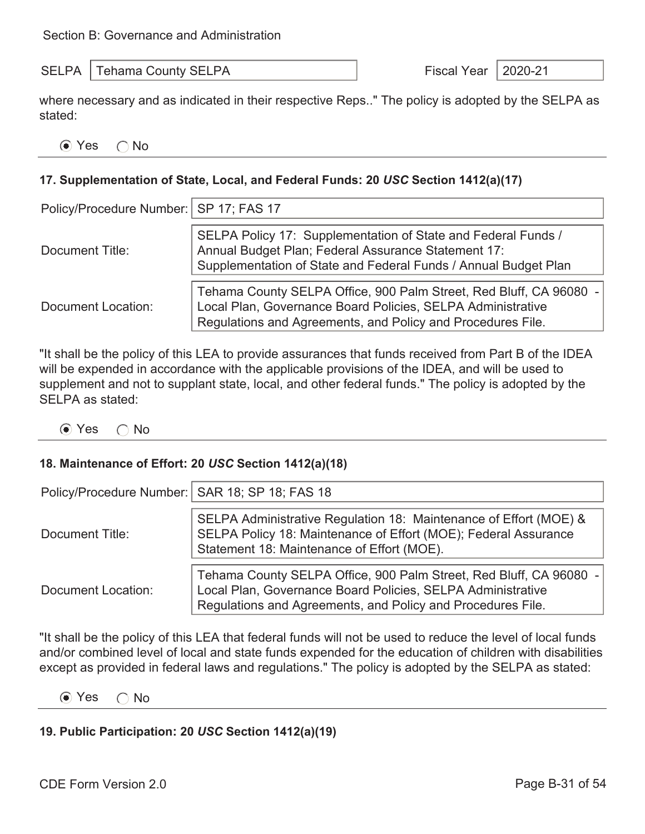SELPA Tehama County SELPA Fiscal Year 2020-21

where necessary and as indicated in their respective Reps.." The policy is adopted by the SELPA as stated:

| ⊙ Yes | $\cap$ No |
|-------|-----------|
|-------|-----------|

#### **17. Supplementation of State, Local, and Federal Funds: 20** *USC* **Section 1412(a)(17)**

| Policy/Procedure Number:   SP 17; FAS 17 |                                                                                                                                                                                                  |  |  |
|------------------------------------------|--------------------------------------------------------------------------------------------------------------------------------------------------------------------------------------------------|--|--|
| Document Title:                          | SELPA Policy 17: Supplementation of State and Federal Funds /<br>Annual Budget Plan; Federal Assurance Statement 17:<br>Supplementation of State and Federal Funds / Annual Budget Plan          |  |  |
| Document Location:                       | Tehama County SELPA Office, 900 Palm Street, Red Bluff, CA 96080 -<br>Local Plan, Governance Board Policies, SELPA Administrative<br>Regulations and Agreements, and Policy and Procedures File. |  |  |

"It shall be the policy of this LEA to provide assurances that funds received from Part B of the IDEA will be expended in accordance with the applicable provisions of the IDEA, and will be used to supplement and not to supplant state, local, and other federal funds." The policy is adopted by the SELPA as stated:

 $\odot$  Yes  $\odot$  No

#### **18. Maintenance of Effort: 20** *USC* **Section 1412(a)(18)**

| Policy/Procedure Number:   SAR 18; SP 18; FAS 18 |                                                                                                                                                                                                  |  |  |
|--------------------------------------------------|--------------------------------------------------------------------------------------------------------------------------------------------------------------------------------------------------|--|--|
|                                                  |                                                                                                                                                                                                  |  |  |
| Document Title:                                  | SELPA Administrative Regulation 18: Maintenance of Effort (MOE) &<br>SELPA Policy 18: Maintenance of Effort (MOE); Federal Assurance<br>Statement 18: Maintenance of Effort (MOE).               |  |  |
| <b>Document Location:</b>                        | Tehama County SELPA Office, 900 Palm Street, Red Bluff, CA 96080 -<br>Local Plan, Governance Board Policies, SELPA Administrative<br>Regulations and Agreements, and Policy and Procedures File. |  |  |

"It shall be the policy of this LEA that federal funds will not be used to reduce the level of local funds and/or combined level of local and state funds expended for the education of children with disabilities except as provided in federal laws and regulations." The policy is adopted by the SELPA as stated:

 $\odot$  Yes  $\odot$  No

#### **19. Public Participation: 20** *USC* **Section 1412(a)(19)**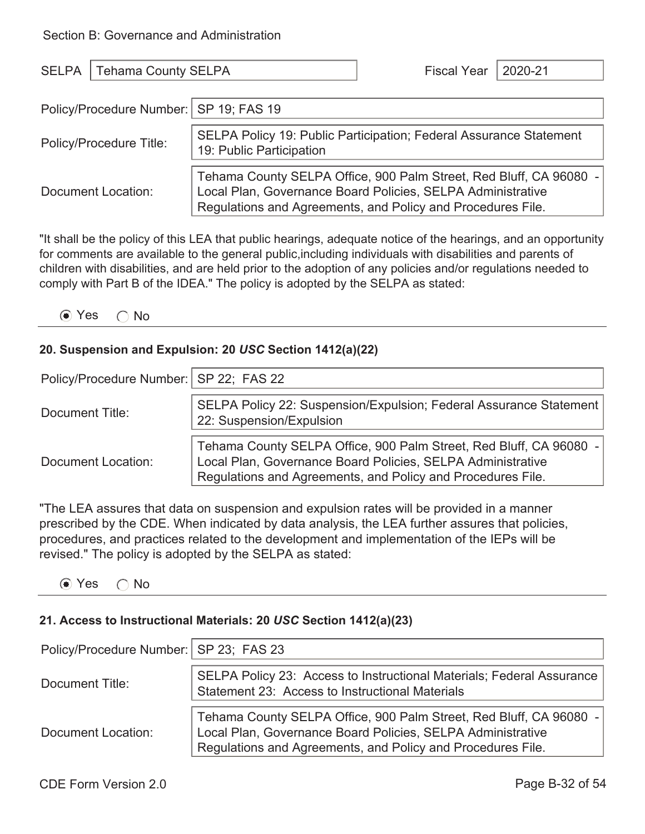| <b>SELPA</b>                                                                                                                     | Tehama County SELPA |  | <b>Fiscal Year</b>                                                                                                                                                                               | 2020-21 |
|----------------------------------------------------------------------------------------------------------------------------------|---------------------|--|--------------------------------------------------------------------------------------------------------------------------------------------------------------------------------------------------|---------|
| Policy/Procedure Number:   SP 19; FAS 19                                                                                         |                     |  |                                                                                                                                                                                                  |         |
| <b>SELPA Policy 19: Public Participation; Federal Assurance Statement</b><br>Policy/Procedure Title:<br>19: Public Participation |                     |  |                                                                                                                                                                                                  |         |
|                                                                                                                                  | Document Location:  |  | Tehama County SELPA Office, 900 Palm Street, Red Bluff, CA 96080 -<br>Local Plan, Governance Board Policies, SELPA Administrative<br>Regulations and Agreements, and Policy and Procedures File. |         |

"It shall be the policy of this LEA that public hearings, adequate notice of the hearings, and an opportunity for comments are available to the general public,including individuals with disabilities and parents of children with disabilities, and are held prior to the adoption of any policies and/or regulations needed to comply with Part B of the IDEA." The policy is adopted by the SELPA as stated:

|  |  | $\odot$ Yes | No |  |
|--|--|-------------|----|--|
|--|--|-------------|----|--|

#### **20. Suspension and Expulsion: 20** *USC* **Section 1412(a)(22)**

| Policy/Procedure Number:   SP 22; FAS 22 |                                                                                                                                                                                                  |
|------------------------------------------|--------------------------------------------------------------------------------------------------------------------------------------------------------------------------------------------------|
| Document Title:                          | SELPA Policy 22: Suspension/Expulsion; Federal Assurance Statement<br>22: Suspension/Expulsion                                                                                                   |
| Document Location:                       | Tehama County SELPA Office, 900 Palm Street, Red Bluff, CA 96080 -<br>Local Plan, Governance Board Policies, SELPA Administrative<br>Regulations and Agreements, and Policy and Procedures File. |

"The LEA assures that data on suspension and expulsion rates will be provided in a manner prescribed by the CDE. When indicated by data analysis, the LEA further assures that policies, procedures, and practices related to the development and implementation of the IEPs will be revised." The policy is adopted by the SELPA as stated:

 $\odot$  Yes  $\odot$  No

#### **21. Access to Instructional Materials: 20** *USC* **Section 1412(a)(23)**

| Policy/Procedure Number:   SP 23; FAS 23 |                                                                                                                                                                                                  |
|------------------------------------------|--------------------------------------------------------------------------------------------------------------------------------------------------------------------------------------------------|
| Document Title:                          | SELPA Policy 23: Access to Instructional Materials; Federal Assurance<br>Statement 23: Access to Instructional Materials                                                                         |
| Document Location:                       | Tehama County SELPA Office, 900 Palm Street, Red Bluff, CA 96080 -<br>Local Plan, Governance Board Policies, SELPA Administrative<br>Regulations and Agreements, and Policy and Procedures File. |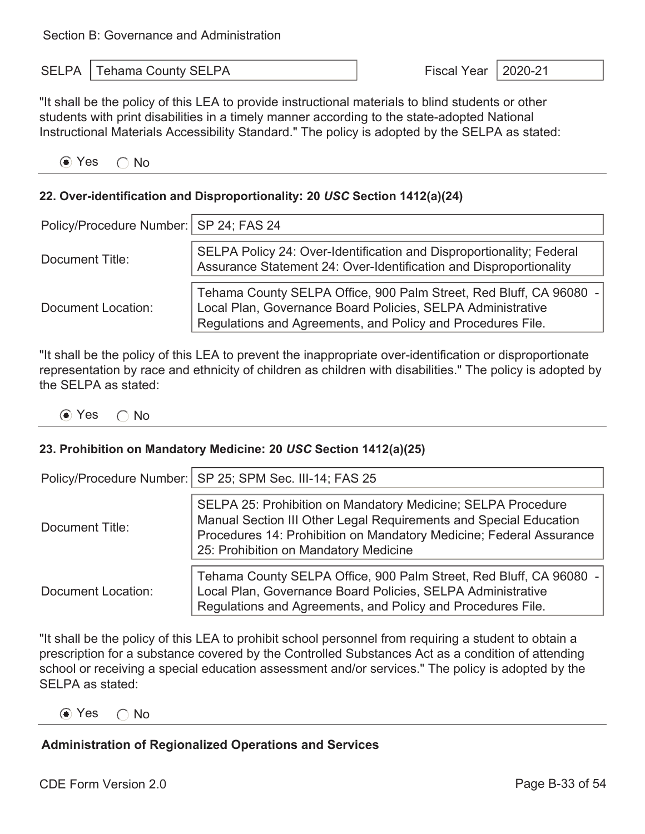| <b>SELPA</b>   Tehama County SELPA | Fiscal Year   2020-21 |  |
|------------------------------------|-----------------------|--|
|                                    |                       |  |

"It shall be the policy of this LEA to provide instructional materials to blind students or other students with print disabilities in a timely manner according to the state-adopted National Instructional Materials Accessibility Standard." The policy is adopted by the SELPA as stated:

 $\odot$  Yes  $\odot$  No

#### **22. Over-identification and Disproportionality: 20** *USC* **Section 1412(a)(24)**

| Policy/Procedure Number:   SP 24; FAS 24 |                                                                                                                                                                                                  |
|------------------------------------------|--------------------------------------------------------------------------------------------------------------------------------------------------------------------------------------------------|
| Document Title:                          | SELPA Policy 24: Over-Identification and Disproportionality; Federal<br>Assurance Statement 24: Over-Identification and Disproportionality                                                       |
| Document Location:                       | Tehama County SELPA Office, 900 Palm Street, Red Bluff, CA 96080 -<br>Local Plan, Governance Board Policies, SELPA Administrative<br>Regulations and Agreements, and Policy and Procedures File. |

"It shall be the policy of this LEA to prevent the inappropriate over-identification or disproportionate representation by race and ethnicity of children as children with disabilities." The policy is adopted by the SELPA as stated:

 $\odot$  Yes  $\odot$  No

#### **23. Prohibition on Mandatory Medicine: 20** *USC* **Section 1412(a)(25)**

|                    | Policy/Procedure Number:   SP 25; SPM Sec. III-14; FAS 25                                                                                                                                                                                         |
|--------------------|---------------------------------------------------------------------------------------------------------------------------------------------------------------------------------------------------------------------------------------------------|
| Document Title:    | SELPA 25: Prohibition on Mandatory Medicine; SELPA Procedure<br>Manual Section III Other Legal Requirements and Special Education<br>Procedures 14: Prohibition on Mandatory Medicine; Federal Assurance<br>25: Prohibition on Mandatory Medicine |
| Document Location: | Tehama County SELPA Office, 900 Palm Street, Red Bluff, CA 96080 -<br>Local Plan, Governance Board Policies, SELPA Administrative<br>Regulations and Agreements, and Policy and Procedures File.                                                  |

"It shall be the policy of this LEA to prohibit school personnel from requiring a student to obtain a prescription for a substance covered by the Controlled Substances Act as a condition of attending school or receiving a special education assessment and/or services." The policy is adopted by the SELPA as stated:

 $\odot$  Yes  $\odot$  No

#### **Administration of Regionalized Operations and Services**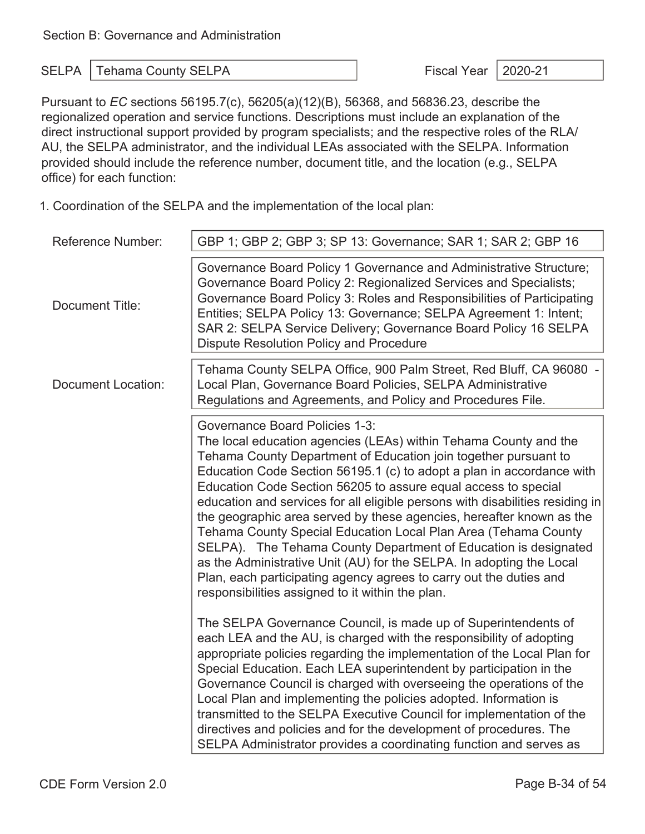Pursuant to *EC* sections 56195.7(c), 56205(a)(12)(B), 56368, and 56836.23, describe the regionalized operation and service functions. Descriptions must include an explanation of the direct instructional support provided by program specialists; and the respective roles of the RLA/ AU, the SELPA administrator, and the individual LEAs associated with the SELPA. Information provided should include the reference number, document title, and the location (e.g., SELPA office) for each function:

1. Coordination of the SELPA and the implementation of the local plan:

| <b>Reference Number:</b>  | GBP 1; GBP 2; GBP 3; SP 13: Governance; SAR 1; SAR 2; GBP 16                                                                                                                                                                                                                                                                                                                                                                                                                                                                                                                                                                                                                                                                                                                                                            |
|---------------------------|-------------------------------------------------------------------------------------------------------------------------------------------------------------------------------------------------------------------------------------------------------------------------------------------------------------------------------------------------------------------------------------------------------------------------------------------------------------------------------------------------------------------------------------------------------------------------------------------------------------------------------------------------------------------------------------------------------------------------------------------------------------------------------------------------------------------------|
| Document Title:           | Governance Board Policy 1 Governance and Administrative Structure;<br>Governance Board Policy 2: Regionalized Services and Specialists;<br>Governance Board Policy 3: Roles and Responsibilities of Participating<br>Entities; SELPA Policy 13: Governance; SELPA Agreement 1: Intent;<br>SAR 2: SELPA Service Delivery; Governance Board Policy 16 SELPA<br><b>Dispute Resolution Policy and Procedure</b>                                                                                                                                                                                                                                                                                                                                                                                                             |
| <b>Document Location:</b> | Tehama County SELPA Office, 900 Palm Street, Red Bluff, CA 96080 -<br>Local Plan, Governance Board Policies, SELPA Administrative<br>Regulations and Agreements, and Policy and Procedures File.                                                                                                                                                                                                                                                                                                                                                                                                                                                                                                                                                                                                                        |
|                           | <b>Governance Board Policies 1-3:</b><br>The local education agencies (LEAs) within Tehama County and the<br>Tehama County Department of Education join together pursuant to<br>Education Code Section 56195.1 (c) to adopt a plan in accordance with<br>Education Code Section 56205 to assure equal access to special<br>education and services for all eligible persons with disabilities residing in<br>the geographic area served by these agencies, hereafter known as the<br>Tehama County Special Education Local Plan Area (Tehama County<br>SELPA). The Tehama County Department of Education is designated<br>as the Administrative Unit (AU) for the SELPA. In adopting the Local<br>Plan, each participating agency agrees to carry out the duties and<br>responsibilities assigned to it within the plan. |
|                           | The SELPA Governance Council, is made up of Superintendents of<br>each LEA and the AU, is charged with the responsibility of adopting<br>appropriate policies regarding the implementation of the Local Plan for<br>Special Education. Each LEA superintendent by participation in the<br>Governance Council is charged with overseeing the operations of the<br>Local Plan and implementing the policies adopted. Information is<br>transmitted to the SELPA Executive Council for implementation of the<br>directives and policies and for the development of procedures. The<br>SELPA Administrator provides a coordinating function and serves as                                                                                                                                                                   |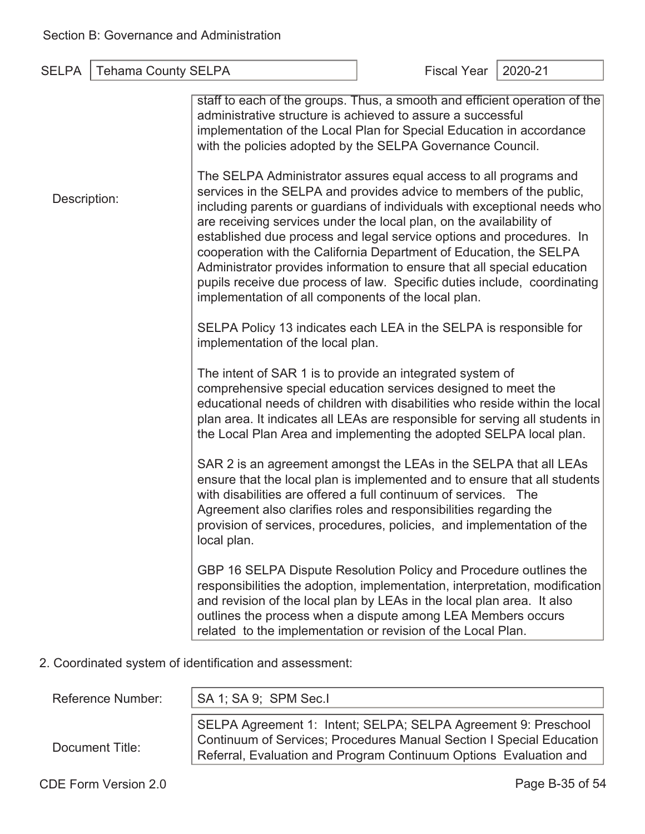| <b>Tehama County SELPA</b><br><b>SELPA</b>              |                                                                                                                                                                                                                                                                                                                                                                                                                                                                                                                                                                                                                                                        | <b>Fiscal Year</b> | 2020-21 |
|---------------------------------------------------------|--------------------------------------------------------------------------------------------------------------------------------------------------------------------------------------------------------------------------------------------------------------------------------------------------------------------------------------------------------------------------------------------------------------------------------------------------------------------------------------------------------------------------------------------------------------------------------------------------------------------------------------------------------|--------------------|---------|
|                                                         | staff to each of the groups. Thus, a smooth and efficient operation of the<br>administrative structure is achieved to assure a successful<br>implementation of the Local Plan for Special Education in accordance<br>with the policies adopted by the SELPA Governance Council.                                                                                                                                                                                                                                                                                                                                                                        |                    |         |
| Description:                                            | The SELPA Administrator assures equal access to all programs and<br>services in the SELPA and provides advice to members of the public,<br>including parents or guardians of individuals with exceptional needs who<br>are receiving services under the local plan, on the availability of<br>established due process and legal service options and procedures. In<br>cooperation with the California Department of Education, the SELPA<br>Administrator provides information to ensure that all special education<br>pupils receive due process of law. Specific duties include, coordinating<br>implementation of all components of the local plan. |                    |         |
|                                                         | SELPA Policy 13 indicates each LEA in the SELPA is responsible for<br>implementation of the local plan.                                                                                                                                                                                                                                                                                                                                                                                                                                                                                                                                                |                    |         |
|                                                         | The intent of SAR 1 is to provide an integrated system of<br>comprehensive special education services designed to meet the<br>educational needs of children with disabilities who reside within the local<br>plan area. It indicates all LEAs are responsible for serving all students in<br>the Local Plan Area and implementing the adopted SELPA local plan.                                                                                                                                                                                                                                                                                        |                    |         |
|                                                         | SAR 2 is an agreement amongst the LEAs in the SELPA that all LEAs<br>ensure that the local plan is implemented and to ensure that all students<br>with disabilities are offered a full continuum of services. The<br>Agreement also clarifies roles and responsibilities regarding the<br>provision of services, procedures, policies, and implementation of the<br>local plan.                                                                                                                                                                                                                                                                        |                    |         |
|                                                         | GBP 16 SELPA Dispute Resolution Policy and Procedure outlines the<br>responsibilities the adoption, implementation, interpretation, modification<br>and revision of the local plan by LEAs in the local plan area. It also<br>outlines the process when a dispute among LEA Members occurs<br>related to the implementation or revision of the Local Plan.                                                                                                                                                                                                                                                                                             |                    |         |
| 2. Coordinated system of identification and assessment: |                                                                                                                                                                                                                                                                                                                                                                                                                                                                                                                                                                                                                                                        |                    |         |

| <b>Reference Number:</b> | SA 1; SA 9; SPM Sec.I                                                                                                                                                                                       |
|--------------------------|-------------------------------------------------------------------------------------------------------------------------------------------------------------------------------------------------------------|
| Document Title:          | SELPA Agreement 1: Intent; SELPA; SELPA Agreement 9: Preschool<br>Continuum of Services; Procedures Manual Section I Special Education<br>Referral, Evaluation and Program Continuum Options Evaluation and |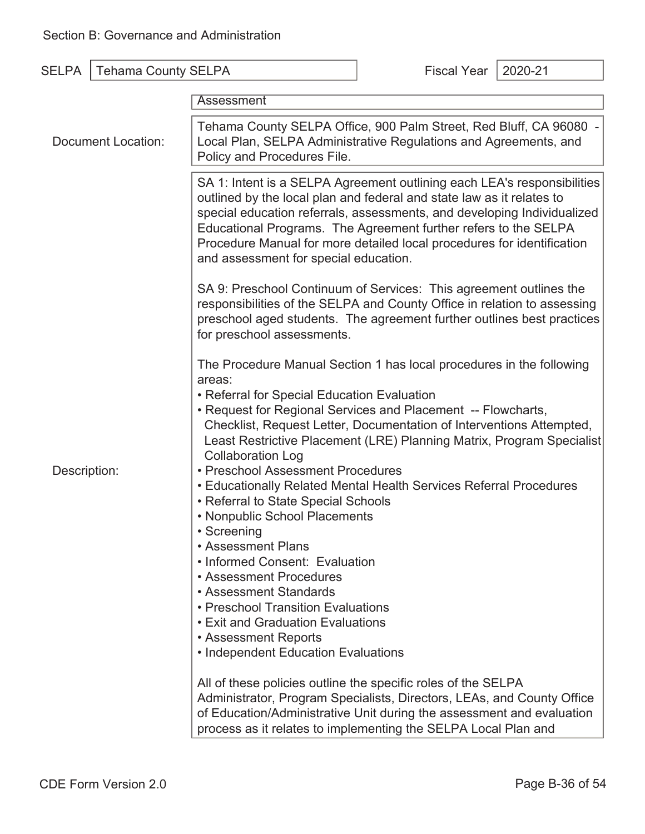| <b>SELPA</b>       | <b>Tehama County SELPA</b> |                                                                                                                                                                                                                                                                                                                                                                                                                         | <b>Fiscal Year</b> | 2020-21 |
|--------------------|----------------------------|-------------------------------------------------------------------------------------------------------------------------------------------------------------------------------------------------------------------------------------------------------------------------------------------------------------------------------------------------------------------------------------------------------------------------|--------------------|---------|
|                    |                            | Assessment                                                                                                                                                                                                                                                                                                                                                                                                              |                    |         |
| Document Location: |                            | Tehama County SELPA Office, 900 Palm Street, Red Bluff, CA 96080 -<br>Local Plan, SELPA Administrative Regulations and Agreements, and<br>Policy and Procedures File.                                                                                                                                                                                                                                                   |                    |         |
|                    |                            | SA 1: Intent is a SELPA Agreement outlining each LEA's responsibilities<br>outlined by the local plan and federal and state law as it relates to<br>special education referrals, assessments, and developing Individualized<br>Educational Programs. The Agreement further refers to the SELPA<br>Procedure Manual for more detailed local procedures for identification<br>and assessment for special education.       |                    |         |
|                    |                            | SA 9: Preschool Continuum of Services: This agreement outlines the<br>responsibilities of the SELPA and County Office in relation to assessing<br>preschool aged students. The agreement further outlines best practices<br>for preschool assessments.                                                                                                                                                                  |                    |         |
|                    |                            | The Procedure Manual Section 1 has local procedures in the following<br>areas:<br>• Referral for Special Education Evaluation<br>• Request for Regional Services and Placement -- Flowcharts,<br>Checklist, Request Letter, Documentation of Interventions Attempted,<br>Least Restrictive Placement (LRE) Planning Matrix, Program Specialist<br><b>Collaboration Log</b><br>• Preschool Assessment Procedures         |                    |         |
| Description:       |                            | • Educationally Related Mental Health Services Referral Procedures<br>• Referral to State Special Schools<br>• Nonpublic School Placements<br>• Screening<br><b>• Assessment Plans</b><br>• Informed Consent: Evaluation<br>• Assessment Procedures<br>• Assessment Standards<br>• Preschool Transition Evaluations<br>• Exit and Graduation Evaluations<br>• Assessment Reports<br>• Independent Education Evaluations |                    |         |
|                    |                            | All of these policies outline the specific roles of the SELPA<br>Administrator, Program Specialists, Directors, LEAs, and County Office<br>of Education/Administrative Unit during the assessment and evaluation<br>process as it relates to implementing the SELPA Local Plan and                                                                                                                                      |                    |         |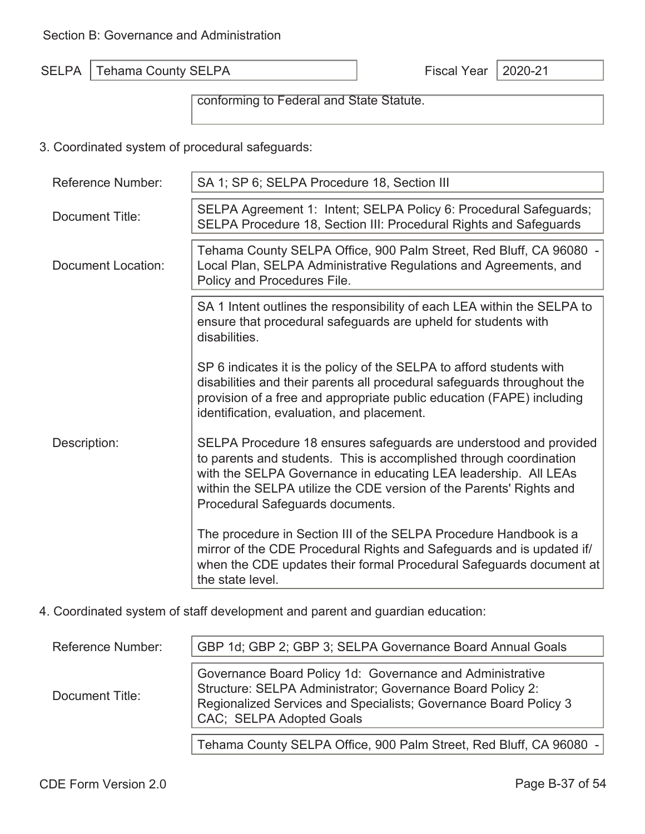conforming to Federal and State Statute.

3. Coordinated system of procedural safeguards:

| <b>Reference Number:</b>  | SA 1; SP 6; SELPA Procedure 18, Section III                                                                                                                                                                                                                                                                           |
|---------------------------|-----------------------------------------------------------------------------------------------------------------------------------------------------------------------------------------------------------------------------------------------------------------------------------------------------------------------|
| Document Title:           | SELPA Agreement 1: Intent; SELPA Policy 6: Procedural Safeguards;<br>SELPA Procedure 18, Section III: Procedural Rights and Safeguards                                                                                                                                                                                |
| <b>Document Location:</b> | Tehama County SELPA Office, 900 Palm Street, Red Bluff, CA 96080 -<br>Local Plan, SELPA Administrative Regulations and Agreements, and<br>Policy and Procedures File.                                                                                                                                                 |
|                           | SA 1 Intent outlines the responsibility of each LEA within the SELPA to<br>ensure that procedural safeguards are upheld for students with<br>disabilities.                                                                                                                                                            |
|                           | SP 6 indicates it is the policy of the SELPA to afford students with<br>disabilities and their parents all procedural safeguards throughout the<br>provision of a free and appropriate public education (FAPE) including<br>identification, evaluation, and placement.                                                |
| Description:              | SELPA Procedure 18 ensures safeguards are understood and provided<br>to parents and students. This is accomplished through coordination<br>with the SELPA Governance in educating LEA leadership. All LEAs<br>within the SELPA utilize the CDE version of the Parents' Rights and<br>Procedural Safeguards documents. |
|                           | The procedure in Section III of the SELPA Procedure Handbook is a<br>mirror of the CDE Procedural Rights and Safeguards and is updated if/<br>when the CDE updates their formal Procedural Safeguards document at<br>the state level.                                                                                 |

4. Coordinated system of staff development and parent and guardian education:

| <b>Reference Number:</b> | GBP 1d; GBP 2; GBP 3; SELPA Governance Board Annual Goals                                                                                                                                                               |
|--------------------------|-------------------------------------------------------------------------------------------------------------------------------------------------------------------------------------------------------------------------|
| Document Title:          | Governance Board Policy 1d: Governance and Administrative<br>Structure: SELPA Administrator; Governance Board Policy 2:<br>Regionalized Services and Specialists; Governance Board Policy 3<br>CAC; SELPA Adopted Goals |
|                          | Tehama County SELPA Office, 900 Palm Street, Red Bluff, CA 96080 -                                                                                                                                                      |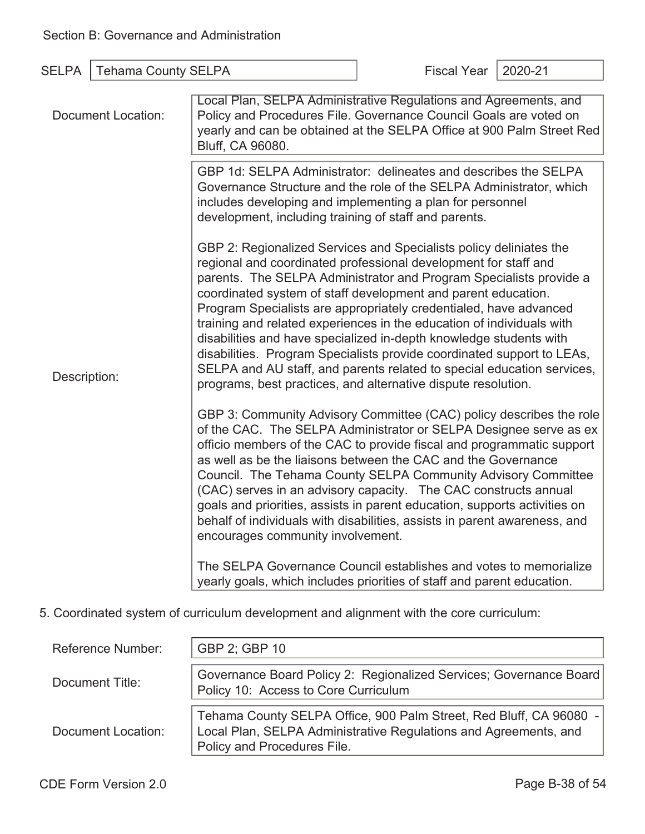| <b>SELPA</b>              | <b>Tehama County SELPA</b> |                                                                                                                                                                                                                                                                                                                                                                                                                                                                                                                                                                                                                                                                                                                       | <b>Fiscal Year</b> | 2020-21 |
|---------------------------|----------------------------|-----------------------------------------------------------------------------------------------------------------------------------------------------------------------------------------------------------------------------------------------------------------------------------------------------------------------------------------------------------------------------------------------------------------------------------------------------------------------------------------------------------------------------------------------------------------------------------------------------------------------------------------------------------------------------------------------------------------------|--------------------|---------|
| <b>Document Location:</b> |                            | Local Plan, SELPA Administrative Regulations and Agreements, and<br>Policy and Procedures File. Governance Council Goals are voted on<br>yearly and can be obtained at the SELPA Office at 900 Palm Street Red<br>Bluff, CA 96080.                                                                                                                                                                                                                                                                                                                                                                                                                                                                                    |                    |         |
| Description:              |                            | GBP 1d: SELPA Administrator: delineates and describes the SELPA<br>Governance Structure and the role of the SELPA Administrator, which<br>includes developing and implementing a plan for personnel<br>development, including training of staff and parents.                                                                                                                                                                                                                                                                                                                                                                                                                                                          |                    |         |
|                           |                            | GBP 2: Regionalized Services and Specialists policy deliniates the<br>regional and coordinated professional development for staff and<br>parents. The SELPA Administrator and Program Specialists provide a<br>coordinated system of staff development and parent education.<br>Program Specialists are appropriately credentialed, have advanced<br>training and related experiences in the education of individuals with<br>disabilities and have specialized in-depth knowledge students with<br>disabilities. Program Specialists provide coordinated support to LEAs,<br>SELPA and AU staff, and parents related to special education services,<br>programs, best practices, and alternative dispute resolution. |                    |         |
|                           |                            | GBP 3: Community Advisory Committee (CAC) policy describes the role<br>of the CAC. The SELPA Administrator or SELPA Designee serve as ex<br>officio members of the CAC to provide fiscal and programmatic support<br>as well as be the liaisons between the CAC and the Governance<br>Council. The Tehama County SELPA Community Advisory Committee<br>(CAC) serves in an advisory capacity. The CAC constructs annual<br>goals and priorities, assists in parent education, supports activities on<br>behalf of individuals with disabilities, assists in parent awareness, and<br>encourages community involvement.                                                                                                 |                    |         |
|                           |                            | The SELPA Governance Council establishes and votes to memorialize<br>yearly goals, which includes priorities of staff and parent education.                                                                                                                                                                                                                                                                                                                                                                                                                                                                                                                                                                           |                    |         |

5. Coordinated system of curriculum development and alignment with the core curriculum:

| <b>Reference Number:</b> | GBP 2; GBP 10                                                                                                                                                         |
|--------------------------|-----------------------------------------------------------------------------------------------------------------------------------------------------------------------|
| Document Title:          | Governance Board Policy 2: Regionalized Services; Governance Board<br>Policy 10: Access to Core Curriculum                                                            |
| Document Location:       | Tehama County SELPA Office, 900 Palm Street, Red Bluff, CA 96080 -<br>Local Plan, SELPA Administrative Regulations and Agreements, and<br>Policy and Procedures File. |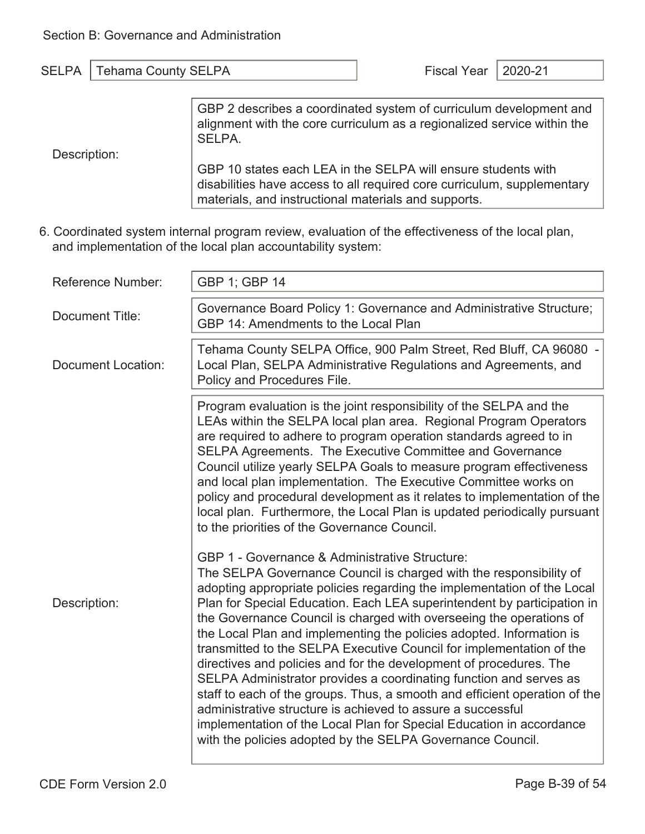SELPA.

| SELPA   Tehama County SELPA |                                                                    | Fiscal Year   2020-21 |  |
|-----------------------------|--------------------------------------------------------------------|-----------------------|--|
|                             |                                                                    |                       |  |
|                             | GBP 2 describes a coordinated system of curriculum development and |                       |  |

Description:

GBP 10 states each LEA in the SELPA will ensure students with disabilities have access to all required core curriculum, supplementary materials, and instructional materials and supports.

alignment with the core curriculum as a regionalized service within the

6. Coordinated system internal program review, evaluation of the effectiveness of the local plan, and implementation of the local plan accountability system:

| <b>Reference Number:</b>  | GBP 1; GBP 14                                                                                                                                                                                                                                                                                                                                                                                                                                                                                                                                                                                                                                                                                                                                                                                                                                                                                                                    |
|---------------------------|----------------------------------------------------------------------------------------------------------------------------------------------------------------------------------------------------------------------------------------------------------------------------------------------------------------------------------------------------------------------------------------------------------------------------------------------------------------------------------------------------------------------------------------------------------------------------------------------------------------------------------------------------------------------------------------------------------------------------------------------------------------------------------------------------------------------------------------------------------------------------------------------------------------------------------|
| Document Title:           | Governance Board Policy 1: Governance and Administrative Structure;<br>GBP 14: Amendments to the Local Plan                                                                                                                                                                                                                                                                                                                                                                                                                                                                                                                                                                                                                                                                                                                                                                                                                      |
| <b>Document Location:</b> | Tehama County SELPA Office, 900 Palm Street, Red Bluff, CA 96080 -<br>Local Plan, SELPA Administrative Regulations and Agreements, and<br>Policy and Procedures File.                                                                                                                                                                                                                                                                                                                                                                                                                                                                                                                                                                                                                                                                                                                                                            |
|                           | Program evaluation is the joint responsibility of the SELPA and the<br>LEAs within the SELPA local plan area. Regional Program Operators<br>are required to adhere to program operation standards agreed to in<br>SELPA Agreements. The Executive Committee and Governance<br>Council utilize yearly SELPA Goals to measure program effectiveness<br>and local plan implementation. The Executive Committee works on<br>policy and procedural development as it relates to implementation of the<br>local plan. Furthermore, the Local Plan is updated periodically pursuant<br>to the priorities of the Governance Council.                                                                                                                                                                                                                                                                                                     |
| Description:              | GBP 1 - Governance & Administrative Structure:<br>The SELPA Governance Council is charged with the responsibility of<br>adopting appropriate policies regarding the implementation of the Local<br>Plan for Special Education. Each LEA superintendent by participation in<br>the Governance Council is charged with overseeing the operations of<br>the Local Plan and implementing the policies adopted. Information is<br>transmitted to the SELPA Executive Council for implementation of the<br>directives and policies and for the development of procedures. The<br>SELPA Administrator provides a coordinating function and serves as<br>staff to each of the groups. Thus, a smooth and efficient operation of the<br>administrative structure is achieved to assure a successful<br>implementation of the Local Plan for Special Education in accordance<br>with the policies adopted by the SELPA Governance Council. |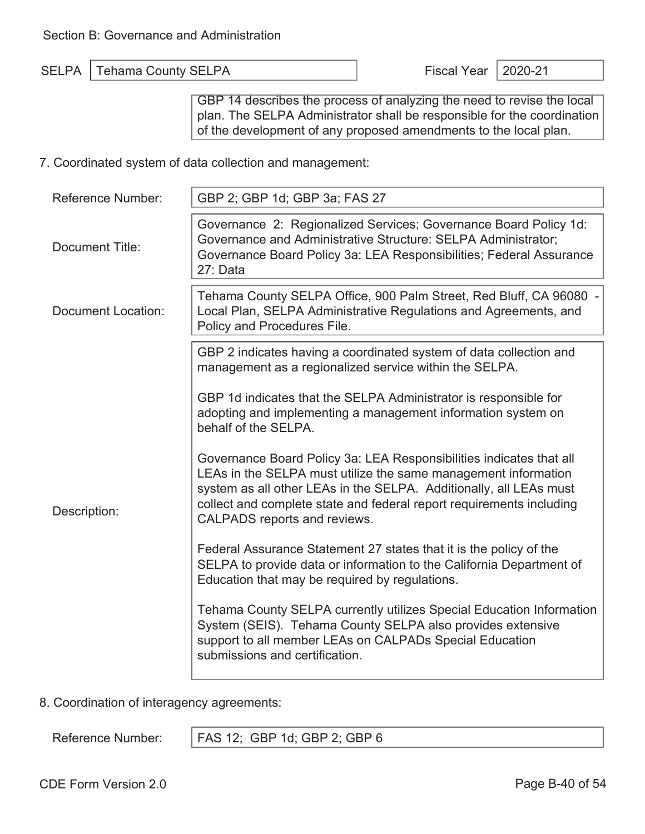SELPA | Tehama County SELPA  $\vert$  Fiscal Year | 2020-21

GBP 14 describes the process of analyzing the need to revise the local plan. The SELPA Administrator shall be responsible for the coordination of the development of any proposed amendments to the local plan.

7. Coordinated system of data collection and management:

| <b>Reference Number:</b>  | GBP 2; GBP 1d; GBP 3a; FAS 27                                                                                                                                                                                                                                                                                       |
|---------------------------|---------------------------------------------------------------------------------------------------------------------------------------------------------------------------------------------------------------------------------------------------------------------------------------------------------------------|
| <b>Document Title:</b>    | Governance 2: Regionalized Services; Governance Board Policy 1d:<br>Governance and Administrative Structure: SELPA Administrator;<br>Governance Board Policy 3a: LEA Responsibilities; Federal Assurance<br>27: Data                                                                                                |
| <b>Document Location:</b> | Tehama County SELPA Office, 900 Palm Street, Red Bluff, CA 96080 -<br>Local Plan, SELPA Administrative Regulations and Agreements, and<br>Policy and Procedures File.                                                                                                                                               |
|                           | GBP 2 indicates having a coordinated system of data collection and<br>management as a regionalized service within the SELPA.                                                                                                                                                                                        |
|                           | GBP 1d indicates that the SELPA Administrator is responsible for<br>adopting and implementing a management information system on<br>behalf of the SELPA.                                                                                                                                                            |
| Description:              | Governance Board Policy 3a: LEA Responsibilities indicates that all<br>LEAs in the SELPA must utilize the same management information<br>system as all other LEAs in the SELPA. Additionally, all LEAs must<br>collect and complete state and federal report requirements including<br>CALPADS reports and reviews. |
|                           | Federal Assurance Statement 27 states that it is the policy of the<br>SELPA to provide data or information to the California Department of<br>Education that may be required by regulations.                                                                                                                        |
|                           | Tehama County SELPA currently utilizes Special Education Information<br>System (SEIS). Tehama County SELPA also provides extensive<br>support to all member LEAs on CALPADs Special Education<br>submissions and certification.                                                                                     |

8. Coordination of interagency agreements:

Reference Number: | FAS 12; GBP 1d; GBP 2; GBP 6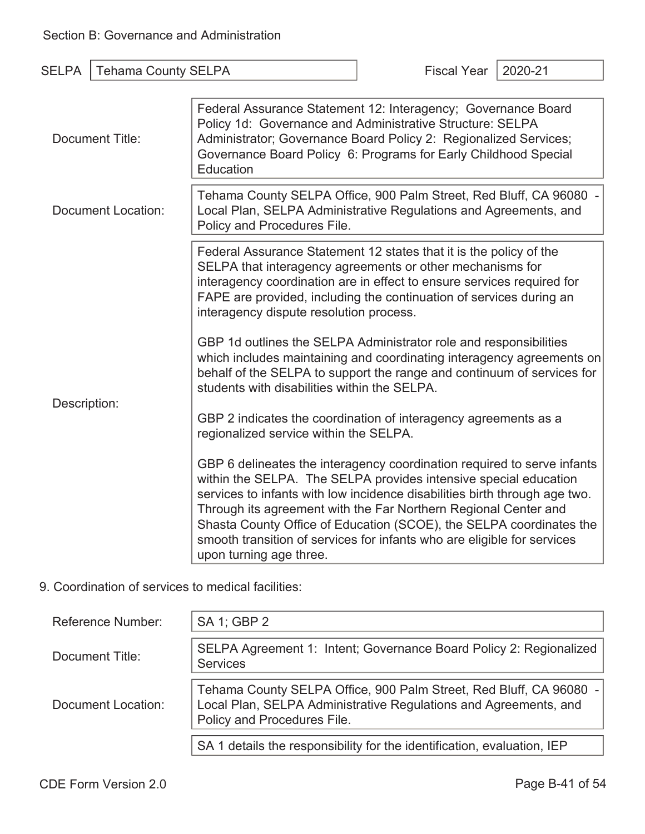| <b>SELPA</b>       | <b>Tehama County SELPA</b> |                                                                                                                                                                                                                                                                                                                                                                                                                                                                           | <b>Fiscal Year</b> | 2020-21 |
|--------------------|----------------------------|---------------------------------------------------------------------------------------------------------------------------------------------------------------------------------------------------------------------------------------------------------------------------------------------------------------------------------------------------------------------------------------------------------------------------------------------------------------------------|--------------------|---------|
| Document Title:    |                            | Federal Assurance Statement 12: Interagency; Governance Board<br>Policy 1d: Governance and Administrative Structure: SELPA<br>Administrator; Governance Board Policy 2: Regionalized Services;<br>Governance Board Policy 6: Programs for Early Childhood Special<br>Education                                                                                                                                                                                            |                    |         |
| Document Location: |                            | Tehama County SELPA Office, 900 Palm Street, Red Bluff, CA 96080 -<br>Local Plan, SELPA Administrative Regulations and Agreements, and<br>Policy and Procedures File.                                                                                                                                                                                                                                                                                                     |                    |         |
|                    |                            | Federal Assurance Statement 12 states that it is the policy of the<br>SELPA that interagency agreements or other mechanisms for<br>interagency coordination are in effect to ensure services required for<br>FAPE are provided, including the continuation of services during an<br>interagency dispute resolution process.                                                                                                                                               |                    |         |
| Description:       |                            | GBP 1d outlines the SELPA Administrator role and responsibilities<br>which includes maintaining and coordinating interagency agreements on<br>behalf of the SELPA to support the range and continuum of services for<br>students with disabilities within the SELPA.                                                                                                                                                                                                      |                    |         |
|                    |                            | GBP 2 indicates the coordination of interagency agreements as a<br>regionalized service within the SELPA.                                                                                                                                                                                                                                                                                                                                                                 |                    |         |
|                    |                            | GBP 6 delineates the interagency coordination required to serve infants<br>within the SELPA. The SELPA provides intensive special education<br>services to infants with low incidence disabilities birth through age two.<br>Through its agreement with the Far Northern Regional Center and<br>Shasta County Office of Education (SCOE), the SELPA coordinates the<br>smooth transition of services for infants who are eligible for services<br>upon turning age three. |                    |         |

### 9. Coordination of services to medical facilities:

| Reference Number:  | SA 1; GBP 2                                                                                                                                                           |
|--------------------|-----------------------------------------------------------------------------------------------------------------------------------------------------------------------|
| Document Title:    | SELPA Agreement 1: Intent; Governance Board Policy 2: Regionalized<br><b>Services</b>                                                                                 |
| Document Location: | Tehama County SELPA Office, 900 Palm Street, Red Bluff, CA 96080 -<br>Local Plan, SELPA Administrative Regulations and Agreements, and<br>Policy and Procedures File. |
|                    | SA 1 details the responsibility for the identification, evaluation, IEP                                                                                               |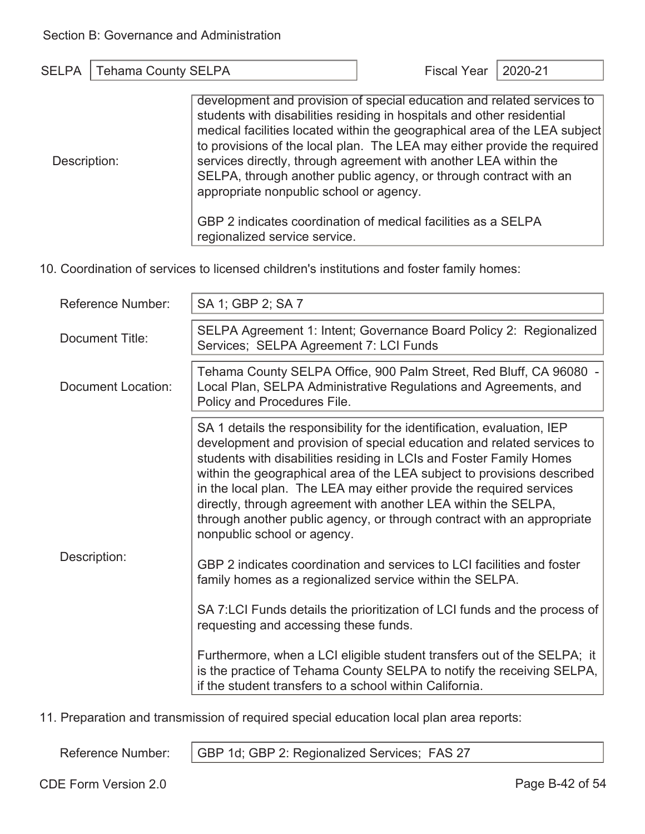| SELPA   Tehama County SELPA |                                                                        | Fiscal Year   2020-21 |  |
|-----------------------------|------------------------------------------------------------------------|-----------------------|--|
|                             |                                                                        |                       |  |
|                             | development and provision of special education and related services to |                       |  |
|                             | students with disabilities residing in hospitals and other residential |                       |  |
|                             |                                                                        |                       |  |

|              | medical facilities located within the geographical area of the LEA subject |
|--------------|----------------------------------------------------------------------------|
|              | to provisions of the local plan. The LEA may either provide the required   |
| Description: | services directly, through agreement with another LEA within the           |
|              | SELPA, through another public agency, or through contract with an          |
|              | appropriate nonpublic school or agency.                                    |
|              | GBP 2 indicates coordination of medical facilities as a SELPA              |
|              | regionalized service service.                                              |
|              |                                                                            |

10. Coordination of services to licensed children's institutions and foster family homes:

| Reference Number:  | SA 1; GBP 2; SA 7                                                                                                                                                                                                                                                                                                                                                                                                                                                                                                                                     |
|--------------------|-------------------------------------------------------------------------------------------------------------------------------------------------------------------------------------------------------------------------------------------------------------------------------------------------------------------------------------------------------------------------------------------------------------------------------------------------------------------------------------------------------------------------------------------------------|
| Document Title:    | SELPA Agreement 1: Intent; Governance Board Policy 2: Regionalized<br>Services; SELPA Agreement 7: LCI Funds                                                                                                                                                                                                                                                                                                                                                                                                                                          |
| Document Location: | Tehama County SELPA Office, 900 Palm Street, Red Bluff, CA 96080 -<br>Local Plan, SELPA Administrative Regulations and Agreements, and<br>Policy and Procedures File.                                                                                                                                                                                                                                                                                                                                                                                 |
|                    | SA 1 details the responsibility for the identification, evaluation, IEP<br>development and provision of special education and related services to<br>students with disabilities residing in LCIs and Foster Family Homes<br>within the geographical area of the LEA subject to provisions described<br>in the local plan. The LEA may either provide the required services<br>directly, through agreement with another LEA within the SELPA,<br>through another public agency, or through contract with an appropriate<br>nonpublic school or agency. |
| Description:       | GBP 2 indicates coordination and services to LCI facilities and foster<br>family homes as a regionalized service within the SELPA.<br>SA 7:LCI Funds details the prioritization of LCI funds and the process of<br>requesting and accessing these funds.                                                                                                                                                                                                                                                                                              |
|                    | Furthermore, when a LCI eligible student transfers out of the SELPA; it<br>is the practice of Tehama County SELPA to notify the receiving SELPA,<br>if the student transfers to a school within California.                                                                                                                                                                                                                                                                                                                                           |

11. Preparation and transmission of required special education local plan area reports:

Reference Number: | GBP 1d; GBP 2: Regionalized Services; FAS 27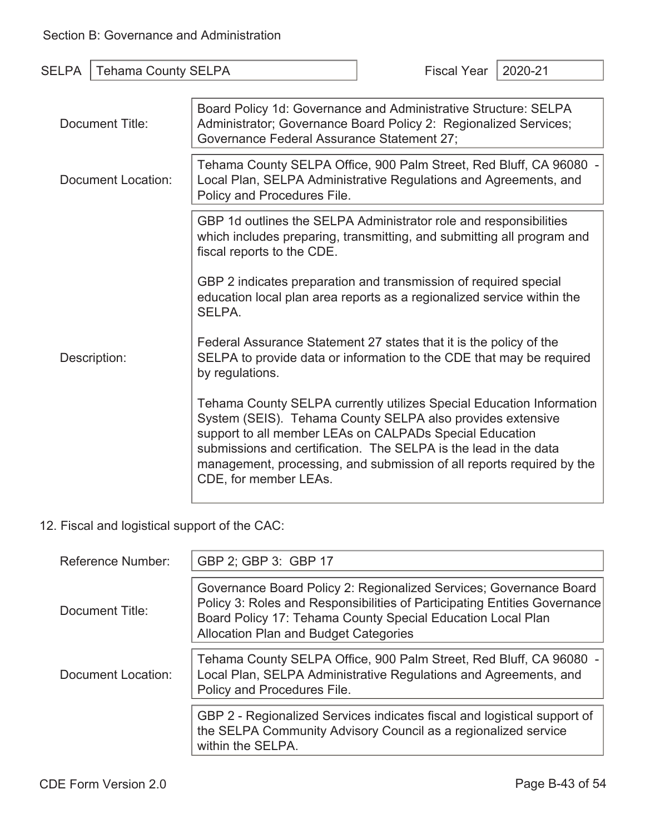| <b>SELPA</b>       | <b>Tehama County SELPA</b> |                                                                                                                                                                                                                                                                                                                                                                     | <b>Fiscal Year</b> | 2020-21 |
|--------------------|----------------------------|---------------------------------------------------------------------------------------------------------------------------------------------------------------------------------------------------------------------------------------------------------------------------------------------------------------------------------------------------------------------|--------------------|---------|
|                    |                            |                                                                                                                                                                                                                                                                                                                                                                     |                    |         |
| Document Title:    |                            | Board Policy 1d: Governance and Administrative Structure: SELPA<br>Administrator; Governance Board Policy 2: Regionalized Services;<br>Governance Federal Assurance Statement 27;                                                                                                                                                                                   |                    |         |
| Document Location: |                            | Tehama County SELPA Office, 900 Palm Street, Red Bluff, CA 96080 -<br>Local Plan, SELPA Administrative Regulations and Agreements, and<br>Policy and Procedures File.                                                                                                                                                                                               |                    |         |
|                    |                            | GBP 1d outlines the SELPA Administrator role and responsibilities<br>which includes preparing, transmitting, and submitting all program and<br>fiscal reports to the CDE.                                                                                                                                                                                           |                    |         |
|                    |                            | GBP 2 indicates preparation and transmission of required special<br>education local plan area reports as a regionalized service within the<br>SELPA.                                                                                                                                                                                                                |                    |         |
| Description:       |                            | Federal Assurance Statement 27 states that it is the policy of the<br>SELPA to provide data or information to the CDE that may be required<br>by regulations.                                                                                                                                                                                                       |                    |         |
|                    |                            | Tehama County SELPA currently utilizes Special Education Information<br>System (SEIS). Tehama County SELPA also provides extensive<br>support to all member LEAs on CALPADs Special Education<br>submissions and certification. The SELPA is the lead in the data<br>management, processing, and submission of all reports required by the<br>CDE, for member LEAs. |                    |         |

### 12. Fiscal and logistical support of the CAC:

| Reference Number:  | GBP 2; GBP 3: GBP 17                                                                                                                                                                                                                                           |
|--------------------|----------------------------------------------------------------------------------------------------------------------------------------------------------------------------------------------------------------------------------------------------------------|
| Document Title:    | Governance Board Policy 2: Regionalized Services; Governance Board<br>Policy 3: Roles and Responsibilities of Participating Entities Governance<br>Board Policy 17: Tehama County Special Education Local Plan<br><b>Allocation Plan and Budget Categories</b> |
| Document Location: | Tehama County SELPA Office, 900 Palm Street, Red Bluff, CA 96080 -<br>Local Plan, SELPA Administrative Regulations and Agreements, and<br>Policy and Procedures File.                                                                                          |
|                    | GBP 2 - Regionalized Services indicates fiscal and logistical support of<br>the SELPA Community Advisory Council as a regionalized service<br>within the SELPA.                                                                                                |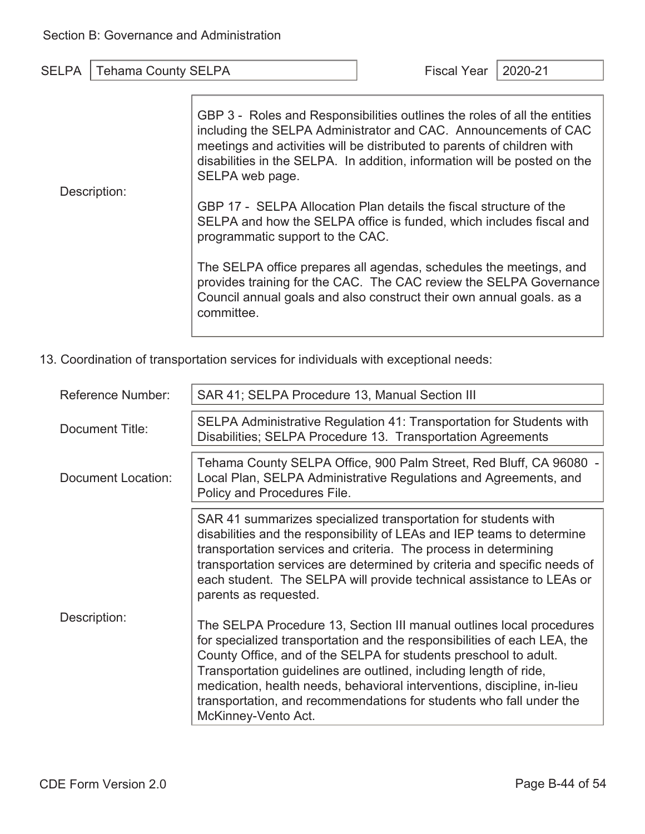Description: GBP 3 - Roles and Responsibilities outlines the roles of all the entities including the SELPA Administrator and CAC. Announcements of CAC meetings and activities will be distributed to parents of children with disabilities in the SELPA. In addition, information will be posted on the SELPA web page. GBP 17 - SELPA Allocation Plan details the fiscal structure of the SELPA and how the SELPA office is funded, which includes fiscal and programmatic support to the CAC. The SELPA office prepares all agendas, schedules the meetings, and provides training for the CAC. The CAC review the SELPA Governance Council annual goals and also construct their own annual goals. as a committee.

13. Coordination of transportation services for individuals with exceptional needs:

| <b>Reference Number:</b> | SAR 41; SELPA Procedure 13, Manual Section III                                                                                                                                                                                                                                                                                                                                                                                                                     |
|--------------------------|--------------------------------------------------------------------------------------------------------------------------------------------------------------------------------------------------------------------------------------------------------------------------------------------------------------------------------------------------------------------------------------------------------------------------------------------------------------------|
| Document Title:          | SELPA Administrative Regulation 41: Transportation for Students with<br>Disabilities; SELPA Procedure 13. Transportation Agreements                                                                                                                                                                                                                                                                                                                                |
| Document Location:       | Tehama County SELPA Office, 900 Palm Street, Red Bluff, CA 96080 -<br>Local Plan, SELPA Administrative Regulations and Agreements, and<br>Policy and Procedures File.                                                                                                                                                                                                                                                                                              |
|                          | SAR 41 summarizes specialized transportation for students with<br>disabilities and the responsibility of LEAs and IEP teams to determine<br>transportation services and criteria. The process in determining<br>transportation services are determined by criteria and specific needs of<br>each student. The SELPA will provide technical assistance to LEAs or<br>parents as requested.                                                                          |
| Description:             | The SELPA Procedure 13, Section III manual outlines local procedures<br>for specialized transportation and the responsibilities of each LEA, the<br>County Office, and of the SELPA for students preschool to adult.<br>Transportation guidelines are outlined, including length of ride,<br>medication, health needs, behavioral interventions, discipline, in-lieu<br>transportation, and recommendations for students who fall under the<br>McKinney-Vento Act. |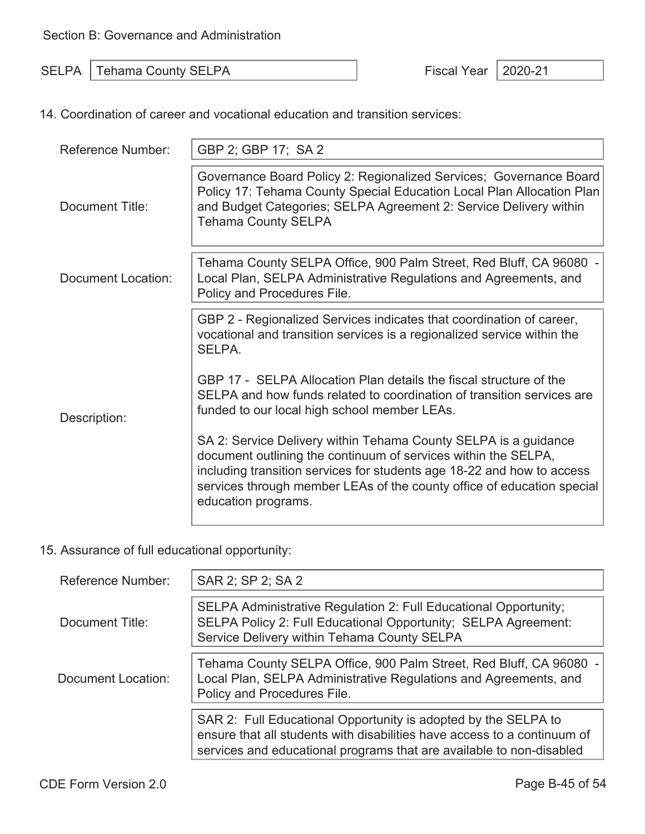SELPA Tehama County SELPA Fiscal Year 2020-21

14. Coordination of career and vocational education and transition services:

| Reference Number:  | GBP 2; GBP 17; SA 2                                                                                                                                                                                                                                                                                          |
|--------------------|--------------------------------------------------------------------------------------------------------------------------------------------------------------------------------------------------------------------------------------------------------------------------------------------------------------|
| Document Title:    | Governance Board Policy 2: Regionalized Services; Governance Board<br>Policy 17: Tehama County Special Education Local Plan Allocation Plan<br>and Budget Categories; SELPA Agreement 2: Service Delivery within<br><b>Tehama County SELPA</b>                                                               |
| Document Location: | Tehama County SELPA Office, 900 Palm Street, Red Bluff, CA 96080 -<br>Local Plan, SELPA Administrative Regulations and Agreements, and<br>Policy and Procedures File.                                                                                                                                        |
| Description:       | GBP 2 - Regionalized Services indicates that coordination of career,<br>vocational and transition services is a regionalized service within the<br>SELPA.                                                                                                                                                    |
|                    | GBP 17 - SELPA Allocation Plan details the fiscal structure of the<br>SELPA and how funds related to coordination of transition services are<br>funded to our local high school member LEAs.                                                                                                                 |
|                    | SA 2: Service Delivery within Tehama County SELPA is a guidance<br>document outlining the continuum of services within the SELPA,<br>including transition services for students age 18-22 and how to access<br>services through member LEAs of the county office of education special<br>education programs. |

#### 15. Assurance of full educational opportunity:

| <b>Reference Number:</b> | SAR 2; SP 2; SA 2                                                                                                                                                                                                  |
|--------------------------|--------------------------------------------------------------------------------------------------------------------------------------------------------------------------------------------------------------------|
| Document Title:          | SELPA Administrative Regulation 2: Full Educational Opportunity;<br>SELPA Policy 2: Full Educational Opportunity; SELPA Agreement:<br>Service Delivery within Tehama County SELPA                                  |
| Document Location:       | Tehama County SELPA Office, 900 Palm Street, Red Bluff, CA 96080 -<br>Local Plan, SELPA Administrative Regulations and Agreements, and<br>Policy and Procedures File.                                              |
|                          | SAR 2: Full Educational Opportunity is adopted by the SELPA to<br>ensure that all students with disabilities have access to a continuum of<br>services and educational programs that are available to non-disabled |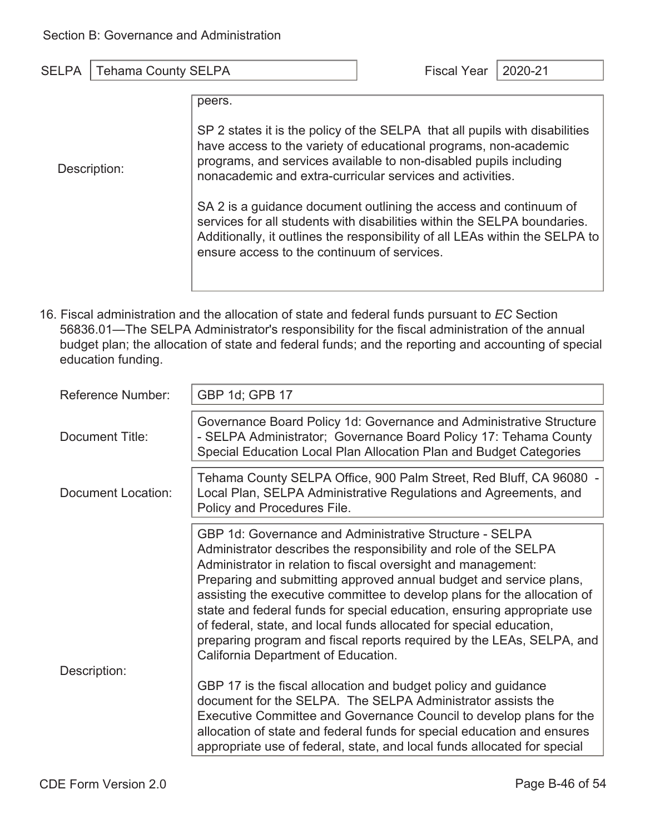Description:

| iscal Year <sup>.</sup> | $\vert$ 2 |
|-------------------------|-----------|
|                         |           |

peers.

SP 2 states it is the policy of the SELPA that all pupils with disabilities have access to the variety of educational programs, non-academic programs, and services available to non-disabled pupils including nonacademic and extra-curricular services and activities.

SA 2 is a guidance document outlining the access and continuum of services for all students with disabilities within the SELPA boundaries. Additionally, it outlines the responsibility of all LEAs within the SELPA to ensure access to the continuum of services.

16. Fiscal administration and the allocation of state and federal funds pursuant to *EC* Section 56836.01—The SELPA Administrator's responsibility for the fiscal administration of the annual budget plan; the allocation of state and federal funds; and the reporting and accounting of special education funding.

| <b>Reference Number:</b> | GBP 1d; GPB 17                                                                                                                                                                                                                                                                                                                                                                                                                                                                                                                                                                                                          |
|--------------------------|-------------------------------------------------------------------------------------------------------------------------------------------------------------------------------------------------------------------------------------------------------------------------------------------------------------------------------------------------------------------------------------------------------------------------------------------------------------------------------------------------------------------------------------------------------------------------------------------------------------------------|
| Document Title:          | Governance Board Policy 1d: Governance and Administrative Structure<br>- SELPA Administrator; Governance Board Policy 17: Tehama County<br>Special Education Local Plan Allocation Plan and Budget Categories                                                                                                                                                                                                                                                                                                                                                                                                           |
| Document Location:       | Tehama County SELPA Office, 900 Palm Street, Red Bluff, CA 96080 -<br>Local Plan, SELPA Administrative Regulations and Agreements, and<br>Policy and Procedures File.                                                                                                                                                                                                                                                                                                                                                                                                                                                   |
| Description:             | <b>GBP 1d: Governance and Administrative Structure - SELPA</b><br>Administrator describes the responsibility and role of the SELPA<br>Administrator in relation to fiscal oversight and management:<br>Preparing and submitting approved annual budget and service plans,<br>assisting the executive committee to develop plans for the allocation of<br>state and federal funds for special education, ensuring appropriate use<br>of federal, state, and local funds allocated for special education,<br>preparing program and fiscal reports required by the LEAs, SELPA, and<br>California Department of Education. |
|                          | GBP 17 is the fiscal allocation and budget policy and guidance<br>document for the SELPA. The SELPA Administrator assists the<br>Executive Committee and Governance Council to develop plans for the<br>allocation of state and federal funds for special education and ensures<br>appropriate use of federal, state, and local funds allocated for special                                                                                                                                                                                                                                                             |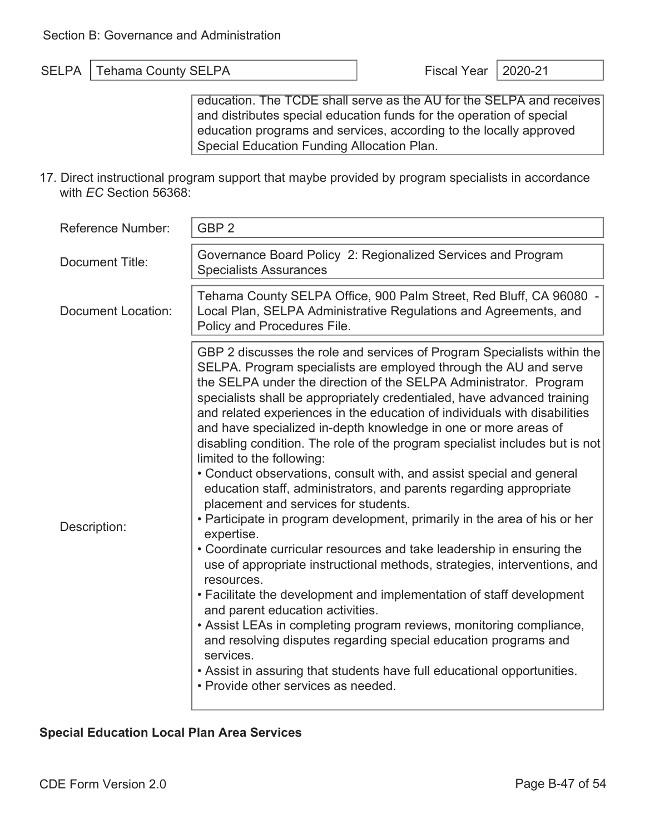education. The TCDE shall serve as the AU for the SELPA and receives and distributes special education funds for the operation of special education programs and services, according to the locally approved Special Education Funding Allocation Plan.

17. Direct instructional program support that maybe provided by program specialists in accordance with *EC* Section 56368:

| <b>Reference Number:</b>  | GBP <sub>2</sub>                                                                                                                                                                                                                                                                                                                                                                                                                                                                                                                                                                                                                                                                                                                                                                                                                                                                                                                                                                                                                                                                                                                                                                                                                                                                                                                                                                                 |
|---------------------------|--------------------------------------------------------------------------------------------------------------------------------------------------------------------------------------------------------------------------------------------------------------------------------------------------------------------------------------------------------------------------------------------------------------------------------------------------------------------------------------------------------------------------------------------------------------------------------------------------------------------------------------------------------------------------------------------------------------------------------------------------------------------------------------------------------------------------------------------------------------------------------------------------------------------------------------------------------------------------------------------------------------------------------------------------------------------------------------------------------------------------------------------------------------------------------------------------------------------------------------------------------------------------------------------------------------------------------------------------------------------------------------------------|
| <b>Document Title:</b>    | Governance Board Policy 2: Regionalized Services and Program<br><b>Specialists Assurances</b>                                                                                                                                                                                                                                                                                                                                                                                                                                                                                                                                                                                                                                                                                                                                                                                                                                                                                                                                                                                                                                                                                                                                                                                                                                                                                                    |
| <b>Document Location:</b> | Tehama County SELPA Office, 900 Palm Street, Red Bluff, CA 96080 -<br>Local Plan, SELPA Administrative Regulations and Agreements, and<br>Policy and Procedures File.                                                                                                                                                                                                                                                                                                                                                                                                                                                                                                                                                                                                                                                                                                                                                                                                                                                                                                                                                                                                                                                                                                                                                                                                                            |
| Description:              | GBP 2 discusses the role and services of Program Specialists within the<br>SELPA. Program specialists are employed through the AU and serve<br>the SELPA under the direction of the SELPA Administrator. Program<br>specialists shall be appropriately credentialed, have advanced training<br>and related experiences in the education of individuals with disabilities<br>and have specialized in-depth knowledge in one or more areas of<br>disabling condition. The role of the program specialist includes but is not<br>limited to the following:<br>• Conduct observations, consult with, and assist special and general<br>education staff, administrators, and parents regarding appropriate<br>placement and services for students.<br>• Participate in program development, primarily in the area of his or her<br>expertise.<br>• Coordinate curricular resources and take leadership in ensuring the<br>use of appropriate instructional methods, strategies, interventions, and<br>resources.<br>• Facilitate the development and implementation of staff development<br>and parent education activities.<br>• Assist LEAs in completing program reviews, monitoring compliance,<br>and resolving disputes regarding special education programs and<br>services.<br>• Assist in assuring that students have full educational opportunities.<br>• Provide other services as needed. |

#### **Special Education Local Plan Area Services**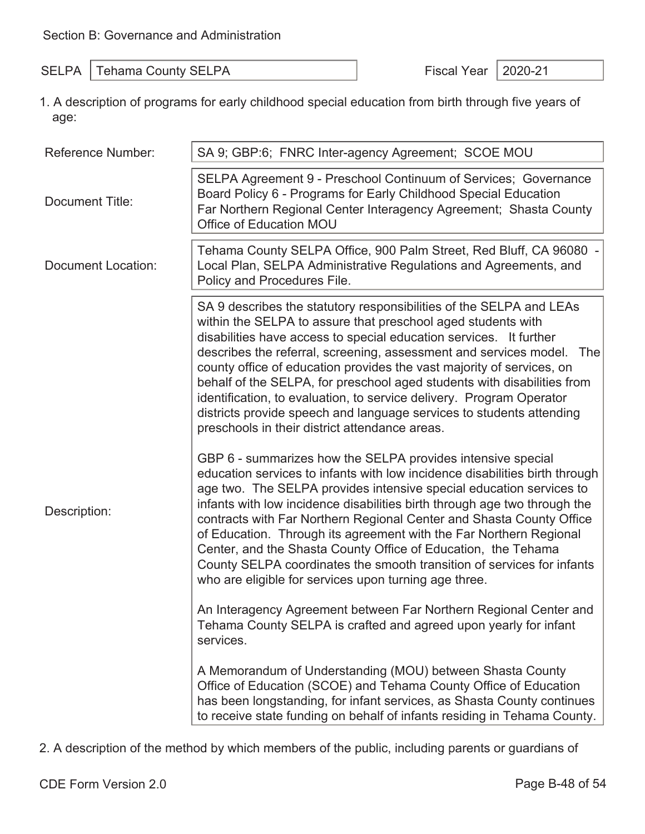SELPA Tehama County SELPA Fiscal Year 2020-21

1. A description of programs for early childhood special education from birth through five years of age:

| <b>Reference Number:</b>  | SA 9; GBP:6; FNRC Inter-agency Agreement; SCOE MOU                                                                                                                                                                                                                                                                                                                                                                                                                                                                                                                                                                                                                                                                                                                                                                                                                                                                                                                                                                                                                                                                                                                                                                                                                                                                                                                                                                                                                                                                                                                                                                                                                                                                                        |
|---------------------------|-------------------------------------------------------------------------------------------------------------------------------------------------------------------------------------------------------------------------------------------------------------------------------------------------------------------------------------------------------------------------------------------------------------------------------------------------------------------------------------------------------------------------------------------------------------------------------------------------------------------------------------------------------------------------------------------------------------------------------------------------------------------------------------------------------------------------------------------------------------------------------------------------------------------------------------------------------------------------------------------------------------------------------------------------------------------------------------------------------------------------------------------------------------------------------------------------------------------------------------------------------------------------------------------------------------------------------------------------------------------------------------------------------------------------------------------------------------------------------------------------------------------------------------------------------------------------------------------------------------------------------------------------------------------------------------------------------------------------------------------|
| <b>Document Title:</b>    | SELPA Agreement 9 - Preschool Continuum of Services; Governance<br>Board Policy 6 - Programs for Early Childhood Special Education<br>Far Northern Regional Center Interagency Agreement; Shasta County<br>Office of Education MOU                                                                                                                                                                                                                                                                                                                                                                                                                                                                                                                                                                                                                                                                                                                                                                                                                                                                                                                                                                                                                                                                                                                                                                                                                                                                                                                                                                                                                                                                                                        |
| <b>Document Location:</b> | Tehama County SELPA Office, 900 Palm Street, Red Bluff, CA 96080 -<br>Local Plan, SELPA Administrative Regulations and Agreements, and<br>Policy and Procedures File.                                                                                                                                                                                                                                                                                                                                                                                                                                                                                                                                                                                                                                                                                                                                                                                                                                                                                                                                                                                                                                                                                                                                                                                                                                                                                                                                                                                                                                                                                                                                                                     |
| Description:              | SA 9 describes the statutory responsibilities of the SELPA and LEAs<br>within the SELPA to assure that preschool aged students with<br>disabilities have access to special education services. It further<br>describes the referral, screening, assessment and services model. The<br>county office of education provides the vast majority of services, on<br>behalf of the SELPA, for preschool aged students with disabilities from<br>identification, to evaluation, to service delivery. Program Operator<br>districts provide speech and language services to students attending<br>preschools in their district attendance areas.<br>GBP 6 - summarizes how the SELPA provides intensive special<br>education services to infants with low incidence disabilities birth through<br>age two. The SELPA provides intensive special education services to<br>infants with low incidence disabilities birth through age two through the<br>contracts with Far Northern Regional Center and Shasta County Office<br>of Education. Through its agreement with the Far Northern Regional<br>Center, and the Shasta County Office of Education, the Tehama<br>County SELPA coordinates the smooth transition of services for infants<br>who are eligible for services upon turning age three.<br>An Interagency Agreement between Far Northern Regional Center and<br>Tehama County SELPA is crafted and agreed upon yearly for infant<br>services.<br>A Memorandum of Understanding (MOU) between Shasta County<br>Office of Education (SCOE) and Tehama County Office of Education<br>has been longstanding, for infant services, as Shasta County continues<br>to receive state funding on behalf of infants residing in Tehama County. |

2. A description of the method by which members of the public, including parents or guardians of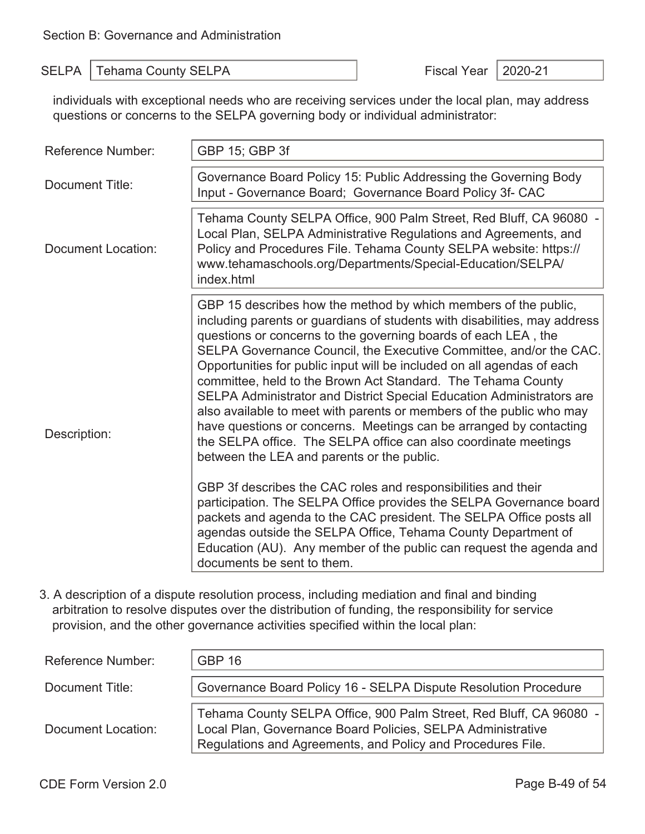individuals with exceptional needs who are receiving services under the local plan, may address questions or concerns to the SELPA governing body or individual administrator:

| <b>Reference Number:</b>  | GBP 15; GBP 3f                                                                                                                                                                                                                                                                                                                                                                                                                                                                                                                                                                                                                                                                                                                                                         |
|---------------------------|------------------------------------------------------------------------------------------------------------------------------------------------------------------------------------------------------------------------------------------------------------------------------------------------------------------------------------------------------------------------------------------------------------------------------------------------------------------------------------------------------------------------------------------------------------------------------------------------------------------------------------------------------------------------------------------------------------------------------------------------------------------------|
| <b>Document Title:</b>    | Governance Board Policy 15: Public Addressing the Governing Body<br>Input - Governance Board; Governance Board Policy 3f- CAC                                                                                                                                                                                                                                                                                                                                                                                                                                                                                                                                                                                                                                          |
| <b>Document Location:</b> | Tehama County SELPA Office, 900 Palm Street, Red Bluff, CA 96080 -<br>Local Plan, SELPA Administrative Regulations and Agreements, and<br>Policy and Procedures File. Tehama County SELPA website: https://<br>www.tehamaschools.org/Departments/Special-Education/SELPA/<br>index.html                                                                                                                                                                                                                                                                                                                                                                                                                                                                                |
| Description:              | GBP 15 describes how the method by which members of the public,<br>including parents or guardians of students with disabilities, may address<br>questions or concerns to the governing boards of each LEA, the<br>SELPA Governance Council, the Executive Committee, and/or the CAC.<br>Opportunities for public input will be included on all agendas of each<br>committee, held to the Brown Act Standard. The Tehama County<br>SELPA Administrator and District Special Education Administrators are<br>also available to meet with parents or members of the public who may<br>have questions or concerns. Meetings can be arranged by contacting<br>the SELPA office. The SELPA office can also coordinate meetings<br>between the LEA and parents or the public. |
|                           | GBP 3f describes the CAC roles and responsibilities and their<br>participation. The SELPA Office provides the SELPA Governance board<br>packets and agenda to the CAC president. The SELPA Office posts all<br>agendas outside the SELPA Office, Tehama County Department of<br>Education (AU). Any member of the public can request the agenda and<br>documents be sent to them.                                                                                                                                                                                                                                                                                                                                                                                      |

3. A description of a dispute resolution process, including mediation and final and binding arbitration to resolve disputes over the distribution of funding, the responsibility for service provision, and the other governance activities specified within the local plan:

| Reference Number:  | <b>GBP 16</b>                                                                                                                                                                                    |
|--------------------|--------------------------------------------------------------------------------------------------------------------------------------------------------------------------------------------------|
| Document Title:    | Governance Board Policy 16 - SELPA Dispute Resolution Procedure                                                                                                                                  |
| Document Location: | Tehama County SELPA Office, 900 Palm Street, Red Bluff, CA 96080 -<br>Local Plan, Governance Board Policies, SELPA Administrative<br>Regulations and Agreements, and Policy and Procedures File. |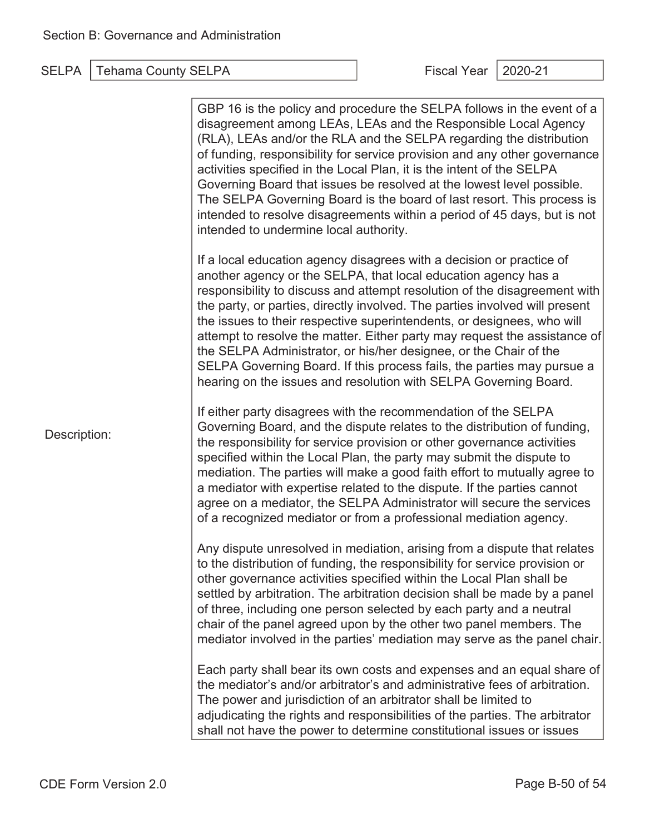| Description: | GBP 16 is the policy and procedure the SELPA follows in the event of a<br>disagreement among LEAs, LEAs and the Responsible Local Agency<br>(RLA), LEAs and/or the RLA and the SELPA regarding the distribution<br>of funding, responsibility for service provision and any other governance<br>activities specified in the Local Plan, it is the intent of the SELPA<br>Governing Board that issues be resolved at the lowest level possible.<br>The SELPA Governing Board is the board of last resort. This process is<br>intended to resolve disagreements within a period of 45 days, but is not<br>intended to undermine local authority.                               |
|--------------|------------------------------------------------------------------------------------------------------------------------------------------------------------------------------------------------------------------------------------------------------------------------------------------------------------------------------------------------------------------------------------------------------------------------------------------------------------------------------------------------------------------------------------------------------------------------------------------------------------------------------------------------------------------------------|
|              | If a local education agency disagrees with a decision or practice of<br>another agency or the SELPA, that local education agency has a<br>responsibility to discuss and attempt resolution of the disagreement with<br>the party, or parties, directly involved. The parties involved will present<br>the issues to their respective superintendents, or designees, who will<br>attempt to resolve the matter. Either party may request the assistance of<br>the SELPA Administrator, or his/her designee, or the Chair of the<br>SELPA Governing Board. If this process fails, the parties may pursue a<br>hearing on the issues and resolution with SELPA Governing Board. |
|              | If either party disagrees with the recommendation of the SELPA<br>Governing Board, and the dispute relates to the distribution of funding,<br>the responsibility for service provision or other governance activities<br>specified within the Local Plan, the party may submit the dispute to<br>mediation. The parties will make a good faith effort to mutually agree to<br>a mediator with expertise related to the dispute. If the parties cannot<br>agree on a mediator, the SELPA Administrator will secure the services<br>of a recognized mediator or from a professional mediation agency.                                                                          |
|              | Any dispute unresolved in mediation, arising from a dispute that relates<br>to the distribution of funding, the responsibility for service provision or<br>other governance activities specified within the Local Plan shall be<br>settled by arbitration. The arbitration decision shall be made by a panel<br>of three, including one person selected by each party and a neutral<br>chair of the panel agreed upon by the other two panel members. The<br>mediator involved in the parties' mediation may serve as the panel chair.                                                                                                                                       |
|              | Each party shall bear its own costs and expenses and an equal share of<br>the mediator's and/or arbitrator's and administrative fees of arbitration.<br>The power and jurisdiction of an arbitrator shall be limited to<br>adjudicating the rights and responsibilities of the parties. The arbitrator<br>shall not have the power to determine constitutional issues or issues                                                                                                                                                                                                                                                                                              |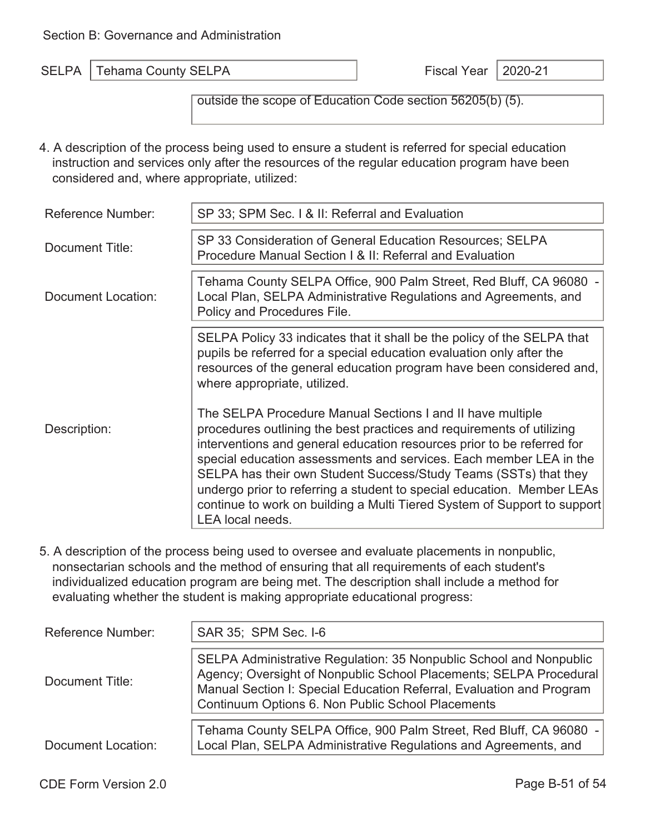A │Tehama County SELPA │ Fiscal Year │2020-21

outside the scope of Education Code section 56205(b) (5).

4. A description of the process being used to ensure a student is referred for special education instruction and services only after the resources of the regular education program have been considered and, where appropriate, utilized:

| <b>Reference Number:</b> | SP 33; SPM Sec. 1 & II: Referral and Evaluation                                                                                                                                                                                                                                                                                                                                                                                                                                                                                   |
|--------------------------|-----------------------------------------------------------------------------------------------------------------------------------------------------------------------------------------------------------------------------------------------------------------------------------------------------------------------------------------------------------------------------------------------------------------------------------------------------------------------------------------------------------------------------------|
| Document Title:          | SP 33 Consideration of General Education Resources; SELPA<br>Procedure Manual Section   & II: Referral and Evaluation                                                                                                                                                                                                                                                                                                                                                                                                             |
| Document Location:       | Tehama County SELPA Office, 900 Palm Street, Red Bluff, CA 96080 -<br>Local Plan, SELPA Administrative Regulations and Agreements, and<br>Policy and Procedures File.                                                                                                                                                                                                                                                                                                                                                             |
|                          | SELPA Policy 33 indicates that it shall be the policy of the SELPA that<br>pupils be referred for a special education evaluation only after the<br>resources of the general education program have been considered and,<br>where appropriate, utilized.                                                                                                                                                                                                                                                                           |
| Description:             | The SELPA Procedure Manual Sections I and II have multiple<br>procedures outlining the best practices and requirements of utilizing<br>interventions and general education resources prior to be referred for<br>special education assessments and services. Each member LEA in the<br>SELPA has their own Student Success/Study Teams (SSTs) that they<br>undergo prior to referring a student to special education. Member LEAs<br>continue to work on building a Multi Tiered System of Support to support<br>LEA local needs. |

5. A description of the process being used to oversee and evaluate placements in nonpublic, nonsectarian schools and the method of ensuring that all requirements of each student's individualized education program are being met. The description shall include a method for evaluating whether the student is making appropriate educational progress:

| <b>Reference Number:</b>  | SAR 35; SPM Sec. I-6                                                                                                                                                                                                                                                  |  |  |  |
|---------------------------|-----------------------------------------------------------------------------------------------------------------------------------------------------------------------------------------------------------------------------------------------------------------------|--|--|--|
| Document Title:           | SELPA Administrative Regulation: 35 Nonpublic School and Nonpublic<br>Agency; Oversight of Nonpublic School Placements; SELPA Procedural<br>Manual Section I: Special Education Referral, Evaluation and Program<br>Continuum Options 6. Non Public School Placements |  |  |  |
| <b>Document Location:</b> | Tehama County SELPA Office, 900 Palm Street, Red Bluff, CA 96080 -<br>Local Plan, SELPA Administrative Regulations and Agreements, and                                                                                                                                |  |  |  |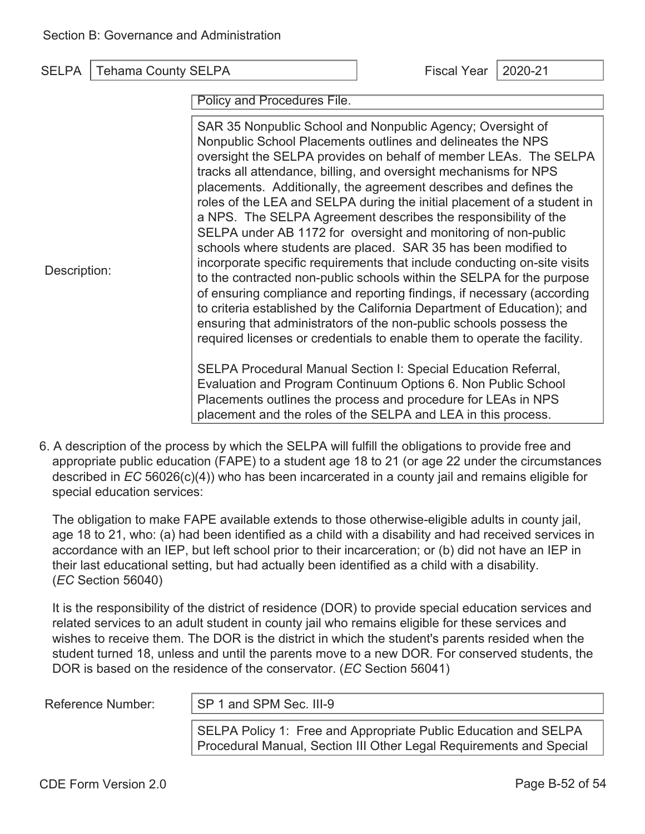Policy and Procedures File.

| Description: | SAR 35 Nonpublic School and Nonpublic Agency; Oversight of<br>Nonpublic School Placements outlines and delineates the NPS<br>oversight the SELPA provides on behalf of member LEAs. The SELPA<br>tracks all attendance, billing, and oversight mechanisms for NPS<br>placements. Additionally, the agreement describes and defines the<br>roles of the LEA and SELPA during the initial placement of a student in<br>a NPS. The SELPA Agreement describes the responsibility of the<br>SELPA under AB 1172 for oversight and monitoring of non-public<br>schools where students are placed. SAR 35 has been modified to<br>incorporate specific requirements that include conducting on-site visits<br>to the contracted non-public schools within the SELPA for the purpose<br>of ensuring compliance and reporting findings, if necessary (according<br>to criteria established by the California Department of Education); and<br>ensuring that administrators of the non-public schools possess the<br>required licenses or credentials to enable them to operate the facility.<br>SELPA Procedural Manual Section I: Special Education Referral, |
|--------------|-------------------------------------------------------------------------------------------------------------------------------------------------------------------------------------------------------------------------------------------------------------------------------------------------------------------------------------------------------------------------------------------------------------------------------------------------------------------------------------------------------------------------------------------------------------------------------------------------------------------------------------------------------------------------------------------------------------------------------------------------------------------------------------------------------------------------------------------------------------------------------------------------------------------------------------------------------------------------------------------------------------------------------------------------------------------------------------------------------------------------------------------------------|
|              | Evaluation and Program Continuum Options 6. Non Public School<br>Placements outlines the process and procedure for LEAs in NPS<br>placement and the roles of the SELPA and LEA in this process.                                                                                                                                                                                                                                                                                                                                                                                                                                                                                                                                                                                                                                                                                                                                                                                                                                                                                                                                                       |

6. A description of the process by which the SELPA will fulfill the obligations to provide free and appropriate public education (FAPE) to a student age 18 to 21 (or age 22 under the circumstances described in *EC* 56026(c)(4)) who has been incarcerated in a county jail and remains eligible for special education services:

The obligation to make FAPE available extends to those otherwise-eligible adults in county jail, age 18 to 21, who: (a) had been identified as a child with a disability and had received services in accordance with an IEP, but left school prior to their incarceration; or (b) did not have an IEP in their last educational setting, but had actually been identified as a child with a disability. (*EC* Section 56040)

It is the responsibility of the district of residence (DOR) to provide special education services and related services to an adult student in county jail who remains eligible for these services and wishes to receive them. The DOR is the district in which the student's parents resided when the student turned 18, unless and until the parents move to a new DOR. For conserved students, the DOR is based on the residence of the conservator. (*EC* Section 56041)

Reference Number:  $\vert$  SP 1 and SPM Sec. III-9

SELPA Policy 1: Free and Appropriate Public Education and SELPA Procedural Manual, Section III Other Legal Requirements and Special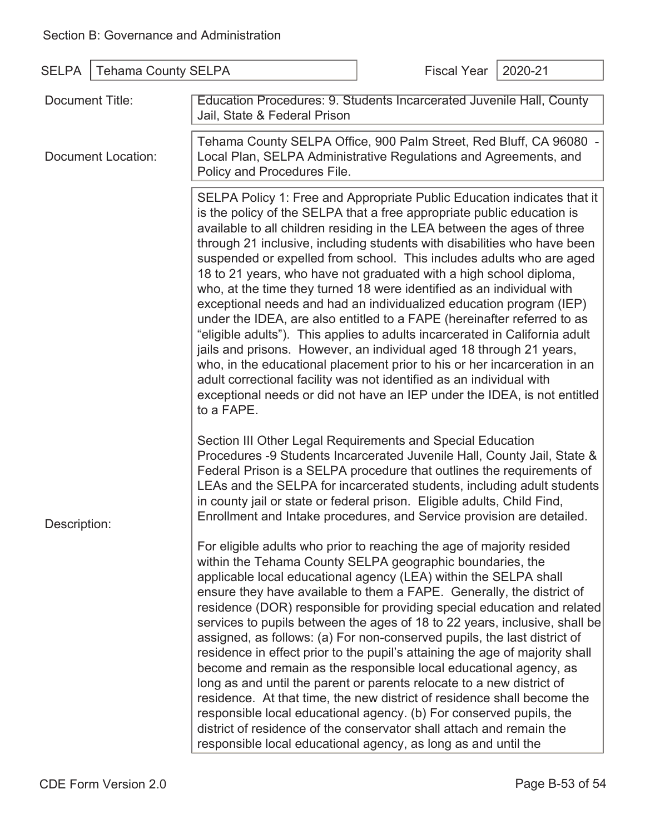| <b>SELPA</b>                          | <b>Tehama County SELPA</b> |                                                                                                                                                                                                                                                                                                                                                                                                                                                                                                                                                                                                                                                                                                                                                                                                                                                                                                                                                                                                                                                                                        | <b>Fiscal Year</b> | 2020-21 |  |
|---------------------------------------|----------------------------|----------------------------------------------------------------------------------------------------------------------------------------------------------------------------------------------------------------------------------------------------------------------------------------------------------------------------------------------------------------------------------------------------------------------------------------------------------------------------------------------------------------------------------------------------------------------------------------------------------------------------------------------------------------------------------------------------------------------------------------------------------------------------------------------------------------------------------------------------------------------------------------------------------------------------------------------------------------------------------------------------------------------------------------------------------------------------------------|--------------------|---------|--|
| Document Title:<br>Document Location: |                            | Education Procedures: 9. Students Incarcerated Juvenile Hall, County<br>Jail, State & Federal Prison                                                                                                                                                                                                                                                                                                                                                                                                                                                                                                                                                                                                                                                                                                                                                                                                                                                                                                                                                                                   |                    |         |  |
|                                       |                            | Tehama County SELPA Office, 900 Palm Street, Red Bluff, CA 96080 -<br>Local Plan, SELPA Administrative Regulations and Agreements, and<br>Policy and Procedures File.                                                                                                                                                                                                                                                                                                                                                                                                                                                                                                                                                                                                                                                                                                                                                                                                                                                                                                                  |                    |         |  |
|                                       |                            | SELPA Policy 1: Free and Appropriate Public Education indicates that it<br>is the policy of the SELPA that a free appropriate public education is<br>available to all children residing in the LEA between the ages of three<br>through 21 inclusive, including students with disabilities who have been<br>suspended or expelled from school. This includes adults who are aged<br>18 to 21 years, who have not graduated with a high school diploma,<br>who, at the time they turned 18 were identified as an individual with<br>exceptional needs and had an individualized education program (IEP)<br>under the IDEA, are also entitled to a FAPE (hereinafter referred to as<br>"eligible adults"). This applies to adults incarcerated in California adult<br>jails and prisons. However, an individual aged 18 through 21 years,<br>who, in the educational placement prior to his or her incarceration in an<br>adult correctional facility was not identified as an individual with<br>exceptional needs or did not have an IEP under the IDEA, is not entitled<br>to a FAPE. |                    |         |  |
| Description:                          |                            | Section III Other Legal Requirements and Special Education<br>Procedures -9 Students Incarcerated Juvenile Hall, County Jail, State &<br>Federal Prison is a SELPA procedure that outlines the requirements of<br>LEAs and the SELPA for incarcerated students, including adult students<br>in county jail or state or federal prison. Eligible adults, Child Find,<br>Enrollment and Intake procedures, and Service provision are detailed.                                                                                                                                                                                                                                                                                                                                                                                                                                                                                                                                                                                                                                           |                    |         |  |
|                                       |                            | For eligible adults who prior to reaching the age of majority resided<br>within the Tehama County SELPA geographic boundaries, the<br>applicable local educational agency (LEA) within the SELPA shall<br>ensure they have available to them a FAPE. Generally, the district of<br>residence (DOR) responsible for providing special education and related<br>services to pupils between the ages of 18 to 22 years, inclusive, shall be<br>assigned, as follows: (a) For non-conserved pupils, the last district of<br>residence in effect prior to the pupil's attaining the age of majority shall<br>become and remain as the responsible local educational agency, as<br>long as and until the parent or parents relocate to a new district of<br>residence. At that time, the new district of residence shall become the<br>responsible local educational agency. (b) For conserved pupils, the<br>district of residence of the conservator shall attach and remain the<br>responsible local educational agency, as long as and until the                                         |                    |         |  |